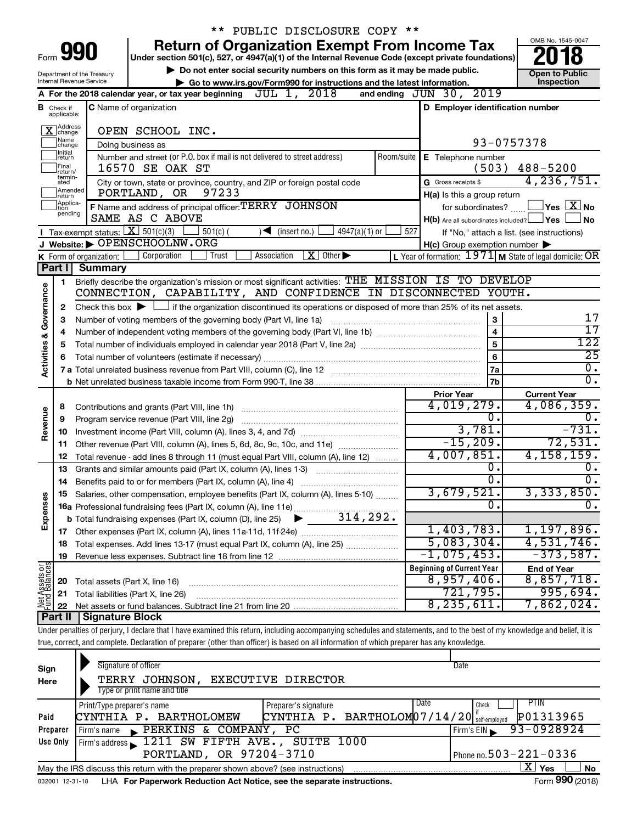|                                                              |                                  |                                          | ** PUBLIC DISCLOSURE COPY **                                                                                                                                               |                                                         |                                                         |  |  |  |  |  |
|--------------------------------------------------------------|----------------------------------|------------------------------------------|----------------------------------------------------------------------------------------------------------------------------------------------------------------------------|---------------------------------------------------------|---------------------------------------------------------|--|--|--|--|--|
|                                                              |                                  |                                          | <b>Return of Organization Exempt From Income Tax</b>                                                                                                                       |                                                         | OMB No. 1545-0047                                       |  |  |  |  |  |
|                                                              |                                  | Form 990                                 | Under section 501(c), 527, or 4947(a)(1) of the Internal Revenue Code (except private foundations)                                                                         |                                                         |                                                         |  |  |  |  |  |
|                                                              |                                  | Department of the Treasury               | Do not enter social security numbers on this form as it may be made public.                                                                                                |                                                         | <b>Open to Public</b>                                   |  |  |  |  |  |
|                                                              |                                  | Internal Revenue Service                 | Go to www.irs.gov/Form990 for instructions and the latest information.                                                                                                     |                                                         | Inspection                                              |  |  |  |  |  |
|                                                              |                                  |                                          | JUL 1, 2018<br>A For the 2018 calendar year, or tax year beginning                                                                                                         | and ending JUN 30, 2019                                 |                                                         |  |  |  |  |  |
|                                                              | <b>B</b> Check if<br>applicable: |                                          | <b>C</b> Name of organization                                                                                                                                              | D Employer identification number                        |                                                         |  |  |  |  |  |
|                                                              | Address<br>]change               |                                          | OPEN SCHOOL INC.                                                                                                                                                           |                                                         |                                                         |  |  |  |  |  |
|                                                              | ]Name<br>]change                 |                                          | Doing business as                                                                                                                                                          | 93-0757378                                              |                                                         |  |  |  |  |  |
|                                                              | Initial<br>return                |                                          | Number and street (or P.O. box if mail is not delivered to street address)<br>Room/suite                                                                                   | E Telephone number                                      |                                                         |  |  |  |  |  |
| Final<br>(503)<br>$488 - 5200$<br>16570 SE OAK ST<br>return/ |                                  |                                          |                                                                                                                                                                            |                                                         |                                                         |  |  |  |  |  |
|                                                              | termin-<br>ated                  |                                          | City or town, state or province, country, and ZIP or foreign postal code                                                                                                   | G Gross receipts \$                                     | 4,236,751.                                              |  |  |  |  |  |
|                                                              | Amended<br>Ireturn               |                                          | 97233<br>PORTLAND, OR                                                                                                                                                      | H(a) Is this a group return                             |                                                         |  |  |  |  |  |
|                                                              | Applica-<br>ltion<br>pending     |                                          | F Name and address of principal officer: TERRY JOHNSON                                                                                                                     | for subordinates?                                       | $\mathsf{\underline{V}}$ es $\mathsf{\underline{X}}$ No |  |  |  |  |  |
|                                                              |                                  |                                          | SAME AS C ABOVE                                                                                                                                                            | H(b) Are all subordinates included? Ves                 | ∣No                                                     |  |  |  |  |  |
|                                                              |                                  |                                          | Tax-exempt status: $X \over 301(c)(3)$<br>$501(c)$ (<br>$4947(a)(1)$ or<br>527<br>$\blacktriangleleft$ (insert no.)                                                        |                                                         | If "No," attach a list. (see instructions)              |  |  |  |  |  |
|                                                              |                                  |                                          | J Website: OPENSCHOOLNW.ORG                                                                                                                                                | $H(c)$ Group exemption number $\blacktriangleright$     |                                                         |  |  |  |  |  |
|                                                              |                                  | <b>K</b> Form of organization: $\lfloor$ | $\overline{X}$ Other<br>Corporation<br>Trust<br>Association                                                                                                                | L Year of formation: 1971 M State of legal domicile: OR |                                                         |  |  |  |  |  |
|                                                              | Part I                           | <b>Summary</b>                           |                                                                                                                                                                            |                                                         |                                                         |  |  |  |  |  |
|                                                              | 1                                |                                          | Briefly describe the organization's mission or most significant activities: THE MISSION IS TO DEVELOP<br>CONNECTION, CAPABILITY, AND CONFIDENCE IN DISCONNECTED YOUTH.     |                                                         |                                                         |  |  |  |  |  |
|                                                              |                                  |                                          |                                                                                                                                                                            |                                                         |                                                         |  |  |  |  |  |
| Governance                                                   | 2                                |                                          | Check this box $\blacktriangleright$ $\Box$ if the organization discontinued its operations or disposed of more than 25% of its net assets.                                |                                                         | 17                                                      |  |  |  |  |  |
|                                                              | 3                                |                                          | Number of voting members of the governing body (Part VI, line 1a)                                                                                                          | 3<br>$\overline{\mathbf{4}}$                            | $\overline{17}$                                         |  |  |  |  |  |
|                                                              | 4<br>5                           |                                          |                                                                                                                                                                            | 5                                                       | 122                                                     |  |  |  |  |  |
| <b>Activities &amp;</b>                                      |                                  |                                          |                                                                                                                                                                            | $\bf 6$                                                 | $\overline{25}$                                         |  |  |  |  |  |
|                                                              |                                  |                                          |                                                                                                                                                                            | 7a                                                      | $\overline{0}$ .                                        |  |  |  |  |  |
|                                                              |                                  |                                          |                                                                                                                                                                            | 7b                                                      | $\overline{0}$ .                                        |  |  |  |  |  |
|                                                              |                                  |                                          |                                                                                                                                                                            | <b>Prior Year</b>                                       | <b>Current Year</b>                                     |  |  |  |  |  |
|                                                              | 8                                |                                          |                                                                                                                                                                            | 4,019,279.                                              | 4,086,359.                                              |  |  |  |  |  |
| Revenue                                                      | 9                                |                                          | Program service revenue (Part VIII, line 2g)                                                                                                                               | $\overline{0}$ .                                        | $\overline{0}$ .                                        |  |  |  |  |  |
|                                                              | 10                               |                                          |                                                                                                                                                                            | 3,781.                                                  | $-731.$                                                 |  |  |  |  |  |
|                                                              | 11                               |                                          | Other revenue (Part VIII, column (A), lines 5, 6d, 8c, 9c, 10c, and 11e)                                                                                                   | $-15, 209.$                                             | 72,531.                                                 |  |  |  |  |  |
|                                                              | 12                               |                                          | Total revenue - add lines 8 through 11 (must equal Part VIII, column (A), line 12)                                                                                         | 4,007,851.                                              | 4, 158, 159.                                            |  |  |  |  |  |
|                                                              | 13                               |                                          | Grants and similar amounts paid (Part IX, column (A), lines 1-3)                                                                                                           | о.                                                      | $0$ .                                                   |  |  |  |  |  |
|                                                              | 14                               |                                          |                                                                                                                                                                            | σ.                                                      | $\overline{0}$ .                                        |  |  |  |  |  |
|                                                              |                                  |                                          | Salaries, other compensation, employee benefits (Part IX, column (A), lines 5-10)                                                                                          | 3,679,521.                                              | 3,333,850.                                              |  |  |  |  |  |
|                                                              |                                  |                                          | 16a Professional fundraising fees (Part IX, column (A), line 11e)                                                                                                          | О.                                                      | $\overline{0}$ .                                        |  |  |  |  |  |
| Expenses                                                     |                                  |                                          | 314, 292.<br><b>b</b> Total fundraising expenses (Part IX, column (D), line 25)                                                                                            |                                                         |                                                         |  |  |  |  |  |
|                                                              | 17                               |                                          |                                                                                                                                                                            | 1,403,783.                                              | 1, 197, 896.                                            |  |  |  |  |  |
|                                                              | 18                               |                                          | Total expenses. Add lines 13-17 (must equal Part IX, column (A), line 25)                                                                                                  | 5,083,304.                                              | 4,531,746.<br>$-373,587.$                               |  |  |  |  |  |
|                                                              | 19                               |                                          |                                                                                                                                                                            | $-1,075,453.$                                           |                                                         |  |  |  |  |  |
|                                                              |                                  |                                          |                                                                                                                                                                            | <b>Beginning of Current Year</b><br>8,957,406.          | <b>End of Year</b><br>8,857,718.                        |  |  |  |  |  |
|                                                              | 20                               | Total assets (Part X, line 16)           |                                                                                                                                                                            | 721,795.                                                | 995,694.                                                |  |  |  |  |  |
| Net Assets or<br>Fund Balances                               | 21<br>22                         |                                          | Total liabilities (Part X, line 26)                                                                                                                                        | 8, 235, 611.                                            | 7,862,024.                                              |  |  |  |  |  |
|                                                              |                                  | Part II   Signature Block                |                                                                                                                                                                            |                                                         |                                                         |  |  |  |  |  |
|                                                              |                                  |                                          | Under penalties of perjury, I declare that I have examined this return, including accompanying schedules and statements, and to the best of my knowledge and belief, it is |                                                         |                                                         |  |  |  |  |  |
|                                                              |                                  |                                          | true, correct, and complete. Declaration of preparer (other than officer) is based on all information of which preparer has any knowledge.                                 |                                                         |                                                         |  |  |  |  |  |
|                                                              |                                  |                                          |                                                                                                                                                                            |                                                         |                                                         |  |  |  |  |  |
|                                                              |                                  |                                          |                                                                                                                                                                            |                                                         |                                                         |  |  |  |  |  |

| Sign<br>Here | Signature of officer<br>TERRY JOHNSON,<br>Type or print name and title            | EXECUTIVE DIRECTOR                         | Date                         |
|--------------|-----------------------------------------------------------------------------------|--------------------------------------------|------------------------------|
|              | Print/Type preparer's name                                                        | Date<br>Preparer's signature               | <b>PTIN</b><br>Check         |
| Paid         | CYNTHIA P. BARTHOLOMEW                                                            | CYNTHIA P. BARTHOLOM07/14/20 self-employed | P01313965                    |
| Preparer     | PERKINS & COMPANY, PC<br>Firm's name<br>$\mathbf{K}$ .                            |                                            | $93 - 0928924$<br>Firm's EIN |
| Use Only     | Firm's address 1211 SW FIFTH AVE., SUITE 1000                                     |                                            |                              |
|              | PORTLAND, OR 97204-3710                                                           |                                            | Phone no. $503 - 221 - 0336$ |
|              | May the IRS discuss this return with the preparer shown above? (see instructions) |                                            | X  <br>No<br>Yes             |
|              |                                                                                   |                                            | $\sim$                       |

832001 12-31-18 **For Paperwork Reduction Act Notice, see the separate instructions.** LHA Form (2018)

Form **990** (2018)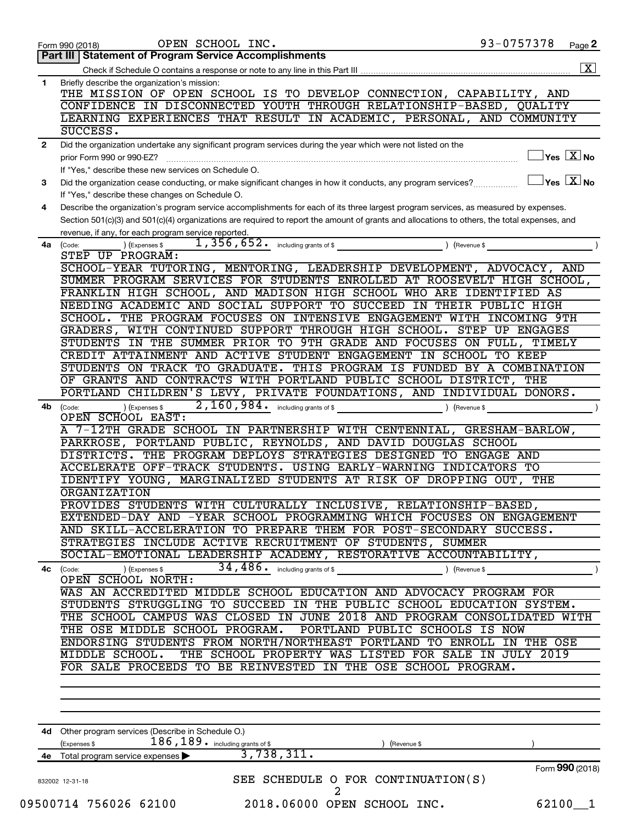|              | OPEN SCHOOL INC.<br>Form 990 (2018)                                                                                                          | 93-0757378 | Page 2                                   |
|--------------|----------------------------------------------------------------------------------------------------------------------------------------------|------------|------------------------------------------|
|              | Part III   Statement of Program Service Accomplishments                                                                                      |            |                                          |
|              |                                                                                                                                              |            | $\overline{\mathbf{X}}$                  |
| 1            | Briefly describe the organization's mission:                                                                                                 |            |                                          |
|              | THE MISSION OF OPEN SCHOOL IS TO DEVELOP CONNECTION, CAPABILITY, AND                                                                         |            |                                          |
|              | CONFIDENCE IN DISCONNECTED YOUTH THROUGH RELATIONSHIP-BASED, QUALITY                                                                         |            |                                          |
|              | LEARNING EXPERIENCES THAT RESULT IN ACADEMIC, PERSONAL, AND COMMUNITY                                                                        |            |                                          |
|              | SUCCESS.                                                                                                                                     |            |                                          |
| $\mathbf{2}$ | Did the organization undertake any significant program services during the year which were not listed on the                                 |            |                                          |
|              | prior Form 990 or 990-EZ?                                                                                                                    |            | $\Box$ Yes $[\overline{\mathrm{X}}]$ No  |
|              | If "Yes," describe these new services on Schedule O.                                                                                         |            |                                          |
| 3            | Did the organization cease conducting, or make significant changes in how it conducts, any program services?                                 |            | $\exists$ Yes $\overline{\mathrm{X}}$ No |
|              | If "Yes," describe these changes on Schedule O.                                                                                              |            |                                          |
| 4            | Describe the organization's program service accomplishments for each of its three largest program services, as measured by expenses.         |            |                                          |
|              | Section 501(c)(3) and 501(c)(4) organizations are required to report the amount of grants and allocations to others, the total expenses, and |            |                                          |
|              | revenue, if any, for each program service reported.                                                                                          |            |                                          |
| 4a           | ) (Expenses \$<br>(Code:                                                                                                                     |            |                                          |
|              | STEP UP PROGRAM:                                                                                                                             |            |                                          |
|              | SCHOOL-YEAR TUTORING, MENTORING, LEADERSHIP DEVELOPMENT, ADVOCACY, AND                                                                       |            |                                          |
|              | SUMMER PROGRAM SERVICES FOR STUDENTS ENROLLED AT ROOSEVELT HIGH SCHOOL,                                                                      |            |                                          |
|              | FRANKLIN HIGH SCHOOL, AND MADISON HIGH SCHOOL WHO ARE IDENTIFIED AS                                                                          |            |                                          |
|              | NEEDING ACADEMIC AND SOCIAL SUPPORT TO SUCCEED IN THEIR PUBLIC HIGH                                                                          |            |                                          |
|              | SCHOOL. THE PROGRAM FOCUSES ON INTENSIVE ENGAGEMENT WITH INCOMING 9TH                                                                        |            |                                          |
|              | GRADERS, WITH CONTINUED SUPPORT THROUGH HIGH SCHOOL. STEP UP ENGAGES                                                                         |            |                                          |
|              | STUDENTS IN THE SUMMER PRIOR TO 9TH GRADE AND FOCUSES ON FULL, TIMELY                                                                        |            |                                          |
|              | CREDIT ATTAINMENT AND ACTIVE STUDENT ENGAGEMENT IN SCHOOL TO KEEP                                                                            |            |                                          |
|              | STUDENTS ON TRACK TO GRADUATE. THIS PROGRAM IS FUNDED BY A COMBINATION                                                                       |            |                                          |
|              | OF GRANTS AND CONTRACTS WITH PORTLAND PUBLIC SCHOOL DISTRICT, THE                                                                            |            |                                          |
|              | PORTLAND CHILDREN'S LEVY, PRIVATE FOUNDATIONS, AND INDIVIDUAL DONORS.                                                                        |            |                                          |
| 4b           | ) (Expenses \$<br>(Code:                                                                                                                     |            |                                          |
|              | OPEN SCHOOL EAST:                                                                                                                            |            |                                          |
|              | A 7-12TH GRADE SCHOOL IN PARTNERSHIP WITH CENTENNIAL, GRESHAM-BARLOW,                                                                        |            |                                          |
|              | PARKROSE, PORTLAND PUBLIC, REYNOLDS, AND DAVID DOUGLAS SCHOOL                                                                                |            |                                          |
|              | DISTRICTS. THE PROGRAM DEPLOYS STRATEGIES DESIGNED TO ENGAGE AND                                                                             |            |                                          |
|              | ACCELERATE OFF-TRACK STUDENTS. USING EARLY-WARNING INDICATORS TO                                                                             |            |                                          |
|              | IDENTIFY YOUNG, MARGINALIZED STUDENTS AT RISK OF DROPPING OUT, THE                                                                           |            |                                          |
|              | <b>ORGANIZATION</b>                                                                                                                          |            |                                          |
|              | PROVIDES STUDENTS WITH CULTURALLY INCLUSIVE, RELATIONSHIP-BASED,                                                                             |            |                                          |
|              | EXTENDED-DAY AND -YEAR SCHOOL PROGRAMMING WHICH FOCUSES ON ENGAGEMENT                                                                        |            |                                          |
|              | AND SKILL-ACCELERATION TO PREPARE THEM FOR POST-SECONDARY SUCCESS.                                                                           |            |                                          |
|              | STRATEGIES INCLUDE ACTIVE RECRUITMENT OF STUDENTS, SUMMER                                                                                    |            |                                          |
|              | SOCIAL-EMOTIONAL LEADERSHIP ACADEMY, RESTORATIVE ACCOUNTABILITY,                                                                             |            |                                          |
| 4с           | 34,486. including grants of \$<br>) (Expenses \$<br>(Code:<br>) (Revenue \$                                                                  |            |                                          |
|              | OPEN SCHOOL NORTH:                                                                                                                           |            |                                          |
|              | WAS AN ACCREDITED MIDDLE SCHOOL EDUCATION AND ADVOCACY PROGRAM FOR                                                                           |            |                                          |
|              | STUDENTS STRUGGLING TO SUCCEED IN THE PUBLIC SCHOOL EDUCATION SYSTEM.                                                                        |            |                                          |
|              | THE SCHOOL CAMPUS WAS CLOSED IN JUNE 2018 AND PROGRAM CONSOLIDATED WITH                                                                      |            |                                          |
|              | THE OSE MIDDLE SCHOOL PROGRAM.<br>PORTLAND PUBLIC SCHOOLS IS NOW                                                                             |            |                                          |
|              | ENDORSING STUDENTS FROM NORTH/NORTHEAST PORTLAND TO ENROLL IN THE OSE                                                                        |            |                                          |
|              | <b>MIDDLE SCHOOL.</b><br>THE SCHOOL PROPERTY WAS LISTED FOR SALE IN JULY 2019                                                                |            |                                          |
|              | FOR SALE PROCEEDS TO BE REINVESTED IN THE OSE SCHOOL PROGRAM.                                                                                |            |                                          |
|              |                                                                                                                                              |            |                                          |
|              |                                                                                                                                              |            |                                          |
|              |                                                                                                                                              |            |                                          |
|              |                                                                                                                                              |            |                                          |
|              |                                                                                                                                              |            |                                          |
|              | 4d Other program services (Describe in Schedule O.)                                                                                          |            |                                          |
|              | $186, 189$ . including grants of \$<br>(Expenses \$<br>(Revenue \$                                                                           |            |                                          |
|              | 3,738,311.<br>4e Total program service expenses >                                                                                            |            |                                          |
|              |                                                                                                                                              |            | Form 990 (2018)                          |
|              | SEE SCHEDULE O FOR CONTINUATION(S)<br>832002 12-31-18                                                                                        |            |                                          |
|              | 2                                                                                                                                            |            |                                          |
|              | 09500714 756026 62100<br>2018.06000 OPEN SCHOOL INC.                                                                                         | 62100      | $\mathbf{1}$                             |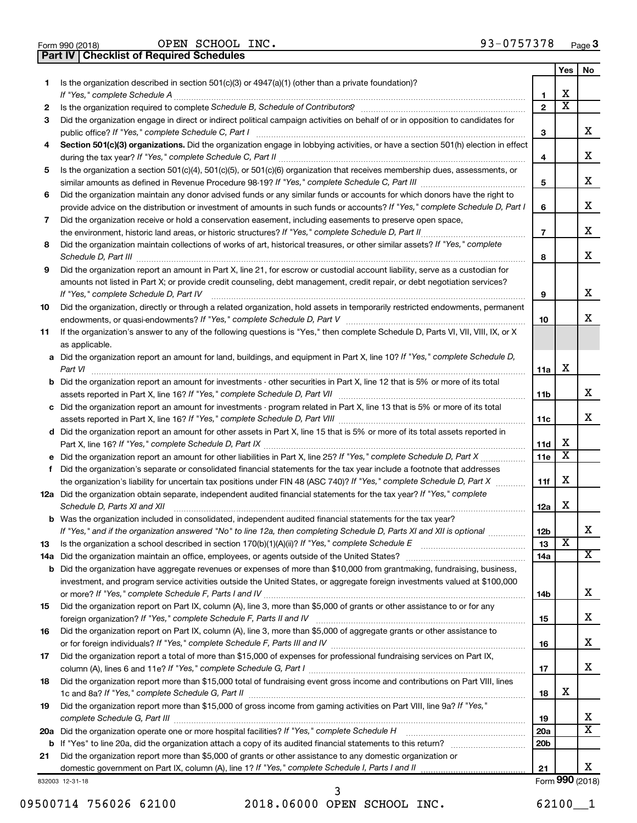**Part IV Checklist of Required Schedules**

|    |                                                                                                                                                                                                                                                                                                                                                                     |                 | Yes                        | No              |
|----|---------------------------------------------------------------------------------------------------------------------------------------------------------------------------------------------------------------------------------------------------------------------------------------------------------------------------------------------------------------------|-----------------|----------------------------|-----------------|
| 1. | Is the organization described in section 501(c)(3) or 4947(a)(1) (other than a private foundation)?                                                                                                                                                                                                                                                                 |                 |                            |                 |
|    | If "Yes," complete Schedule A                                                                                                                                                                                                                                                                                                                                       | 1               | х<br>$\overline{\text{x}}$ |                 |
| 2  |                                                                                                                                                                                                                                                                                                                                                                     | $\mathbf{2}$    |                            |                 |
| З  | Did the organization engage in direct or indirect political campaign activities on behalf of or in opposition to candidates for                                                                                                                                                                                                                                     |                 |                            |                 |
|    | public office? If "Yes," complete Schedule C, Part I                                                                                                                                                                                                                                                                                                                | 3               |                            | x               |
| 4  | Section 501(c)(3) organizations. Did the organization engage in lobbying activities, or have a section 501(h) election in effect                                                                                                                                                                                                                                    | 4               |                            | x               |
| 5  | Is the organization a section 501(c)(4), 501(c)(5), or 501(c)(6) organization that receives membership dues, assessments, or                                                                                                                                                                                                                                        |                 |                            |                 |
|    |                                                                                                                                                                                                                                                                                                                                                                     | 5               |                            | x               |
| 6  | Did the organization maintain any donor advised funds or any similar funds or accounts for which donors have the right to                                                                                                                                                                                                                                           |                 |                            |                 |
|    | provide advice on the distribution or investment of amounts in such funds or accounts? If "Yes," complete Schedule D, Part I                                                                                                                                                                                                                                        | 6               |                            | x               |
| 7  | Did the organization receive or hold a conservation easement, including easements to preserve open space,                                                                                                                                                                                                                                                           |                 |                            | x               |
|    |                                                                                                                                                                                                                                                                                                                                                                     | $\overline{7}$  |                            |                 |
| 8  | Did the organization maintain collections of works of art, historical treasures, or other similar assets? If "Yes," complete<br>Schedule D, Part III <b>Marting Communities</b> and the contract of the contract of the contract of the contract of the contract of the contract of the contract of the contract of the contract of the contract of the contract of | 8               |                            | х               |
| 9  | Did the organization report an amount in Part X, line 21, for escrow or custodial account liability, serve as a custodian for                                                                                                                                                                                                                                       |                 |                            |                 |
|    | amounts not listed in Part X; or provide credit counseling, debt management, credit repair, or debt negotiation services?                                                                                                                                                                                                                                           |                 |                            |                 |
|    | If "Yes," complete Schedule D, Part IV                                                                                                                                                                                                                                                                                                                              | 9               |                            | х               |
| 10 | Did the organization, directly or through a related organization, hold assets in temporarily restricted endowments, permanent                                                                                                                                                                                                                                       |                 |                            |                 |
|    |                                                                                                                                                                                                                                                                                                                                                                     | 10              |                            | х               |
| 11 | If the organization's answer to any of the following questions is "Yes," then complete Schedule D, Parts VI, VII, VIII, IX, or X                                                                                                                                                                                                                                    |                 |                            |                 |
|    | as applicable.                                                                                                                                                                                                                                                                                                                                                      |                 |                            |                 |
|    | a Did the organization report an amount for land, buildings, and equipment in Part X, line 10? If "Yes," complete Schedule D,                                                                                                                                                                                                                                       |                 |                            |                 |
|    | Part VI                                                                                                                                                                                                                                                                                                                                                             | 11a             | X                          |                 |
|    | <b>b</b> Did the organization report an amount for investments - other securities in Part X, line 12 that is 5% or more of its total                                                                                                                                                                                                                                |                 |                            |                 |
|    |                                                                                                                                                                                                                                                                                                                                                                     | 11b             |                            | x               |
|    | c Did the organization report an amount for investments - program related in Part X, line 13 that is 5% or more of its total                                                                                                                                                                                                                                        | 11c             |                            | x               |
|    | d Did the organization report an amount for other assets in Part X, line 15 that is 5% or more of its total assets reported in                                                                                                                                                                                                                                      |                 |                            |                 |
|    |                                                                                                                                                                                                                                                                                                                                                                     | 11d             | х                          |                 |
|    |                                                                                                                                                                                                                                                                                                                                                                     | 11e             | $\overline{\mathbf{X}}$    |                 |
| f  | Did the organization's separate or consolidated financial statements for the tax year include a footnote that addresses                                                                                                                                                                                                                                             |                 |                            |                 |
|    | the organization's liability for uncertain tax positions under FIN 48 (ASC 740)? If "Yes," complete Schedule D, Part X                                                                                                                                                                                                                                              | 11f             | X                          |                 |
|    | 12a Did the organization obtain separate, independent audited financial statements for the tax year? If "Yes," complete                                                                                                                                                                                                                                             |                 |                            |                 |
|    | Schedule D, Parts XI and XII                                                                                                                                                                                                                                                                                                                                        | 12a             | X                          |                 |
|    | <b>b</b> Was the organization included in consolidated, independent audited financial statements for the tax year?                                                                                                                                                                                                                                                  |                 |                            |                 |
|    | If "Yes." and if the organization answered "No" to line 12a, then completing Schedule D. Parts XI and XII is optional                                                                                                                                                                                                                                               | 12 <sub>b</sub> |                            | х               |
| 13 |                                                                                                                                                                                                                                                                                                                                                                     | 13              | $\overline{\mathbf{X}}$    |                 |
|    |                                                                                                                                                                                                                                                                                                                                                                     | 14a             |                            | x               |
|    | <b>b</b> Did the organization have aggregate revenues or expenses of more than \$10,000 from grantmaking, fundraising, business,                                                                                                                                                                                                                                    |                 |                            |                 |
|    | investment, and program service activities outside the United States, or aggregate foreign investments valued at \$100,000                                                                                                                                                                                                                                          |                 |                            |                 |
|    |                                                                                                                                                                                                                                                                                                                                                                     | 14b             |                            | х               |
| 15 | Did the organization report on Part IX, column (A), line 3, more than \$5,000 of grants or other assistance to or for any                                                                                                                                                                                                                                           |                 |                            |                 |
|    |                                                                                                                                                                                                                                                                                                                                                                     | 15              |                            | х               |
| 16 | Did the organization report on Part IX, column (A), line 3, more than \$5,000 of aggregate grants or other assistance to                                                                                                                                                                                                                                            |                 |                            |                 |
|    |                                                                                                                                                                                                                                                                                                                                                                     | 16              |                            | х               |
| 17 | Did the organization report a total of more than \$15,000 of expenses for professional fundraising services on Part IX,                                                                                                                                                                                                                                             |                 |                            |                 |
|    |                                                                                                                                                                                                                                                                                                                                                                     | 17              |                            | x               |
| 18 | Did the organization report more than \$15,000 total of fundraising event gross income and contributions on Part VIII, lines                                                                                                                                                                                                                                        | 18              | х                          |                 |
| 19 | Did the organization report more than \$15,000 of gross income from gaming activities on Part VIII, line 9a? If "Yes,"                                                                                                                                                                                                                                              |                 |                            |                 |
|    |                                                                                                                                                                                                                                                                                                                                                                     | 19              |                            | х               |
|    |                                                                                                                                                                                                                                                                                                                                                                     | <b>20a</b>      |                            | X               |
|    |                                                                                                                                                                                                                                                                                                                                                                     | 20 <sub>b</sub> |                            |                 |
| 21 | Did the organization report more than \$5,000 of grants or other assistance to any domestic organization or                                                                                                                                                                                                                                                         |                 |                            |                 |
|    |                                                                                                                                                                                                                                                                                                                                                                     | 21              |                            | x               |
|    | 832003 12-31-18                                                                                                                                                                                                                                                                                                                                                     |                 |                            | Form 990 (2018) |

09500714 756026 62100 2018.06000 OPEN SCHOOL INC. 62100\_1 3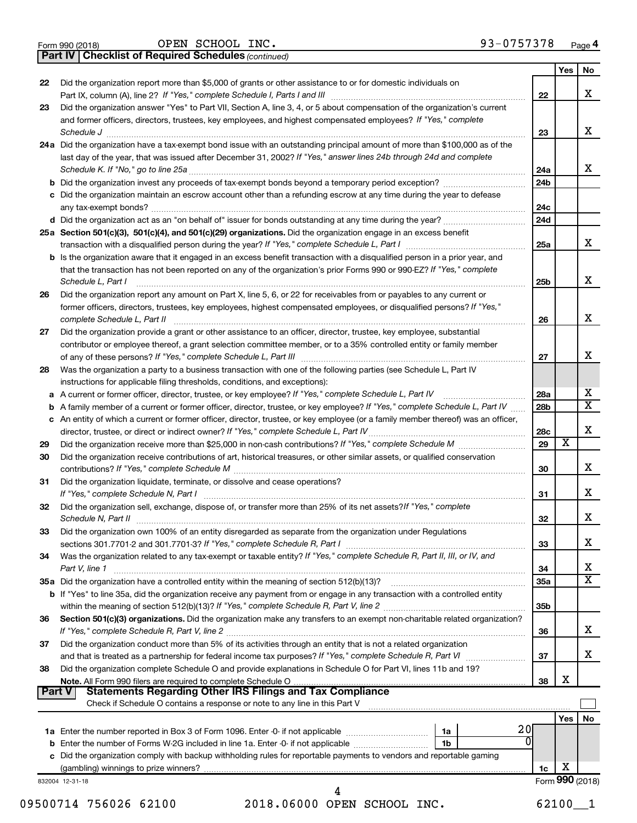|  | Form 990 (2018) |  |
|--|-----------------|--|
|  |                 |  |

*(continued)* **Part IV Checklist of Required Schedules**

|               |                                                                                                                                     |                 | Yes | No                           |
|---------------|-------------------------------------------------------------------------------------------------------------------------------------|-----------------|-----|------------------------------|
| 22            | Did the organization report more than \$5,000 of grants or other assistance to or for domestic individuals on                       |                 |     |                              |
|               |                                                                                                                                     | 22              |     | x                            |
| 23            | Did the organization answer "Yes" to Part VII, Section A, line 3, 4, or 5 about compensation of the organization's current          |                 |     |                              |
|               | and former officers, directors, trustees, key employees, and highest compensated employees? If "Yes," complete                      |                 |     |                              |
|               | Schedule J <b>Execute Schedule Schedule Schedule Schedule</b> J <b>Execute Schedule J Execute Schedule J</b>                        | 23              |     | x                            |
|               | 24a Did the organization have a tax-exempt bond issue with an outstanding principal amount of more than \$100,000 as of the         |                 |     |                              |
|               | last day of the year, that was issued after December 31, 2002? If "Yes," answer lines 24b through 24d and complete                  |                 |     |                              |
|               |                                                                                                                                     | 24a             |     | x                            |
|               |                                                                                                                                     | 24b             |     |                              |
|               | c Did the organization maintain an escrow account other than a refunding escrow at any time during the year to defease              |                 |     |                              |
|               |                                                                                                                                     | 24c             |     |                              |
|               | d Did the organization act as an "on behalf of" issuer for bonds outstanding at any time during the year?                           | 24d             |     |                              |
|               | 25a Section 501(c)(3), 501(c)(4), and 501(c)(29) organizations. Did the organization engage in an excess benefit                    | 25a             |     | x                            |
|               | <b>b</b> Is the organization aware that it engaged in an excess benefit transaction with a disqualified person in a prior year, and |                 |     |                              |
|               | that the transaction has not been reported on any of the organization's prior Forms 990 or 990-EZ? If "Yes," complete               |                 |     |                              |
|               | Schedule L, Part I                                                                                                                  | 25b             |     | x                            |
| 26            | Did the organization report any amount on Part X, line 5, 6, or 22 for receivables from or payables to any current or               |                 |     |                              |
|               | former officers, directors, trustees, key employees, highest compensated employees, or disqualified persons? If "Yes,"              |                 |     |                              |
|               | complete Schedule L, Part II                                                                                                        | 26              |     | x                            |
| 27            | Did the organization provide a grant or other assistance to an officer, director, trustee, key employee, substantial                |                 |     |                              |
|               | contributor or employee thereof, a grant selection committee member, or to a 35% controlled entity or family member                 |                 |     |                              |
|               |                                                                                                                                     | 27              |     | x                            |
| 28            | Was the organization a party to a business transaction with one of the following parties (see Schedule L, Part IV                   |                 |     |                              |
|               | instructions for applicable filing thresholds, conditions, and exceptions):                                                         |                 |     |                              |
|               | a A current or former officer, director, trustee, or key employee? If "Yes," complete Schedule L, Part IV                           | 28a             |     | x                            |
|               | <b>b</b> A family member of a current or former officer, director, trustee, or key employee? If "Yes," complete Schedule L, Part IV | 28 <sub>b</sub> |     | $\overline{\mathbf{x}}$      |
|               | c An entity of which a current or former officer, director, trustee, or key employee (or a family member thereof) was an officer,   |                 |     |                              |
|               |                                                                                                                                     | <b>28c</b>      |     | x                            |
| 29            |                                                                                                                                     | 29              | X   |                              |
| 30            | Did the organization receive contributions of art, historical treasures, or other similar assets, or qualified conservation         |                 |     |                              |
|               |                                                                                                                                     | 30              |     | x                            |
| 31            | Did the organization liquidate, terminate, or dissolve and cease operations?                                                        |                 |     |                              |
|               |                                                                                                                                     | 31              |     | x                            |
| 32            | Did the organization sell, exchange, dispose of, or transfer more than 25% of its net assets? If "Yes," complete                    |                 |     |                              |
|               |                                                                                                                                     | 32              |     | x                            |
| 33            | Did the organization own 100% of an entity disregarded as separate from the organization under Regulations                          |                 |     |                              |
|               |                                                                                                                                     | 33              |     | х                            |
| 34            | Was the organization related to any tax-exempt or taxable entity? If "Yes," complete Schedule R, Part II, III, or IV, and           |                 |     |                              |
|               | Part V, line 1                                                                                                                      | 34              |     | X<br>$\overline{\texttt{x}}$ |
|               | 35a Did the organization have a controlled entity within the meaning of section 512(b)(13)?                                         | 35a             |     |                              |
|               | b If "Yes" to line 35a, did the organization receive any payment from or engage in any transaction with a controlled entity         | 35 <sub>b</sub> |     |                              |
| 36            | Section 501(c)(3) organizations. Did the organization make any transfers to an exempt non-charitable related organization?          |                 |     |                              |
|               |                                                                                                                                     | 36              |     | X                            |
| 37            | Did the organization conduct more than 5% of its activities through an entity that is not a related organization                    |                 |     |                              |
|               |                                                                                                                                     | 37              |     | X                            |
| 38            | Did the organization complete Schedule O and provide explanations in Schedule O for Part VI, lines 11b and 19?                      |                 |     |                              |
|               | Note. All Form 990 filers are required to complete Schedule O                                                                       | 38              | х   |                              |
| <b>Part V</b> | <b>Statements Regarding Other IRS Filings and Tax Compliance</b>                                                                    |                 |     |                              |
|               | Check if Schedule O contains a response or note to any line in this Part V                                                          |                 |     |                              |
|               |                                                                                                                                     |                 | Yes | No                           |
|               | 20<br>1a                                                                                                                            |                 |     |                              |
|               | 0<br><b>b</b> Enter the number of Forms W-2G included in line 1a. Enter -0- if not applicable<br>1b                                 |                 |     |                              |
|               | c Did the organization comply with backup withholding rules for reportable payments to vendors and reportable gaming                |                 |     |                              |
|               |                                                                                                                                     | 1c              | х   |                              |
|               | 832004 12-31-18                                                                                                                     |                 |     | Form 990 (2018)              |
|               | 4                                                                                                                                   |                 |     |                              |

09500714 756026 62100 2018.06000 OPEN SCHOOL INC. 62100\_1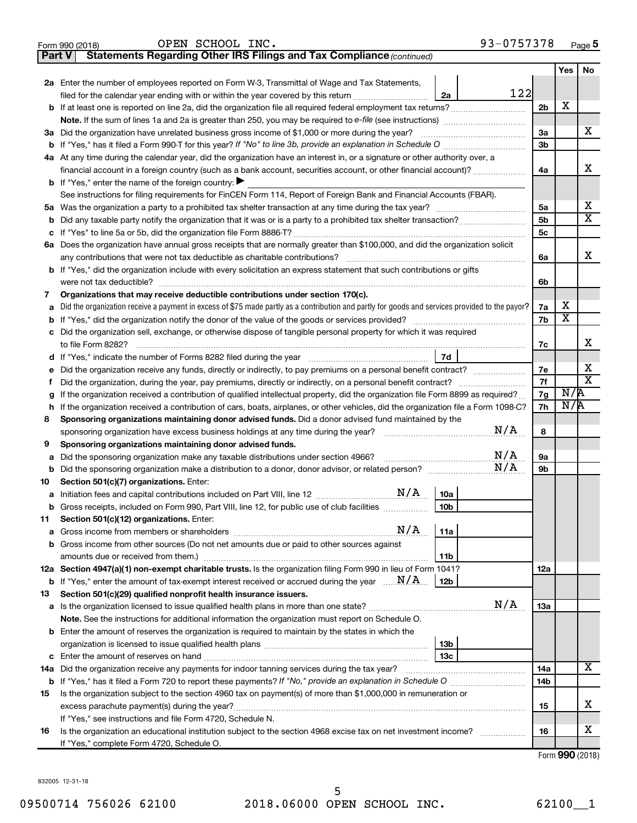|               | 93-0757378<br>OPEN SCHOOL INC.<br>Form 990 (2018)                                                                                                                                                                                                                                                                |           |                         | Page 5                  |
|---------------|------------------------------------------------------------------------------------------------------------------------------------------------------------------------------------------------------------------------------------------------------------------------------------------------------------------|-----------|-------------------------|-------------------------|
| <b>Part V</b> | Statements Regarding Other IRS Filings and Tax Compliance (continued)                                                                                                                                                                                                                                            |           |                         |                         |
|               |                                                                                                                                                                                                                                                                                                                  |           | Yes                     | No.                     |
|               | 2a Enter the number of employees reported on Form W-3, Transmittal of Wage and Tax Statements,                                                                                                                                                                                                                   |           |                         |                         |
|               | 122<br>filed for the calendar year ending with or within the year covered by this return<br>2a                                                                                                                                                                                                                   |           |                         |                         |
|               |                                                                                                                                                                                                                                                                                                                  | 2b        | х                       |                         |
|               | <b>Note.</b> If the sum of lines 1a and 2a is greater than 250, you may be required to e-file (see instructions) <i>manumanous</i>                                                                                                                                                                               |           |                         |                         |
|               | 3a Did the organization have unrelated business gross income of \$1,000 or more during the year?                                                                                                                                                                                                                 | 3a        |                         | X.                      |
|               | <b>b</b> If "Yes," has it filed a Form 990-T for this year? If "No" to line 3b, provide an explanation in Schedule O manumum                                                                                                                                                                                     | 3b        |                         |                         |
|               | 4a At any time during the calendar year, did the organization have an interest in, or a signature or other authority over, a                                                                                                                                                                                     |           |                         |                         |
|               | financial account in a foreign country (such as a bank account, securities account, or other financial account)?                                                                                                                                                                                                 | 4a        |                         | x                       |
|               | <b>b</b> If "Yes," enter the name of the foreign country:                                                                                                                                                                                                                                                        |           |                         |                         |
|               | See instructions for filing requirements for FinCEN Form 114, Report of Foreign Bank and Financial Accounts (FBAR).                                                                                                                                                                                              |           |                         |                         |
|               |                                                                                                                                                                                                                                                                                                                  | 5a        |                         | x                       |
| b             |                                                                                                                                                                                                                                                                                                                  | 5b        |                         | $\overline{\text{x}}$   |
| c             |                                                                                                                                                                                                                                                                                                                  | 5c        |                         |                         |
|               | 6a Does the organization have annual gross receipts that are normally greater than \$100,000, and did the organization solicit                                                                                                                                                                                   |           |                         |                         |
|               | any contributions that were not tax deductible as charitable contributions?                                                                                                                                                                                                                                      | 6a        |                         | x                       |
|               | b If "Yes," did the organization include with every solicitation an express statement that such contributions or gifts                                                                                                                                                                                           |           |                         |                         |
|               | were not tax deductible?                                                                                                                                                                                                                                                                                         | 6b        |                         |                         |
| 7             | Organizations that may receive deductible contributions under section 170(c).                                                                                                                                                                                                                                    |           |                         |                         |
| a             | Did the organization receive a payment in excess of \$75 made partly as a contribution and partly for goods and services provided to the payor?                                                                                                                                                                  | 7a        | x                       |                         |
| b             |                                                                                                                                                                                                                                                                                                                  | 7b        | $\overline{\textbf{x}}$ |                         |
| с             | Did the organization sell, exchange, or otherwise dispose of tangible personal property for which it was required                                                                                                                                                                                                |           |                         |                         |
|               |                                                                                                                                                                                                                                                                                                                  | 7c        |                         | x.                      |
|               | 7d                                                                                                                                                                                                                                                                                                               |           |                         | x                       |
|               | Did the organization receive any funds, directly or indirectly, to pay premiums on a personal benefit contract?                                                                                                                                                                                                  | 7е        |                         | $\overline{\texttt{x}}$ |
|               | Did the organization, during the year, pay premiums, directly or indirectly, on a personal benefit contract?                                                                                                                                                                                                     | 7f        | N/R                     |                         |
| g             | If the organization received a contribution of qualified intellectual property, did the organization file Form 8899 as required?                                                                                                                                                                                 | 7g<br>7h  | N/R                     |                         |
|               | If the organization received a contribution of cars, boats, airplanes, or other vehicles, did the organization file a Form 1098-C?                                                                                                                                                                               |           |                         |                         |
| 8             | Sponsoring organizations maintaining donor advised funds. Did a donor advised fund maintained by the<br>N/A                                                                                                                                                                                                      | 8         |                         |                         |
| 9             | sponsoring organization have excess business holdings at any time during the year?<br>Sponsoring organizations maintaining donor advised funds.                                                                                                                                                                  |           |                         |                         |
| а             | N/A<br>Did the sponsoring organization make any taxable distributions under section 4966?                                                                                                                                                                                                                        | <b>9a</b> |                         |                         |
| $\mathbf b$   | N/A                                                                                                                                                                                                                                                                                                              | 9b        |                         |                         |
| 10            | Section 501(c)(7) organizations. Enter:                                                                                                                                                                                                                                                                          |           |                         |                         |
|               | <b>a</b> Initiation fees and capital contributions included on Part VIII, line 12 $\ldots$ $\ldots$ $\ldots$ $\ldots$ $\ldots$ $\ldots$ $\ldots$ $\ldots$ $\ldots$ $\ldots$ $\ldots$ $\ldots$ $\ldots$ $\ldots$ $\ldots$ $\ldots$ $\ldots$ $\ldots$ $\ldots$ $\ldots$ $\ldots$ $\ldots$ $\ldots$ $\ldots$<br>10a |           |                         |                         |
| b             | Gross receipts, included on Form 990, Part VIII, line 12, for public use of club facilities<br>10b                                                                                                                                                                                                               |           |                         |                         |
| 11            | Section 501(c)(12) organizations. Enter:                                                                                                                                                                                                                                                                         |           |                         |                         |
| а             | N/A<br>11a                                                                                                                                                                                                                                                                                                       |           |                         |                         |
|               | Gross income from other sources (Do not net amounts due or paid to other sources against                                                                                                                                                                                                                         |           |                         |                         |
|               | amounts due or received from them.)<br>11b                                                                                                                                                                                                                                                                       |           |                         |                         |
|               | 12a Section 4947(a)(1) non-exempt charitable trusts. Is the organization filing Form 990 in lieu of Form 1041?                                                                                                                                                                                                   | 12a       |                         |                         |
|               | <b>b</b> If "Yes," enter the amount of tax-exempt interest received or accrued during the year $\ldots$ $\mathbf{N}/\mathbf{A}$ .<br>12b                                                                                                                                                                         |           |                         |                         |
| 13            | Section 501(c)(29) qualified nonprofit health insurance issuers.                                                                                                                                                                                                                                                 |           |                         |                         |
|               | N/A                                                                                                                                                                                                                                                                                                              | 13a       |                         |                         |
|               | Note. See the instructions for additional information the organization must report on Schedule O.                                                                                                                                                                                                                |           |                         |                         |
|               | <b>b</b> Enter the amount of reserves the organization is required to maintain by the states in which the                                                                                                                                                                                                        |           |                         |                         |
|               | 13b                                                                                                                                                                                                                                                                                                              |           |                         |                         |
| с             | 13c<br>Enter the amount of reserves on hand                                                                                                                                                                                                                                                                      |           |                         |                         |
| 14a           | Did the organization receive any payments for indoor tanning services during the tax year?                                                                                                                                                                                                                       | 14a       |                         | х                       |
|               |                                                                                                                                                                                                                                                                                                                  | 14b       |                         |                         |
| 15            | Is the organization subject to the section 4960 tax on payment(s) of more than \$1,000,000 in remuneration or                                                                                                                                                                                                    |           |                         |                         |
|               |                                                                                                                                                                                                                                                                                                                  | 15        |                         | x                       |
|               | If "Yes," see instructions and file Form 4720, Schedule N.                                                                                                                                                                                                                                                       |           |                         |                         |
| 16            | Is the organization an educational institution subject to the section 4968 excise tax on net investment income?                                                                                                                                                                                                  | 16        |                         | х                       |
|               | If "Yes," complete Form 4720, Schedule O.                                                                                                                                                                                                                                                                        |           |                         |                         |

Form (2018) **990**

832005 12-31-18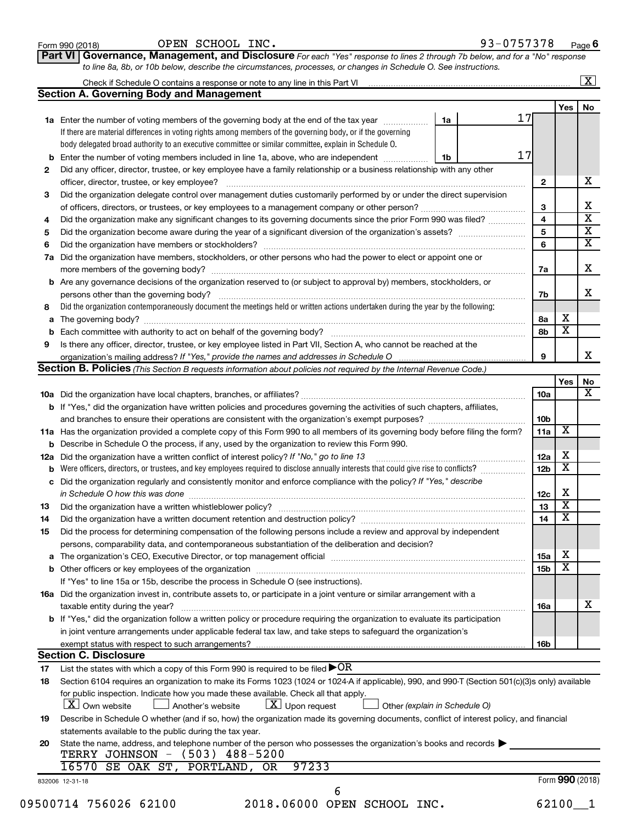|          |                                                                                                                                                 |    |    |                 | Yes                     | No                      |
|----------|-------------------------------------------------------------------------------------------------------------------------------------------------|----|----|-----------------|-------------------------|-------------------------|
|          | <b>1a</b> Enter the number of voting members of the governing body at the end of the tax year                                                   | 1a | 17 |                 |                         |                         |
|          | If there are material differences in voting rights among members of the governing body, or if the governing                                     |    |    |                 |                         |                         |
|          | body delegated broad authority to an executive committee or similar committee, explain in Schedule O.                                           |    |    |                 |                         |                         |
|          | <b>b</b> Enter the number of voting members included in line 1a, above, who are independent                                                     | 1b | 17 |                 |                         |                         |
| 2        | Did any officer, director, trustee, or key employee have a family relationship or a business relationship with any other                        |    |    |                 |                         |                         |
|          | officer, director, trustee, or key employee?                                                                                                    |    |    | $\mathbf{2}$    |                         | х                       |
| З        | Did the organization delegate control over management duties customarily performed by or under the direct supervision                           |    |    |                 |                         |                         |
|          |                                                                                                                                                 |    |    | 3               |                         | х                       |
| 4        | Did the organization make any significant changes to its governing documents since the prior Form 990 was filed?                                |    |    | 4               |                         | $\overline{\mathbf{X}}$ |
| 5        |                                                                                                                                                 |    |    | 5               |                         | $\overline{\mathbf{X}}$ |
| 6        |                                                                                                                                                 |    |    | 6               |                         | $\overline{\mathbf{X}}$ |
| 7a       | Did the organization have members, stockholders, or other persons who had the power to elect or appoint one or                                  |    |    |                 |                         |                         |
|          |                                                                                                                                                 |    |    | 7a              |                         | х                       |
|          | <b>b</b> Are any governance decisions of the organization reserved to (or subject to approval by) members, stockholders, or                     |    |    |                 |                         |                         |
|          | persons other than the governing body?                                                                                                          |    |    | 7b              |                         | x                       |
| 8        | Did the organization contemporaneously document the meetings held or written actions undertaken during the year by the following:               |    |    |                 |                         |                         |
|          |                                                                                                                                                 |    |    | 8а              | х                       |                         |
| b        |                                                                                                                                                 |    |    | 8b              | $\overline{\textbf{x}}$ |                         |
| 9        | Is there any officer, director, trustee, or key employee listed in Part VII, Section A, who cannot be reached at the                            |    |    |                 |                         |                         |
|          |                                                                                                                                                 |    |    | 9               |                         | x                       |
|          | <b>Section B. Policies</b> (This Section B requests information about policies not required by the Internal Revenue Code.)                      |    |    |                 |                         |                         |
|          |                                                                                                                                                 |    |    |                 | Yes                     | No                      |
|          |                                                                                                                                                 |    |    | 10a             |                         | x                       |
|          | b If "Yes," did the organization have written policies and procedures governing the activities of such chapters, affiliates,                    |    |    |                 |                         |                         |
|          |                                                                                                                                                 |    |    | 10b             |                         |                         |
|          | 11a Has the organization provided a complete copy of this Form 990 to all members of its governing body before filing the form?                 |    |    | 11a             | X                       |                         |
|          | <b>b</b> Describe in Schedule O the process, if any, used by the organization to review this Form 990.                                          |    |    |                 |                         |                         |
| 12a      | Did the organization have a written conflict of interest policy? If "No," go to line 13                                                         |    |    | 12a             | х                       |                         |
| b        | Were officers, directors, or trustees, and key employees required to disclose annually interests that could give rise to conflicts?             |    |    | 12 <sub>b</sub> | х                       |                         |
| c        | Did the organization regularly and consistently monitor and enforce compliance with the policy? If "Yes," describe                              |    |    |                 |                         |                         |
|          | in Schedule O how this was done <i>manufacture contract to the set of the set of the set of the set of the set of t</i>                         |    |    | 12c             | X                       |                         |
| 13       |                                                                                                                                                 |    |    | 13              | $\overline{\textbf{x}}$ |                         |
| 14       | Did the organization have a written document retention and destruction policy? [11] manufaction manufaction in                                  |    |    | 14              | $\overline{\mathbf{x}}$ |                         |
| 15       | Did the process for determining compensation of the following persons include a review and approval by independent                              |    |    |                 |                         |                         |
|          | persons, comparability data, and contemporaneous substantiation of the deliberation and decision?                                               |    |    |                 |                         |                         |
|          |                                                                                                                                                 |    |    | 15a             | х                       |                         |
|          |                                                                                                                                                 |    |    | 15 <sub>b</sub> | $\overline{\mathtt{x}}$ |                         |
|          | If "Yes" to line 15a or 15b, describe the process in Schedule O (see instructions).                                                             |    |    |                 |                         |                         |
|          | 16a Did the organization invest in, contribute assets to, or participate in a joint venture or similar arrangement with a                       |    |    |                 |                         |                         |
|          | taxable entity during the year?                                                                                                                 |    |    | 16a             |                         | х                       |
|          | b If "Yes," did the organization follow a written policy or procedure requiring the organization to evaluate its participation                  |    |    |                 |                         |                         |
|          | in joint venture arrangements under applicable federal tax law, and take steps to safeguard the organization's                                  |    |    |                 |                         |                         |
|          | exempt status with respect to such arrangements?                                                                                                |    |    | 16b             |                         |                         |
|          | <b>Section C. Disclosure</b>                                                                                                                    |    |    |                 |                         |                         |
| 17       | List the states with which a copy of this Form 990 is required to be filed $\blacktriangleright$ OR                                             |    |    |                 |                         |                         |
| 18       | Section 6104 requires an organization to make its Forms 1023 (1024 or 1024 A if applicable), 990, and 990-T (Section 501(c)(3)s only) available |    |    |                 |                         |                         |
|          | for public inspection. Indicate how you made these available. Check all that apply.                                                             |    |    |                 |                         |                         |
|          | $\lfloor x \rfloor$ Upon request<br>$ \mathbf{X} $ Own website<br>Another's website<br>Other (explain in Schedule O)                            |    |    |                 |                         |                         |
|          | Describe in Schedule O whether (and if so, how) the organization made its governing documents, conflict of interest policy, and financial       |    |    |                 |                         |                         |
|          |                                                                                                                                                 |    |    |                 |                         |                         |
|          |                                                                                                                                                 |    |    |                 |                         |                         |
|          | statements available to the public during the tax year.                                                                                         |    |    |                 |                         |                         |
|          | State the name, address, and telephone number of the person who possesses the organization's books and records                                  |    |    |                 |                         |                         |
|          | TERRY JOHNSON - (503) 488-5200                                                                                                                  |    |    |                 |                         |                         |
|          | 97233<br>16570 SE OAK ST, PORTLAND, OR                                                                                                          |    |    |                 |                         |                         |
|          | 832006 12-31-18                                                                                                                                 |    |    |                 | Form 990 (2018)         |                         |
| 19<br>20 | 6<br>09500714 756026 62100<br>2018.06000 OPEN SCHOOL INC.                                                                                       |    |    |                 | $62100 - 1$             |                         |

**Part VI** Governance, Management, and Disclosure For each "Yes" response to lines 2 through 7b below, and for a "No" response

Form 990 (2018)  $OPEN$  SCHOOL INC.  $93-0757378$  Page

**6**

 $\boxed{\text{X}}$ 

*to line 8a, 8b, or 10b below, describe the circumstances, processes, or changes in Schedule O. See instructions.*

Check if Schedule O contains a response or note to any line in this Part VI

**Section A. Governing Body and Management**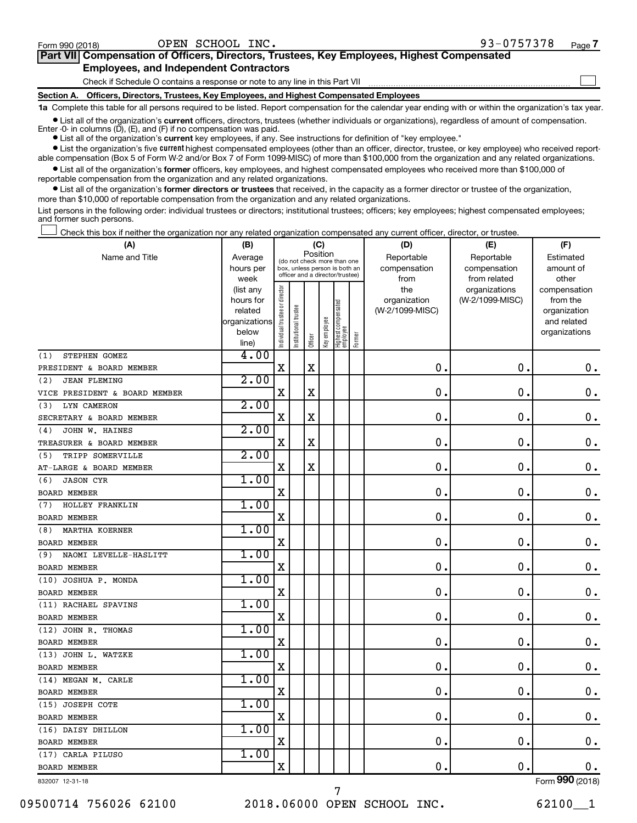$\Box$ 

| Part VII Compensation of Officers, Directors, Trustees, Key Employees, Highest Compensated |  |
|--------------------------------------------------------------------------------------------|--|
| <b>Employees, and Independent Contractors</b>                                              |  |

Check if Schedule O contains a response or note to any line in this Part VII

**Section A. Officers, Directors, Trustees, Key Employees, and Highest Compensated Employees**

**1a**  Complete this table for all persons required to be listed. Report compensation for the calendar year ending with or within the organization's tax year.

 $\bullet$  List all of the organization's current officers, directors, trustees (whether individuals or organizations), regardless of amount of compensation. Enter -0- in columns  $(D)$ ,  $(E)$ , and  $(F)$  if no compensation was paid.

**•** List all of the organization's **current** key employees, if any. See instructions for definition of "key employee."

**•** List the organization's five current highest compensated employees (other than an officer, director, trustee, or key employee) who received reportable compensation (Box 5 of Form W-2 and/or Box 7 of Form 1099-MISC) of more than \$100,000 from the organization and any related organizations.

**•** List all of the organization's former officers, key employees, and highest compensated employees who received more than \$100,000 of reportable compensation from the organization and any related organizations.

**•** List all of the organization's former directors or trustees that received, in the capacity as a former director or trustee of the organization, more than \$10,000 of reportable compensation from the organization and any related organizations.

List persons in the following order: individual trustees or directors; institutional trustees; officers; key employees; highest compensated employees; and former such persons.

Check this box if neither the organization nor any related organization compensated any current officer, director, or trustee.  $\Box$ 

| (A)                           | (B)                    |                                |                                                                  | (C)         |              |                                 |        | (D)             | (E)                              | (F)                      |
|-------------------------------|------------------------|--------------------------------|------------------------------------------------------------------|-------------|--------------|---------------------------------|--------|-----------------|----------------------------------|--------------------------|
| Name and Title                | Average                |                                | (do not check more than one                                      |             | Position     |                                 |        | Reportable      | Reportable                       | Estimated                |
|                               | hours per              |                                | box, unless person is both an<br>officer and a director/trustee) |             |              |                                 |        | compensation    | compensation                     | amount of                |
|                               | week                   |                                |                                                                  |             |              |                                 |        | from<br>the     | from related                     | other                    |
|                               | (list any<br>hours for |                                |                                                                  |             |              |                                 |        | organization    | organizations<br>(W-2/1099-MISC) | compensation<br>from the |
|                               | related                |                                |                                                                  |             |              |                                 |        | (W-2/1099-MISC) |                                  | organization             |
|                               | organizations          |                                |                                                                  |             |              |                                 |        |                 |                                  | and related              |
|                               | below                  | Individual trustee or director | Institutional trustee                                            |             | Key employee | Highest compensated<br>employee |        |                 |                                  | organizations            |
|                               | line)                  |                                |                                                                  | Officer     |              |                                 | Former |                 |                                  |                          |
| STEPHEN GOMEZ<br>(1)          | 4.00                   |                                |                                                                  |             |              |                                 |        |                 |                                  |                          |
| PRESIDENT & BOARD MEMBER      |                        | $\mathbf X$                    |                                                                  | $\mathbf X$ |              |                                 |        | $\mathbf 0$ .   | $\mathbf 0$ .                    | $\mathbf 0$ .            |
| (2)<br><b>JEAN FLEMING</b>    | 2.00                   |                                |                                                                  |             |              |                                 |        |                 |                                  |                          |
| VICE PRESIDENT & BOARD MEMBER |                        | X                              |                                                                  | X           |              |                                 |        | 0               | 0                                | $\mathbf 0$ .            |
| LYN CAMERON<br>(3)            | 2.00                   |                                |                                                                  |             |              |                                 |        |                 |                                  |                          |
| SECRETARY & BOARD MEMBER      |                        | X                              |                                                                  | X           |              |                                 |        | 0               | $\mathbf 0$                      | $\mathbf 0$ .            |
| JOHN W. HAINES<br>(4)         | 2.00                   |                                |                                                                  |             |              |                                 |        |                 |                                  |                          |
| TREASURER & BOARD MEMBER      |                        | X                              |                                                                  | X           |              |                                 |        | $\mathbf 0$ .   | $\mathbf 0$ .                    | $\mathbf 0$ .            |
| TRIPP SOMERVILLE<br>(5)       | 2.00                   |                                |                                                                  |             |              |                                 |        |                 |                                  |                          |
| AT-LARGE & BOARD MEMBER       |                        | X                              |                                                                  | X           |              |                                 |        | $\mathbf 0$     | 0.                               | $\mathbf 0$ .            |
| <b>JASON CYR</b><br>(6)       | 1.00                   |                                |                                                                  |             |              |                                 |        |                 |                                  |                          |
| <b>BOARD MEMBER</b>           |                        | X                              |                                                                  |             |              |                                 |        | $\mathbf 0$     | 0                                | $0$ .                    |
| HOLLEY FRANKLIN<br>(7)        | 1.00                   |                                |                                                                  |             |              |                                 |        |                 |                                  |                          |
| <b>BOARD MEMBER</b>           |                        | X                              |                                                                  |             |              |                                 |        | $\mathbf 0$     | 0                                | $0$ .                    |
| MARTHA KOERNER<br>(8)         | 1.00                   |                                |                                                                  |             |              |                                 |        |                 |                                  |                          |
| BOARD MEMBER                  |                        | X                              |                                                                  |             |              |                                 |        | $\mathbf 0$     | 0                                | $\mathbf 0$ .            |
| NAOMI LEVELLE-HASLITT<br>(9)  | 1.00                   |                                |                                                                  |             |              |                                 |        |                 |                                  |                          |
| <b>BOARD MEMBER</b>           |                        | X                              |                                                                  |             |              |                                 |        | 0               | $\mathbf 0$                      | $\mathbf 0$ .            |
| (10) JOSHUA P. MONDA          | 1.00                   |                                |                                                                  |             |              |                                 |        |                 |                                  |                          |
| <b>BOARD MEMBER</b>           |                        | $\mathbf X$                    |                                                                  |             |              |                                 |        | $\mathbf 0$     | $\mathbf 0$                      | 0.                       |
| (11) RACHAEL SPAVINS          | 1.00                   |                                |                                                                  |             |              |                                 |        |                 |                                  |                          |
| <b>BOARD MEMBER</b>           |                        | Χ                              |                                                                  |             |              |                                 |        | 0               | $\mathbf 0$                      | $\mathbf 0$ .            |
| (12) JOHN R. THOMAS           | 1.00                   |                                |                                                                  |             |              |                                 |        |                 |                                  |                          |
| <b>BOARD MEMBER</b>           |                        | $\mathbf X$                    |                                                                  |             |              |                                 |        | $\mathbf{0}$ .  | $\mathbf 0$ .                    | $0$ .                    |
| (13) JOHN L. WATZKE           | 1.00                   |                                |                                                                  |             |              |                                 |        |                 |                                  |                          |
| <b>BOARD MEMBER</b>           |                        | Χ                              |                                                                  |             |              |                                 |        | $\mathbf 0$     | $\mathbf 0$ .                    | $\mathbf 0$ .            |
| (14) MEGAN M. CARLE           | 1.00                   |                                |                                                                  |             |              |                                 |        |                 |                                  |                          |
| <b>BOARD MEMBER</b>           |                        | X                              |                                                                  |             |              |                                 |        | $\mathbf 0$ .   | $\mathbf 0$ .                    | $\mathbf 0$ .            |
| (15) JOSEPH COTE              | 1.00                   |                                |                                                                  |             |              |                                 |        |                 |                                  |                          |
| <b>BOARD MEMBER</b>           |                        | X                              |                                                                  |             |              |                                 |        | 0.              | $\mathbf 0$ .                    | $\mathbf 0$ .            |
| (16) DAISY DHILLON            | 1.00                   |                                |                                                                  |             |              |                                 |        |                 |                                  |                          |
| <b>BOARD MEMBER</b>           |                        | $\mathbf X$                    |                                                                  |             |              |                                 |        | 0.              | $\mathbf 0$ .                    | $\mathbf 0$ .            |
| (17) CARLA PILUSO             | 1.00                   |                                |                                                                  |             |              |                                 |        |                 |                                  |                          |
| <b>BOARD MEMBER</b>           |                        | X                              |                                                                  |             |              |                                 |        | 0               | $\mathbf 0$ .                    | 0.                       |
|                               |                        |                                |                                                                  |             |              |                                 |        |                 |                                  | $\overline{\phantom{0}}$ |

832007 12-31-18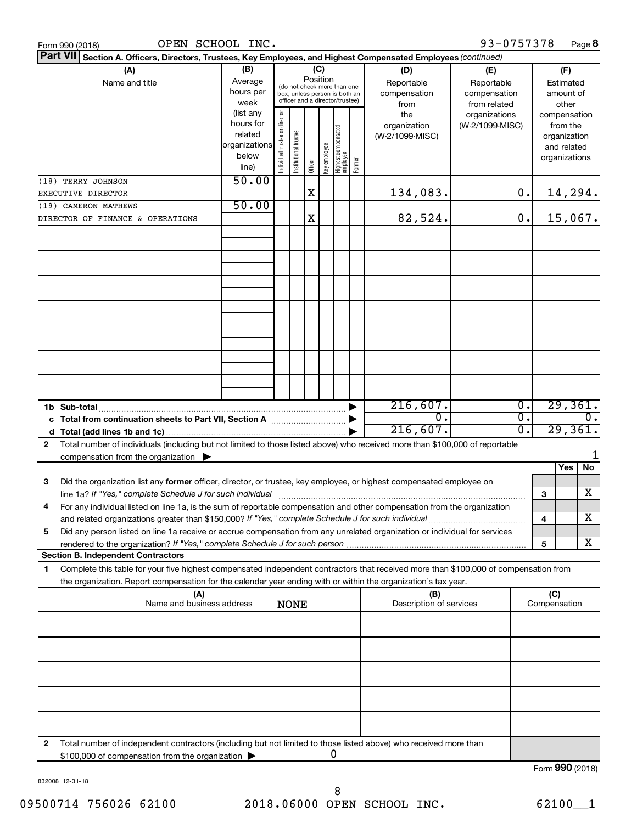|                                                                                                                           | 93-0757378<br>OPEN SCHOOL INC.<br>Form 990 (2018)                                                                                                                                                                                                      |                                                         |                                |                                                                                                                    |         |              |                                 |        |                                           |                                                   |                        | Page 8              |                                                                          |
|---------------------------------------------------------------------------------------------------------------------------|--------------------------------------------------------------------------------------------------------------------------------------------------------------------------------------------------------------------------------------------------------|---------------------------------------------------------|--------------------------------|--------------------------------------------------------------------------------------------------------------------|---------|--------------|---------------------------------|--------|-------------------------------------------|---------------------------------------------------|------------------------|---------------------|--------------------------------------------------------------------------|
| <b>Part VII</b><br>Section A. Officers, Directors, Trustees, Key Employees, and Highest Compensated Employees (continued) |                                                                                                                                                                                                                                                        |                                                         |                                |                                                                                                                    |         |              |                                 |        |                                           |                                                   |                        |                     |                                                                          |
|                                                                                                                           | (A)<br>Name and title                                                                                                                                                                                                                                  | (B)<br>Average<br>hours per<br>week<br>(list any        |                                | (C)<br>Position<br>(do not check more than one<br>box, unless person is both an<br>officer and a director/trustee) |         |              |                                 |        | (D)<br>Reportable<br>compensation<br>from | (E)<br>Reportable<br>compensation<br>from related |                        |                     | (F)<br>Estimated<br>amount of<br>other                                   |
|                                                                                                                           |                                                                                                                                                                                                                                                        | hours for<br>related<br>organizations<br>below<br>line) | Individual trustee or director | Institutional trustee                                                                                              | Officer | key employee | Highest compensated<br>employee | Former | the<br>organization<br>(W-2/1099-MISC)    | organizations<br>(W-2/1099-MISC)                  |                        |                     | compensation<br>from the<br>organization<br>and related<br>organizations |
|                                                                                                                           | (18) TERRY JOHNSON<br>EXECUTIVE DIRECTOR                                                                                                                                                                                                               | 50.00                                                   |                                |                                                                                                                    | Χ       |              |                                 |        | 134,083.                                  |                                                   | 0.                     |                     | 14,294.                                                                  |
|                                                                                                                           | (19) CAMERON MATHEWS                                                                                                                                                                                                                                   | 50.00                                                   |                                |                                                                                                                    |         |              |                                 |        |                                           |                                                   |                        |                     |                                                                          |
|                                                                                                                           | DIRECTOR OF FINANCE & OPERATIONS                                                                                                                                                                                                                       |                                                         |                                |                                                                                                                    | Χ       |              |                                 |        | 82,524.                                   |                                                   | 0.                     |                     | 15,067.                                                                  |
|                                                                                                                           |                                                                                                                                                                                                                                                        |                                                         |                                |                                                                                                                    |         |              |                                 |        |                                           |                                                   |                        |                     |                                                                          |
|                                                                                                                           |                                                                                                                                                                                                                                                        |                                                         |                                |                                                                                                                    |         |              |                                 |        |                                           |                                                   |                        |                     |                                                                          |
|                                                                                                                           |                                                                                                                                                                                                                                                        |                                                         |                                |                                                                                                                    |         |              |                                 |        |                                           |                                                   |                        |                     |                                                                          |
|                                                                                                                           |                                                                                                                                                                                                                                                        |                                                         |                                |                                                                                                                    |         |              |                                 |        |                                           |                                                   |                        |                     |                                                                          |
|                                                                                                                           |                                                                                                                                                                                                                                                        |                                                         |                                |                                                                                                                    |         |              |                                 |        | 216,607.<br>0.                            |                                                   | $\overline{0}$ .<br>σ. |                     | 29,361.<br>О.                                                            |
| d<br>2                                                                                                                    | Total number of individuals (including but not limited to those listed above) who received more than \$100,000 of reportable                                                                                                                           |                                                         |                                |                                                                                                                    |         |              |                                 |        | 216,607.                                  |                                                   | σ.                     |                     | 29,361.                                                                  |
|                                                                                                                           | compensation from the organization $\blacktriangleright$                                                                                                                                                                                               |                                                         |                                |                                                                                                                    |         |              |                                 |        |                                           |                                                   |                        |                     |                                                                          |
| 3                                                                                                                         | Did the organization list any former officer, director, or trustee, key employee, or highest compensated employee on                                                                                                                                   |                                                         |                                |                                                                                                                    |         |              |                                 |        |                                           |                                                   |                        |                     | No<br>Yes                                                                |
|                                                                                                                           | line 1a? If "Yes," complete Schedule J for such individual                                                                                                                                                                                             |                                                         |                                |                                                                                                                    |         |              |                                 |        |                                           |                                                   |                        | З                   | x                                                                        |
| 4                                                                                                                         | For any individual listed on line 1a, is the sum of reportable compensation and other compensation from the organization                                                                                                                               |                                                         |                                |                                                                                                                    |         |              |                                 |        |                                           |                                                   |                        | 4                   | х                                                                        |
| 5                                                                                                                         | Did any person listed on line 1a receive or accrue compensation from any unrelated organization or individual for services                                                                                                                             |                                                         |                                |                                                                                                                    |         |              |                                 |        |                                           |                                                   |                        | 5                   | X                                                                        |
|                                                                                                                           | <b>Section B. Independent Contractors</b>                                                                                                                                                                                                              |                                                         |                                |                                                                                                                    |         |              |                                 |        |                                           |                                                   |                        |                     |                                                                          |
| 1                                                                                                                         | Complete this table for your five highest compensated independent contractors that received more than \$100,000 of compensation from<br>the organization. Report compensation for the calendar year ending with or within the organization's tax year. |                                                         |                                |                                                                                                                    |         |              |                                 |        |                                           |                                                   |                        |                     |                                                                          |
|                                                                                                                           | (A)<br>Name and business address                                                                                                                                                                                                                       |                                                         |                                | <b>NONE</b>                                                                                                        |         |              |                                 |        | (B)<br>Description of services            |                                                   |                        | (C)<br>Compensation |                                                                          |
|                                                                                                                           |                                                                                                                                                                                                                                                        |                                                         |                                |                                                                                                                    |         |              |                                 |        |                                           |                                                   |                        |                     |                                                                          |
|                                                                                                                           |                                                                                                                                                                                                                                                        |                                                         |                                |                                                                                                                    |         |              |                                 |        |                                           |                                                   |                        |                     |                                                                          |
|                                                                                                                           |                                                                                                                                                                                                                                                        |                                                         |                                |                                                                                                                    |         |              |                                 |        |                                           |                                                   |                        |                     |                                                                          |
| 2                                                                                                                         | Total number of independent contractors (including but not limited to those listed above) who received more than                                                                                                                                       |                                                         |                                |                                                                                                                    |         |              |                                 |        |                                           |                                                   |                        |                     |                                                                          |
|                                                                                                                           | \$100,000 of compensation from the organization                                                                                                                                                                                                        |                                                         |                                |                                                                                                                    |         |              | 0                               |        |                                           |                                                   |                        |                     | Form 990 (2018)                                                          |

832008 12-31-18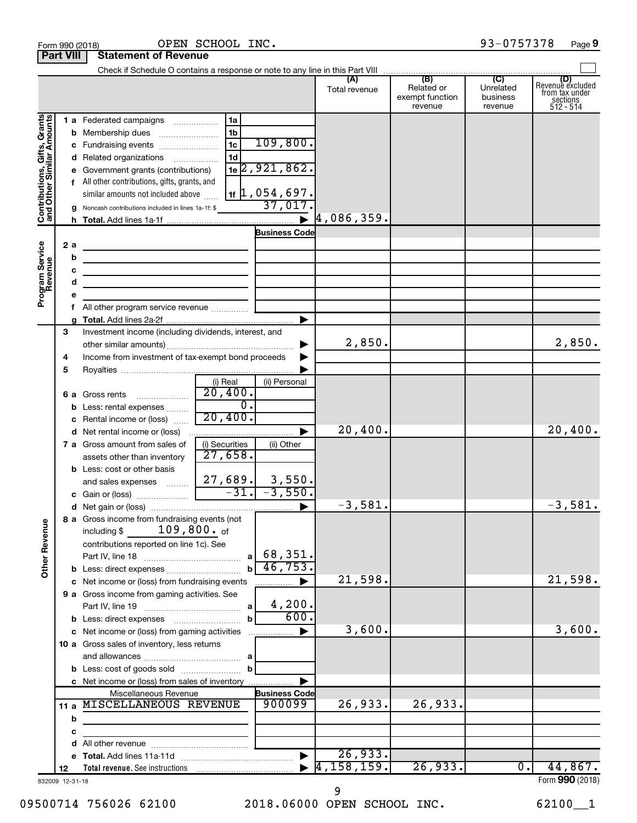|                                                           | <b>Part VIII</b> | <b>Statement of Revenue</b>                                                             |                        |                                        |               |                                          |                                  |                                                                    |
|-----------------------------------------------------------|------------------|-----------------------------------------------------------------------------------------|------------------------|----------------------------------------|---------------|------------------------------------------|----------------------------------|--------------------------------------------------------------------|
|                                                           |                  |                                                                                         |                        |                                        |               |                                          |                                  |                                                                    |
|                                                           |                  |                                                                                         |                        |                                        | Total revenue | Related or<br>exempt function<br>revenue | Unrelated<br>business<br>revenue | (D)<br>Revenue excluded<br>from tax under<br>sections<br>512 - 514 |
| Contributions, Gifts, Grants<br>and Other Similar Amounts |                  | 1 a Federated campaigns                                                                 | 1a                     |                                        |               |                                          |                                  |                                                                    |
|                                                           | b                | Membership dues                                                                         | 1 <sub>b</sub>         |                                        |               |                                          |                                  |                                                                    |
|                                                           |                  | c Fundraising events                                                                    | 1c                     | 109,800.                               |               |                                          |                                  |                                                                    |
|                                                           |                  | d Related organizations                                                                 | 1d                     |                                        |               |                                          |                                  |                                                                    |
|                                                           |                  | Government grants (contributions)                                                       |                        | $1e$ 2, 921, 862.                      |               |                                          |                                  |                                                                    |
|                                                           |                  | f All other contributions, gifts, grants, and                                           |                        |                                        |               |                                          |                                  |                                                                    |
|                                                           |                  | similar amounts not included above                                                      |                        | $\frac{1}{11}$ , 054, 697.<br>37, 017. |               |                                          |                                  |                                                                    |
|                                                           |                  | Noncash contributions included in lines 1a-1f: \$                                       |                        |                                        |               |                                          |                                  |                                                                    |
|                                                           |                  |                                                                                         |                        | <b>Business Code</b>                   | 4,086,359.    |                                          |                                  |                                                                    |
|                                                           |                  |                                                                                         |                        |                                        |               |                                          |                                  |                                                                    |
|                                                           | 2a<br>b          | the control of the control of the control of the control of                             |                        |                                        |               |                                          |                                  |                                                                    |
|                                                           | c                | the control of the control of the control of the control of the                         |                        |                                        |               |                                          |                                  |                                                                    |
|                                                           | d                | the control of the control of the control of the control of the control of              |                        |                                        |               |                                          |                                  |                                                                    |
| Program Service<br>Revenue                                | е                | the control of the control of the control of the control of the control of              |                        |                                        |               |                                          |                                  |                                                                    |
|                                                           |                  | f All other program service revenue                                                     |                        |                                        |               |                                          |                                  |                                                                    |
|                                                           |                  |                                                                                         |                        |                                        |               |                                          |                                  |                                                                    |
|                                                           | 3                | Investment income (including dividends, interest, and                                   |                        |                                        |               |                                          |                                  |                                                                    |
|                                                           |                  |                                                                                         |                        |                                        | 2,850.        |                                          |                                  | 2,850.                                                             |
|                                                           | 4                | Income from investment of tax-exempt bond proceeds                                      |                        |                                        |               |                                          |                                  |                                                                    |
|                                                           | 5                |                                                                                         |                        |                                        |               |                                          |                                  |                                                                    |
|                                                           |                  |                                                                                         | (i) Real               | (ii) Personal                          |               |                                          |                                  |                                                                    |
|                                                           |                  | <b>6 a</b> Gross rents<br>$\ldots \ldots \ldots \ldots \ldots$                          | $\overline{20}$ , 400. |                                        |               |                                          |                                  |                                                                    |
|                                                           | b                | Less: rental expenses                                                                   | $\overline{0}$ .       |                                        |               |                                          |                                  |                                                                    |
|                                                           | с                | Rental income or (loss)                                                                 | 20,400.                |                                        |               |                                          |                                  |                                                                    |
|                                                           |                  | d Net rental income or (loss)                                                           |                        |                                        | 20,400.       |                                          |                                  | 20,400.                                                            |
|                                                           |                  | <b>7 a</b> Gross amount from sales of                                                   | (i) Securities         | (ii) Other                             |               |                                          |                                  |                                                                    |
|                                                           |                  | assets other than inventory                                                             | 27,658.                |                                        |               |                                          |                                  |                                                                    |
|                                                           |                  | <b>b</b> Less: cost or other basis                                                      |                        |                                        |               |                                          |                                  |                                                                    |
|                                                           |                  |                                                                                         |                        |                                        |               |                                          |                                  |                                                                    |
|                                                           |                  |                                                                                         |                        |                                        | $-3,581.$     |                                          |                                  | $-3,581.$                                                          |
|                                                           |                  | 8 a Gross income from fundraising events (not                                           |                        |                                        |               |                                          |                                  |                                                                    |
| <b>Other Revenue</b>                                      |                  | $109$ ,800. $_{\mathrm{of}}$<br>including \$<br>contributions reported on line 1c). See |                        |                                        |               |                                          |                                  |                                                                    |
|                                                           |                  |                                                                                         | al                     | 68,351.                                |               |                                          |                                  |                                                                    |
|                                                           |                  |                                                                                         | $\mathbf{b}$           | 46,753.                                |               |                                          |                                  |                                                                    |
|                                                           |                  | c Net income or (loss) from fundraising events                                          |                        | .                                      | 21,598.       |                                          |                                  | 21,598.                                                            |
|                                                           |                  | 9 a Gross income from gaming activities. See                                            |                        | 4,200.                                 |               |                                          |                                  |                                                                    |
|                                                           |                  |                                                                                         |                        | 600.                                   |               |                                          |                                  |                                                                    |
|                                                           |                  |                                                                                         | $\mathbf b$            |                                        | 3,600.        |                                          |                                  | 3,600.                                                             |
|                                                           |                  | c Net income or (loss) from gaming activities                                           |                        |                                        |               |                                          |                                  |                                                                    |
|                                                           |                  | 10 a Gross sales of inventory, less returns                                             |                        |                                        |               |                                          |                                  |                                                                    |
|                                                           |                  |                                                                                         | $\mathbf{b}$           |                                        |               |                                          |                                  |                                                                    |
|                                                           |                  | c Net income or (loss) from sales of inventory                                          |                        |                                        |               |                                          |                                  |                                                                    |
|                                                           |                  | Miscellaneous Revenue                                                                   |                        | <b>Business Code</b>                   |               |                                          |                                  |                                                                    |
|                                                           |                  | 11 a MISCELLANEOUS REVENUE                                                              |                        | 900099                                 | 26,933.       | 26,933.                                  |                                  |                                                                    |
|                                                           | b                | the control of the control of the control of the control of the                         |                        |                                        |               |                                          |                                  |                                                                    |
|                                                           | c                |                                                                                         |                        |                                        |               |                                          |                                  |                                                                    |
|                                                           | d                |                                                                                         |                        |                                        |               |                                          |                                  |                                                                    |
|                                                           | е                |                                                                                         |                        |                                        | 26,933.       |                                          |                                  |                                                                    |
|                                                           | 12               |                                                                                         |                        |                                        | 4, 158, 159.  | 26,933.                                  | 0.                               | 44,867.                                                            |
|                                                           | 832009 12-31-18  |                                                                                         |                        |                                        |               |                                          |                                  | Form 990 (2018)                                                    |

Form 990 (2018) OPEN SCHOOL INC. 93-0757378 Page

93-0757378 Page 9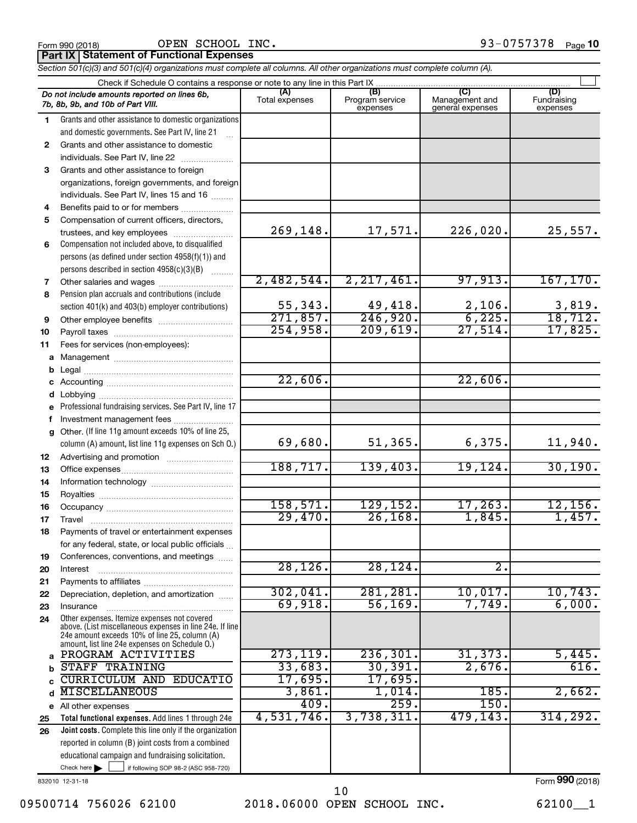Form 990 (2018)  $OPEN$  SCHOOL INC.  $93-0757378$  Page **Part IX Statement of Functional Expenses**

|                                                                             | Section 501(c)(3) and 501(c)(4) organizations must complete all columns. All other organizations must complete column (A).                                  |                       |                                    |                                           |                                |  |  |
|-----------------------------------------------------------------------------|-------------------------------------------------------------------------------------------------------------------------------------------------------------|-----------------------|------------------------------------|-------------------------------------------|--------------------------------|--|--|
| Check if Schedule O contains a response or note to any line in this Part IX |                                                                                                                                                             |                       |                                    |                                           |                                |  |  |
|                                                                             | Do not include amounts reported on lines 6b,<br>7b, 8b, 9b, and 10b of Part VIII.                                                                           | (A)<br>Total expenses | (B)<br>Program service<br>expenses | (C)<br>Management and<br>general expenses | (D)<br>Fundraising<br>expenses |  |  |
| 1.                                                                          | Grants and other assistance to domestic organizations                                                                                                       |                       |                                    |                                           |                                |  |  |
|                                                                             | and domestic governments. See Part IV, line 21                                                                                                              |                       |                                    |                                           |                                |  |  |
| $\mathbf{2}$                                                                | Grants and other assistance to domestic                                                                                                                     |                       |                                    |                                           |                                |  |  |
|                                                                             | individuals. See Part IV, line 22                                                                                                                           |                       |                                    |                                           |                                |  |  |
| 3                                                                           | Grants and other assistance to foreign                                                                                                                      |                       |                                    |                                           |                                |  |  |
|                                                                             | organizations, foreign governments, and foreign                                                                                                             |                       |                                    |                                           |                                |  |  |
|                                                                             | individuals. See Part IV, lines 15 and 16                                                                                                                   |                       |                                    |                                           |                                |  |  |
| 4                                                                           | Benefits paid to or for members                                                                                                                             |                       |                                    |                                           |                                |  |  |
| 5                                                                           | Compensation of current officers, directors,                                                                                                                |                       |                                    |                                           |                                |  |  |
|                                                                             | trustees, and key employees                                                                                                                                 | 269,148.              | 17,571.                            | 226,020.                                  | 25,557.                        |  |  |
| 6                                                                           | Compensation not included above, to disqualified                                                                                                            |                       |                                    |                                           |                                |  |  |
|                                                                             | persons (as defined under section 4958(f)(1)) and                                                                                                           |                       |                                    |                                           |                                |  |  |
|                                                                             | persons described in section 4958(c)(3)(B)                                                                                                                  |                       |                                    |                                           |                                |  |  |
| 7                                                                           |                                                                                                                                                             | 2,482,544.            | 2, 217, 461.                       | 97,913.                                   | 167, 170.                      |  |  |
| 8                                                                           | Pension plan accruals and contributions (include                                                                                                            |                       |                                    |                                           |                                |  |  |
|                                                                             | section 401(k) and 403(b) employer contributions)                                                                                                           | 55,343.               | 49,418.                            | $\frac{2,106}{6,225}$                     | $\frac{3,819}{18,712}$         |  |  |
| 9                                                                           | Other employee benefits                                                                                                                                     | 271,857.              | 246,920.                           |                                           |                                |  |  |
| 10                                                                          |                                                                                                                                                             | 254,958.              | 209,619.                           | 27,514.                                   | 17,825.                        |  |  |
| 11                                                                          | Fees for services (non-employees):                                                                                                                          |                       |                                    |                                           |                                |  |  |
| a                                                                           |                                                                                                                                                             |                       |                                    |                                           |                                |  |  |
| b                                                                           |                                                                                                                                                             |                       |                                    |                                           |                                |  |  |
| с                                                                           |                                                                                                                                                             | 22,606.               |                                    | 22,606.                                   |                                |  |  |
| d                                                                           |                                                                                                                                                             |                       |                                    |                                           |                                |  |  |
| е                                                                           | Professional fundraising services. See Part IV, line 17                                                                                                     |                       |                                    |                                           |                                |  |  |
| f                                                                           | Investment management fees                                                                                                                                  |                       |                                    |                                           |                                |  |  |
| g                                                                           | Other. (If line 11g amount exceeds 10% of line 25,                                                                                                          |                       |                                    |                                           |                                |  |  |
|                                                                             | column (A) amount, list line 11g expenses on Sch O.)                                                                                                        | 69,680.               | 51,365.                            | 6,375.                                    | 11,940.                        |  |  |
| 12                                                                          |                                                                                                                                                             |                       |                                    |                                           |                                |  |  |
| 13                                                                          |                                                                                                                                                             | 188,717.              | 139,403.                           | 19, 124.                                  | 30, 190.                       |  |  |
| 14                                                                          |                                                                                                                                                             |                       |                                    |                                           |                                |  |  |
| 15                                                                          |                                                                                                                                                             | 158,571.              | 129, 152.                          | 17, 263.                                  | 12, 156.                       |  |  |
| 16                                                                          |                                                                                                                                                             | 29,470.               | 26, 168.                           | 1,845.                                    | 1,457.                         |  |  |
| 17                                                                          |                                                                                                                                                             |                       |                                    |                                           |                                |  |  |
|                                                                             | Payments of travel or entertainment expenses                                                                                                                |                       |                                    |                                           |                                |  |  |
|                                                                             | for any federal, state, or local public officials                                                                                                           |                       |                                    |                                           |                                |  |  |
| 19                                                                          | Conferences, conventions, and meetings                                                                                                                      | 28, 126.              | 28, 124.                           | $\overline{2}$ .                          |                                |  |  |
| 20                                                                          | Interest                                                                                                                                                    |                       |                                    |                                           |                                |  |  |
| 21<br>22                                                                    | Depreciation, depletion, and amortization                                                                                                                   | 302,041.              | 281,281.                           | 10,017.                                   | 10, 743.                       |  |  |
| 23                                                                          | Insurance                                                                                                                                                   | 69,918.               | 56, 169.                           | 7,749.                                    | 6,000.                         |  |  |
| 24                                                                          | Other expenses. Itemize expenses not covered                                                                                                                |                       |                                    |                                           |                                |  |  |
|                                                                             | above. (List miscellaneous expenses in line 24e. If line<br>24e amount exceeds 10% of line 25, column (A)<br>amount, list line 24e expenses on Schedule O.) |                       |                                    |                                           |                                |  |  |
| a                                                                           | PROGRAM ACTIVITIES                                                                                                                                          | 273, 119.             | 236, 301.                          | 31, 373.                                  | 5,445.                         |  |  |
|                                                                             | <b>STAFF TRAINING</b>                                                                                                                                       | 33,683.               | 30, 391.                           | 2,676.                                    | 616.                           |  |  |
|                                                                             | <b>CURRICULUM AND</b><br><b>EDUCATIO</b>                                                                                                                    | 17,695.               | 17,695.                            |                                           |                                |  |  |
| d                                                                           | <b>MISCELLANEOUS</b>                                                                                                                                        | 3,861.                | 1,014.                             | 185.                                      | 2,662.                         |  |  |
|                                                                             | e All other expenses                                                                                                                                        | 409.                  | 259.                               | 150.                                      |                                |  |  |
| 25                                                                          | Total functional expenses. Add lines 1 through 24e                                                                                                          | 4,531,746.            | 3,738,311                          | 479,143.                                  | 314, 292.                      |  |  |
| 26                                                                          | <b>Joint costs.</b> Complete this line only if the organization                                                                                             |                       |                                    |                                           |                                |  |  |
|                                                                             | reported in column (B) joint costs from a combined                                                                                                          |                       |                                    |                                           |                                |  |  |
|                                                                             | educational campaign and fundraising solicitation.                                                                                                          |                       |                                    |                                           |                                |  |  |

832010 12-31-18

Check here

Check here  $\begin{array}{c} \begin{array}{|c} \hline \end{array} \end{array}$  if following SOP 98-2 (ASC 958-720)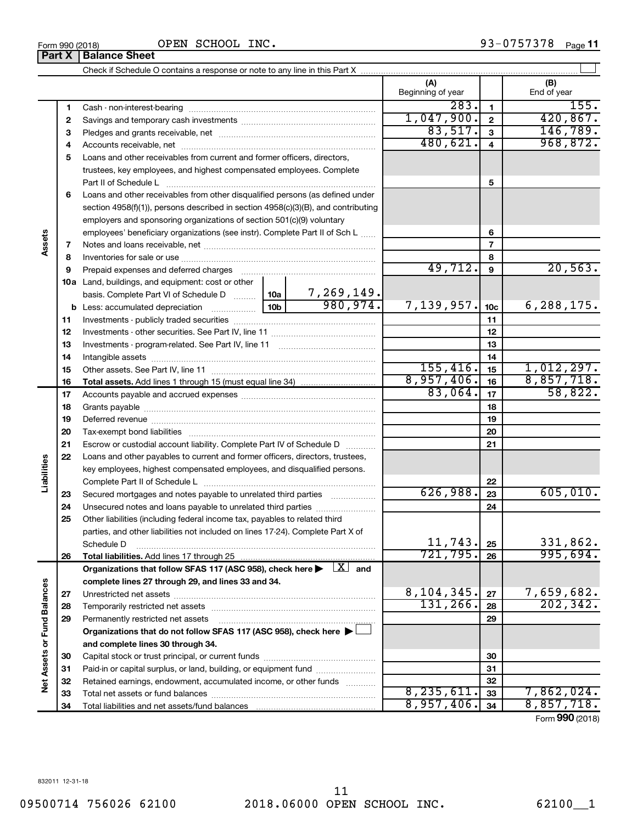11

|                             |    |                                                                                                                         |                 |            | (A)<br>Beginning of year |                         | (B)<br>End of year |
|-----------------------------|----|-------------------------------------------------------------------------------------------------------------------------|-----------------|------------|--------------------------|-------------------------|--------------------|
|                             | 1  |                                                                                                                         |                 |            | 283.                     | $\blacksquare$          | 155.               |
|                             | 2  |                                                                                                                         |                 |            | 1,047,900.               | $\overline{\mathbf{2}}$ | 420,867.           |
|                             | З  |                                                                                                                         |                 |            | 83,517.                  | 3                       | 146,789.           |
|                             | 4  |                                                                                                                         |                 |            | 480,621.                 | $\overline{\mathbf{4}}$ | 968,872.           |
|                             | 5  | Loans and other receivables from current and former officers, directors,                                                |                 |            |                          |                         |                    |
|                             |    | trustees, key employees, and highest compensated employees. Complete                                                    |                 |            |                          |                         |                    |
|                             |    | Part II of Schedule L                                                                                                   |                 |            |                          | 5                       |                    |
|                             | 6  | Loans and other receivables from other disqualified persons (as defined under                                           |                 |            |                          |                         |                    |
|                             |    | section 4958(f)(1)), persons described in section 4958(c)(3)(B), and contributing                                       |                 |            |                          |                         |                    |
|                             |    | employers and sponsoring organizations of section 501(c)(9) voluntary                                                   |                 |            |                          |                         |                    |
|                             |    | employees' beneficiary organizations (see instr). Complete Part II of Sch L                                             |                 |            |                          | 6                       |                    |
| Assets                      | 7  |                                                                                                                         |                 |            |                          | 7                       |                    |
|                             | 8  |                                                                                                                         |                 |            |                          | 8                       |                    |
|                             | 9  | Prepaid expenses and deferred charges                                                                                   |                 |            | 49,712.                  | $\boldsymbol{9}$        | 20,563.            |
|                             |    | <b>10a</b> Land, buildings, and equipment: cost or other                                                                |                 |            |                          |                         |                    |
|                             |    | basis. Complete Part VI of Schedule D  10a                                                                              |                 | 7,269,149. |                          |                         |                    |
|                             |    | <b>b</b> Less: accumulated depreciation <i></i>                                                                         | 10 <sub>b</sub> | 980, 974.  | 7,139,957.               | 10 <sub>c</sub>         | 6, 288, 175.       |
|                             | 11 |                                                                                                                         |                 |            |                          | 11                      |                    |
|                             | 12 |                                                                                                                         |                 |            |                          | 12                      |                    |
|                             | 13 |                                                                                                                         |                 |            |                          | 13                      |                    |
|                             | 14 |                                                                                                                         |                 | 14         |                          |                         |                    |
|                             | 15 |                                                                                                                         | 155,416.        | 15         | 1,012,297.               |                         |                    |
|                             | 16 |                                                                                                                         |                 |            | 8,957,406.               | 16                      | 8,857,718.         |
|                             | 17 |                                                                                                                         | 83,064.         | 17         | 58,822.                  |                         |                    |
|                             | 18 |                                                                                                                         |                 | 18         |                          |                         |                    |
|                             | 19 |                                                                                                                         |                 | 19         |                          |                         |                    |
|                             | 20 |                                                                                                                         |                 |            | 20                       |                         |                    |
|                             | 21 | Escrow or custodial account liability. Complete Part IV of Schedule D                                                   |                 |            |                          | 21                      |                    |
|                             | 22 | Loans and other payables to current and former officers, directors, trustees,                                           |                 |            |                          |                         |                    |
|                             |    | key employees, highest compensated employees, and disqualified persons.                                                 |                 |            |                          |                         |                    |
| Liabilities                 |    |                                                                                                                         |                 |            | 626,988.                 | 22                      | 605,010.           |
|                             | 23 | Secured mortgages and notes payable to unrelated third parties                                                          |                 |            |                          | 23                      |                    |
|                             | 24 | Unsecured notes and loans payable to unrelated third parties                                                            |                 |            |                          | 24                      |                    |
|                             | 25 | Other liabilities (including federal income tax, payables to related third                                              |                 |            |                          |                         |                    |
|                             |    | parties, and other liabilities not included on lines 17-24). Complete Part X of<br>Schedule D                           | 11,743.         | 25         | 331,862.                 |                         |                    |
|                             | 26 |                                                                                                                         |                 |            | 721,795.                 | 26                      | 995,694.           |
|                             |    | Organizations that follow SFAS 117 (ASC 958), check here $\blacktriangleright \begin{array}{c} \perp X \end{array}$ and |                 |            |                          |                         |                    |
|                             |    | complete lines 27 through 29, and lines 33 and 34.                                                                      |                 |            |                          |                         |                    |
| Net Assets or Fund Balances | 27 |                                                                                                                         | 8,104,345.      | 27         | 7,659,682.               |                         |                    |
|                             | 28 |                                                                                                                         |                 |            | 131, 266.                | 28                      | 202, 342.          |
|                             | 29 | Permanently restricted net assets                                                                                       |                 |            |                          | 29                      |                    |
|                             |    | Organizations that do not follow SFAS 117 (ASC 958), check here ▶ □                                                     |                 |            |                          |                         |                    |
|                             |    | and complete lines 30 through 34.                                                                                       |                 |            |                          |                         |                    |
|                             | 30 |                                                                                                                         |                 |            |                          | 30                      |                    |
|                             | 31 | Paid-in or capital surplus, or land, building, or equipment fund                                                        |                 |            |                          | 31                      |                    |
|                             | 32 | Retained earnings, endowment, accumulated income, or other funds                                                        |                 |            |                          | 32                      |                    |
|                             | 33 |                                                                                                                         |                 |            | 8, 235, 611.             | 33                      | 7,862,024.         |
|                             | 34 |                                                                                                                         |                 |            | 8,957,406.               | 34                      | 8,857,718.         |

Form (2018) **990**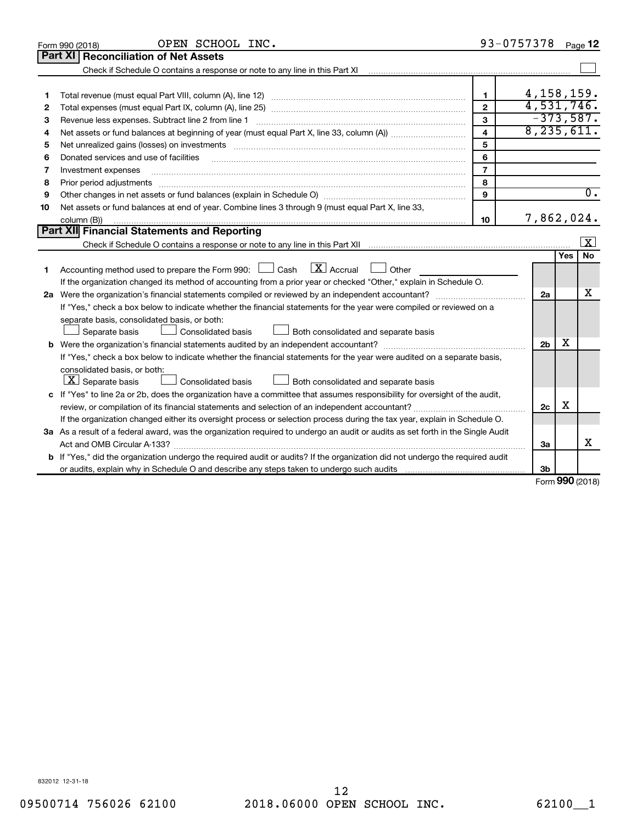|    | OPEN SCHOOL INC.<br>Form 990 (2018)                                                                                                                               | 93-0757378              |                |        | Page 12          |
|----|-------------------------------------------------------------------------------------------------------------------------------------------------------------------|-------------------------|----------------|--------|------------------|
|    | <b>Part XI</b><br><b>Reconciliation of Net Assets</b>                                                                                                             |                         |                |        |                  |
|    | Check if Schedule O contains a response or note to any line in this Part XI [11] [12] Check if Schedule O contains a response or note to any line in this Part XI |                         |                |        |                  |
|    |                                                                                                                                                                   |                         |                |        |                  |
| 1  |                                                                                                                                                                   | $\mathbf{1}$            | 4, 158, 159.   |        |                  |
| 2  |                                                                                                                                                                   | $\overline{2}$          | 4,531,746.     |        |                  |
| 3  | Revenue less expenses. Subtract line 2 from line 1                                                                                                                | 3                       | $-373,587.$    |        |                  |
| 4  |                                                                                                                                                                   | $\overline{\mathbf{4}}$ | 8, 235, 611.   |        |                  |
| 5  |                                                                                                                                                                   | 5                       |                |        |                  |
| 6  | Donated services and use of facilities                                                                                                                            | 6                       |                |        |                  |
| 7  | Investment expenses                                                                                                                                               | $\overline{7}$          |                |        |                  |
| 8  |                                                                                                                                                                   | 8                       |                |        |                  |
| 9  |                                                                                                                                                                   | 9                       |                |        | $\overline{0}$ . |
| 10 | Net assets or fund balances at end of year. Combine lines 3 through 9 (must equal Part X, line 33,                                                                |                         |                |        |                  |
|    | column (B))                                                                                                                                                       | 10                      | 7,862,024.     |        |                  |
|    | Part XII Financial Statements and Reporting                                                                                                                       |                         |                |        |                  |
|    |                                                                                                                                                                   |                         |                |        | X                |
|    |                                                                                                                                                                   |                         |                | Yes    | <b>No</b>        |
| 1  | $\lfloor \mathbf{X} \rfloor$ Accrual<br>Accounting method used to prepare the Form 990: [130] Cash<br>$\Box$ Other                                                |                         |                |        |                  |
|    | If the organization changed its method of accounting from a prior year or checked "Other," explain in Schedule O.                                                 |                         |                |        |                  |
|    |                                                                                                                                                                   |                         | 2a             |        | x                |
|    | If "Yes," check a box below to indicate whether the financial statements for the year were compiled or reviewed on a                                              |                         |                |        |                  |
|    | separate basis, consolidated basis, or both:                                                                                                                      |                         |                |        |                  |
|    | <b>Consolidated basis</b><br>Both consolidated and separate basis<br>Separate basis                                                                               |                         |                |        |                  |
|    |                                                                                                                                                                   |                         | 2 <sub>b</sub> | х      |                  |
|    | If "Yes," check a box below to indicate whether the financial statements for the year were audited on a separate basis,                                           |                         |                |        |                  |
|    | consolidated basis, or both:                                                                                                                                      |                         |                |        |                  |
|    | $\lfloor \mathbf{X} \rfloor$ Separate basis<br>Consolidated basis<br>Both consolidated and separate basis                                                         |                         |                |        |                  |
|    | c If "Yes" to line 2a or 2b, does the organization have a committee that assumes responsibility for oversight of the audit,                                       |                         |                |        |                  |
|    | review, or compilation of its financial statements and selection of an independent accountant?                                                                    |                         | 2c             | X      |                  |
|    | If the organization changed either its oversight process or selection process during the tax year, explain in Schedule O.                                         |                         |                |        |                  |
|    | 3a As a result of a federal award, was the organization required to undergo an audit or audits as set forth in the Single Audit                                   |                         |                |        |                  |
|    | Act and OMB Circular A-133?                                                                                                                                       |                         | За             |        | х                |
|    | <b>b</b> If "Yes," did the organization undergo the required audit or audits? If the organization did not undergo the required audit                              |                         |                |        |                  |
|    |                                                                                                                                                                   |                         | Зb             | $\sim$ |                  |

Form (2018) **990**

832012 12-31-18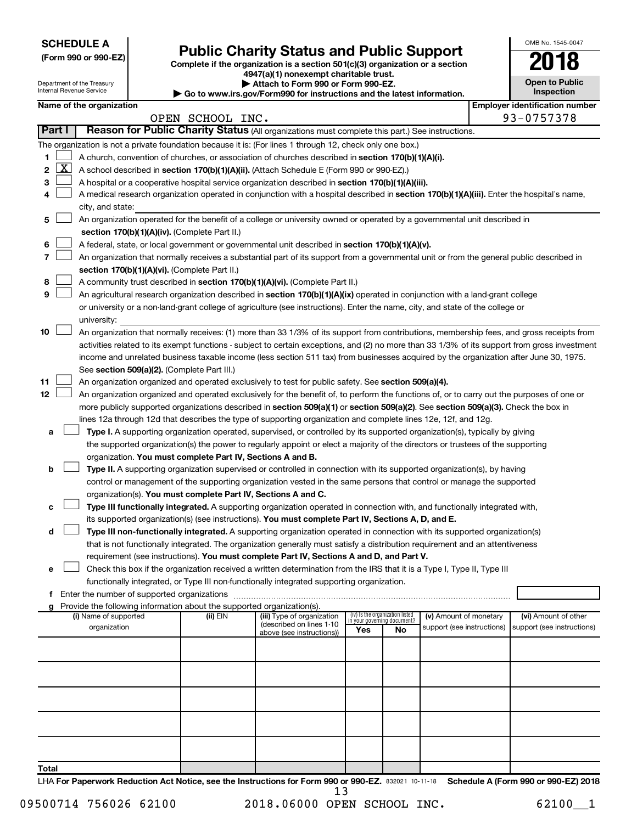| <b>SCHEDULE A</b> |  |
|-------------------|--|
|-------------------|--|

Department of the Treasury Internal Revenue Service

|  |  |  |  |  | (Form 990 or 990-EZ) |  |
|--|--|--|--|--|----------------------|--|
|--|--|--|--|--|----------------------|--|

# Form 990 or 990-EZ)<br>
Complete if the organization is a section 501(c)(3) organization or a section<br> **Public Charity Status and Public Support**

**4947(a)(1) nonexempt charitable trust. | Attach to Form 990 or Form 990-EZ.** 

**| Go to www.irs.gov/Form990 for instructions and the latest information.**

| <b>Open to Public</b><br>Inspection |
|-------------------------------------|
| atificatio<br>n nu                  |

OMB No. 1545-0047

|        |          | Name of the organization                                                                                                                      |                  | י שט נט איא איהו סופטים ווהסט וטו ווסו טכטוווס מוזמן וואס ווואס ווהסו וומנוסה. |                                 |                             |                                                      | <b>Employer identification number</b>              |
|--------|----------|-----------------------------------------------------------------------------------------------------------------------------------------------|------------------|--------------------------------------------------------------------------------|---------------------------------|-----------------------------|------------------------------------------------------|----------------------------------------------------|
|        |          |                                                                                                                                               | OPEN SCHOOL INC. |                                                                                |                                 |                             |                                                      | 93-0757378                                         |
| Part I |          | Reason for Public Charity Status (All organizations must complete this part.) See instructions.                                               |                  |                                                                                |                                 |                             |                                                      |                                                    |
|        |          | The organization is not a private foundation because it is: (For lines 1 through 12, check only one box.)                                     |                  |                                                                                |                                 |                             |                                                      |                                                    |
| 1      |          | A church, convention of churches, or association of churches described in section 170(b)(1)(A)(i).                                            |                  |                                                                                |                                 |                             |                                                      |                                                    |
| 2      | <u>x</u> | A school described in section 170(b)(1)(A)(ii). (Attach Schedule E (Form 990 or 990-EZ).)                                                     |                  |                                                                                |                                 |                             |                                                      |                                                    |
| З      |          | A hospital or a cooperative hospital service organization described in section 170(b)(1)(A)(iii).                                             |                  |                                                                                |                                 |                             |                                                      |                                                    |
| 4      |          | A medical research organization operated in conjunction with a hospital described in section 170(b)(1)(A)(iii). Enter the hospital's name,    |                  |                                                                                |                                 |                             |                                                      |                                                    |
|        |          | city, and state:                                                                                                                              |                  |                                                                                |                                 |                             |                                                      |                                                    |
| 5      |          | An organization operated for the benefit of a college or university owned or operated by a governmental unit described in                     |                  |                                                                                |                                 |                             |                                                      |                                                    |
|        |          | section 170(b)(1)(A)(iv). (Complete Part II.)                                                                                                 |                  |                                                                                |                                 |                             |                                                      |                                                    |
| 6      |          | A federal, state, or local government or governmental unit described in section 170(b)(1)(A)(v).                                              |                  |                                                                                |                                 |                             |                                                      |                                                    |
| 7      |          | An organization that normally receives a substantial part of its support from a governmental unit or from the general public described in     |                  |                                                                                |                                 |                             |                                                      |                                                    |
|        |          | section 170(b)(1)(A)(vi). (Complete Part II.)                                                                                                 |                  |                                                                                |                                 |                             |                                                      |                                                    |
| 8      |          | A community trust described in section 170(b)(1)(A)(vi). (Complete Part II.)                                                                  |                  |                                                                                |                                 |                             |                                                      |                                                    |
| 9      |          | An agricultural research organization described in section 170(b)(1)(A)(ix) operated in conjunction with a land-grant college                 |                  |                                                                                |                                 |                             |                                                      |                                                    |
|        |          | or university or a non-land-grant college of agriculture (see instructions). Enter the name, city, and state of the college or                |                  |                                                                                |                                 |                             |                                                      |                                                    |
|        |          | university:                                                                                                                                   |                  |                                                                                |                                 |                             |                                                      |                                                    |
| 10     |          | An organization that normally receives: (1) more than 33 1/3% of its support from contributions, membership fees, and gross receipts from     |                  |                                                                                |                                 |                             |                                                      |                                                    |
|        |          | activities related to its exempt functions - subject to certain exceptions, and (2) no more than 33 1/3% of its support from gross investment |                  |                                                                                |                                 |                             |                                                      |                                                    |
|        |          | income and unrelated business taxable income (less section 511 tax) from businesses acquired by the organization after June 30, 1975.         |                  |                                                                                |                                 |                             |                                                      |                                                    |
|        |          | See section 509(a)(2). (Complete Part III.)                                                                                                   |                  |                                                                                |                                 |                             |                                                      |                                                    |
| 11     |          | An organization organized and operated exclusively to test for public safety. See section 509(a)(4).                                          |                  |                                                                                |                                 |                             |                                                      |                                                    |
| 12     |          | An organization organized and operated exclusively for the benefit of, to perform the functions of, or to carry out the purposes of one or    |                  |                                                                                |                                 |                             |                                                      |                                                    |
|        |          | more publicly supported organizations described in section 509(a)(1) or section 509(a)(2). See section 509(a)(3). Check the box in            |                  |                                                                                |                                 |                             |                                                      |                                                    |
|        |          | lines 12a through 12d that describes the type of supporting organization and complete lines 12e, 12f, and 12g.                                |                  |                                                                                |                                 |                             |                                                      |                                                    |
| а      |          | Type I. A supporting organization operated, supervised, or controlled by its supported organization(s), typically by giving                   |                  |                                                                                |                                 |                             |                                                      |                                                    |
|        |          | the supported organization(s) the power to regularly appoint or elect a majority of the directors or trustees of the supporting               |                  |                                                                                |                                 |                             |                                                      |                                                    |
|        |          | organization. You must complete Part IV, Sections A and B.                                                                                    |                  |                                                                                |                                 |                             |                                                      |                                                    |
| b      |          | Type II. A supporting organization supervised or controlled in connection with its supported organization(s), by having                       |                  |                                                                                |                                 |                             |                                                      |                                                    |
|        |          | control or management of the supporting organization vested in the same persons that control or manage the supported                          |                  |                                                                                |                                 |                             |                                                      |                                                    |
|        |          | organization(s). You must complete Part IV, Sections A and C.                                                                                 |                  |                                                                                |                                 |                             |                                                      |                                                    |
| с      |          | Type III functionally integrated. A supporting organization operated in connection with, and functionally integrated with,                    |                  |                                                                                |                                 |                             |                                                      |                                                    |
|        |          | its supported organization(s) (see instructions). You must complete Part IV, Sections A, D, and E.                                            |                  |                                                                                |                                 |                             |                                                      |                                                    |
| d      |          | Type III non-functionally integrated. A supporting organization operated in connection with its supported organization(s)                     |                  |                                                                                |                                 |                             |                                                      |                                                    |
|        |          | that is not functionally integrated. The organization generally must satisfy a distribution requirement and an attentiveness                  |                  |                                                                                |                                 |                             |                                                      |                                                    |
|        |          | requirement (see instructions). You must complete Part IV, Sections A and D, and Part V.                                                      |                  |                                                                                |                                 |                             |                                                      |                                                    |
| е      |          | Check this box if the organization received a written determination from the IRS that it is a Type I, Type II, Type III                       |                  |                                                                                |                                 |                             |                                                      |                                                    |
|        |          | functionally integrated, or Type III non-functionally integrated supporting organization.                                                     |                  |                                                                                |                                 |                             |                                                      |                                                    |
|        |          | f Enter the number of supported organizations                                                                                                 |                  |                                                                                |                                 |                             |                                                      |                                                    |
| a      |          | Provide the following information about the supported organization(s).                                                                        |                  |                                                                                | (iv) Is the organization listed |                             |                                                      |                                                    |
|        |          | (i) Name of supported<br>organization                                                                                                         | (ii) EIN         | (iii) Type of organization<br>(described on lines 1-10                         |                                 | in your governing document? | (v) Amount of monetary<br>support (see instructions) | (vi) Amount of other<br>support (see instructions) |
|        |          |                                                                                                                                               |                  | above (see instructions))                                                      | Yes                             | No                          |                                                      |                                                    |
|        |          |                                                                                                                                               |                  |                                                                                |                                 |                             |                                                      |                                                    |
|        |          |                                                                                                                                               |                  |                                                                                |                                 |                             |                                                      |                                                    |
|        |          |                                                                                                                                               |                  |                                                                                |                                 |                             |                                                      |                                                    |
|        |          |                                                                                                                                               |                  |                                                                                |                                 |                             |                                                      |                                                    |
|        |          |                                                                                                                                               |                  |                                                                                |                                 |                             |                                                      |                                                    |
|        |          |                                                                                                                                               |                  |                                                                                |                                 |                             |                                                      |                                                    |
|        |          |                                                                                                                                               |                  |                                                                                |                                 |                             |                                                      |                                                    |
|        |          |                                                                                                                                               |                  |                                                                                |                                 |                             |                                                      |                                                    |
|        |          |                                                                                                                                               |                  |                                                                                |                                 |                             |                                                      |                                                    |
| Total  |          |                                                                                                                                               |                  |                                                                                |                                 |                             |                                                      |                                                    |

LHA For Paperwork Reduction Act Notice, see the Instructions for Form 990 or 990-EZ. 832021 10-11-18 Schedule A (Form 990 or 990-EZ) 2018 13

09500714 756026 62100 2018.06000 OPEN SCHOOL INC. 62100\_1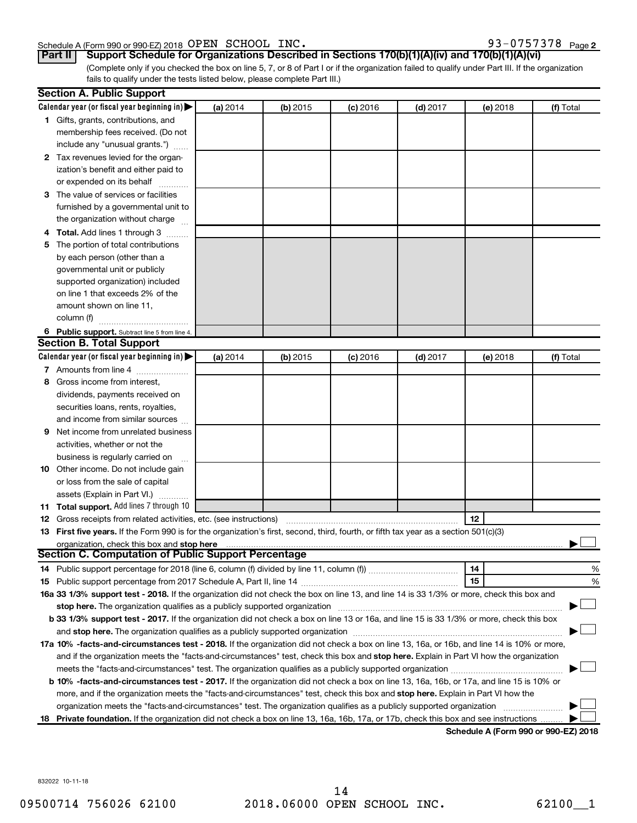## Schedule A (Form 990 or 990-EZ) 2018 OPEN SCHOOL INC.  $93-0757378$  Page

93-0757378 Page 2

(Complete only if you checked the box on line 5, 7, or 8 of Part I or if the organization failed to qualify under Part III. If the organization **Part II Support Schedule for Organizations Described in Sections 170(b)(1)(A)(iv) and 170(b)(1)(A)(vi)**

fails to qualify under the tests listed below, please complete Part III.)

|    | <b>Section A. Public Support</b>                                                                                                           |          |            |            |            |                                      |           |  |  |
|----|--------------------------------------------------------------------------------------------------------------------------------------------|----------|------------|------------|------------|--------------------------------------|-----------|--|--|
|    | Calendar year (or fiscal year beginning in) $\blacktriangleright$                                                                          | (a) 2014 | $(b)$ 2015 | $(c)$ 2016 | $(d)$ 2017 | (e) 2018                             | (f) Total |  |  |
|    | 1 Gifts, grants, contributions, and                                                                                                        |          |            |            |            |                                      |           |  |  |
|    | membership fees received. (Do not                                                                                                          |          |            |            |            |                                      |           |  |  |
|    | include any "unusual grants.")                                                                                                             |          |            |            |            |                                      |           |  |  |
|    | 2 Tax revenues levied for the organ-                                                                                                       |          |            |            |            |                                      |           |  |  |
|    | ization's benefit and either paid to                                                                                                       |          |            |            |            |                                      |           |  |  |
|    | or expended on its behalf                                                                                                                  |          |            |            |            |                                      |           |  |  |
|    | 3 The value of services or facilities                                                                                                      |          |            |            |            |                                      |           |  |  |
|    | furnished by a governmental unit to                                                                                                        |          |            |            |            |                                      |           |  |  |
|    | the organization without charge                                                                                                            |          |            |            |            |                                      |           |  |  |
|    | Total. Add lines 1 through 3                                                                                                               |          |            |            |            |                                      |           |  |  |
| 5. | The portion of total contributions                                                                                                         |          |            |            |            |                                      |           |  |  |
|    | by each person (other than a                                                                                                               |          |            |            |            |                                      |           |  |  |
|    | governmental unit or publicly                                                                                                              |          |            |            |            |                                      |           |  |  |
|    | supported organization) included                                                                                                           |          |            |            |            |                                      |           |  |  |
|    | on line 1 that exceeds 2% of the                                                                                                           |          |            |            |            |                                      |           |  |  |
|    | amount shown on line 11,                                                                                                                   |          |            |            |            |                                      |           |  |  |
|    | column (f)                                                                                                                                 |          |            |            |            |                                      |           |  |  |
|    |                                                                                                                                            |          |            |            |            |                                      |           |  |  |
|    | 6 Public support. Subtract line 5 from line 4.<br><b>Section B. Total Support</b>                                                          |          |            |            |            |                                      |           |  |  |
|    |                                                                                                                                            |          |            |            |            |                                      |           |  |  |
|    | Calendar year (or fiscal year beginning in) $\blacktriangleright$                                                                          | (a) 2014 | $(b)$ 2015 | $(c)$ 2016 | $(d)$ 2017 | (e) 2018                             | (f) Total |  |  |
|    | 7 Amounts from line 4                                                                                                                      |          |            |            |            |                                      |           |  |  |
| 8  | Gross income from interest,                                                                                                                |          |            |            |            |                                      |           |  |  |
|    | dividends, payments received on                                                                                                            |          |            |            |            |                                      |           |  |  |
|    | securities loans, rents, royalties,                                                                                                        |          |            |            |            |                                      |           |  |  |
|    | and income from similar sources                                                                                                            |          |            |            |            |                                      |           |  |  |
| 9  | Net income from unrelated business                                                                                                         |          |            |            |            |                                      |           |  |  |
|    | activities, whether or not the                                                                                                             |          |            |            |            |                                      |           |  |  |
|    | business is regularly carried on                                                                                                           |          |            |            |            |                                      |           |  |  |
|    | 10 Other income. Do not include gain                                                                                                       |          |            |            |            |                                      |           |  |  |
|    | or loss from the sale of capital                                                                                                           |          |            |            |            |                                      |           |  |  |
|    | assets (Explain in Part VI.)                                                                                                               |          |            |            |            |                                      |           |  |  |
|    | 11 Total support. Add lines 7 through 10                                                                                                   |          |            |            |            |                                      |           |  |  |
|    | <b>12</b> Gross receipts from related activities, etc. (see instructions)                                                                  |          |            |            |            | 12                                   |           |  |  |
|    | 13 First five years. If the Form 990 is for the organization's first, second, third, fourth, or fifth tax year as a section 501(c)(3)      |          |            |            |            |                                      |           |  |  |
|    | organization, check this box and stop here                                                                                                 |          |            |            |            |                                      |           |  |  |
|    | <b>Section C. Computation of Public Support Percentage</b>                                                                                 |          |            |            |            |                                      |           |  |  |
|    | 14 Public support percentage for 2018 (line 6, column (f) divided by line 11, column (f) <i>mummumumum</i>                                 |          |            |            |            | 14                                   | %         |  |  |
|    |                                                                                                                                            |          |            |            |            | 15                                   | %         |  |  |
|    | 16a 33 1/3% support test - 2018. If the organization did not check the box on line 13, and line 14 is 33 1/3% or more, check this box and  |          |            |            |            |                                      |           |  |  |
|    |                                                                                                                                            |          |            |            |            |                                      |           |  |  |
|    | b 33 1/3% support test - 2017. If the organization did not check a box on line 13 or 16a, and line 15 is 33 1/3% or more, check this box   |          |            |            |            |                                      |           |  |  |
|    |                                                                                                                                            |          |            |            |            |                                      |           |  |  |
|    | 17a 10% -facts-and-circumstances test - 2018. If the organization did not check a box on line 13, 16a, or 16b, and line 14 is 10% or more, |          |            |            |            |                                      |           |  |  |
|    | and if the organization meets the "facts-and-circumstances" test, check this box and stop here. Explain in Part VI how the organization    |          |            |            |            |                                      |           |  |  |
|    |                                                                                                                                            |          |            |            |            |                                      |           |  |  |
|    | b 10% -facts-and-circumstances test - 2017. If the organization did not check a box on line 13, 16a, 16b, or 17a, and line 15 is 10% or    |          |            |            |            |                                      |           |  |  |
|    | more, and if the organization meets the "facts-and-circumstances" test, check this box and stop here. Explain in Part VI how the           |          |            |            |            |                                      |           |  |  |
|    | organization meets the "facts-and-circumstances" test. The organization qualifies as a publicly supported organization                     |          |            |            |            |                                      |           |  |  |
| 18 | Private foundation. If the organization did not check a box on line 13, 16a, 16b, 17a, or 17b, check this box and see instructions         |          |            |            |            |                                      |           |  |  |
|    |                                                                                                                                            |          |            |            |            | Schodule A (Form 000 or 000 F7) 2010 |           |  |  |

**Schedule A (Form 990 or 990-EZ) 2018**

832022 10-11-18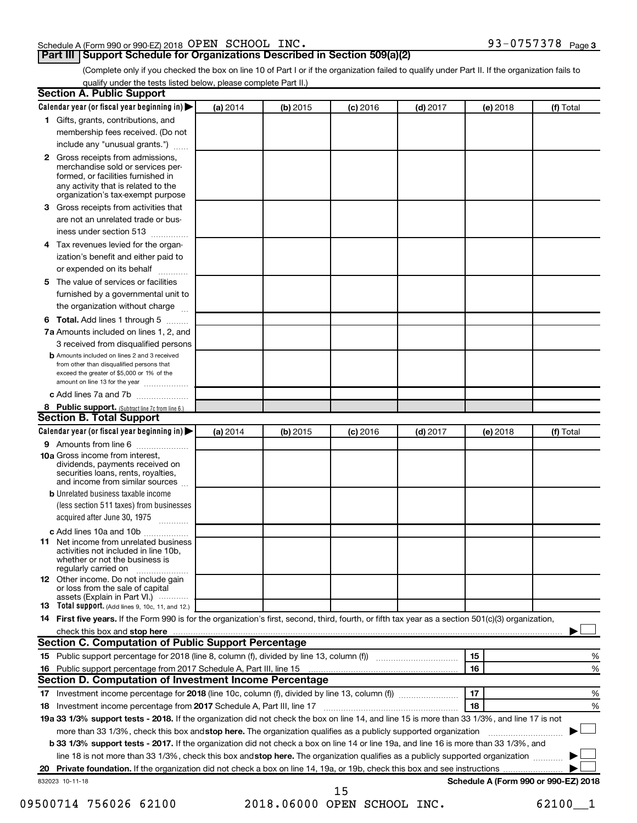|  | Schedule A (Form 990 or 990-EZ) 2018 $\overline{OPEN}$ SCHOOL INC. |  |  | 93-0757378 $_{\text{Page 3}}$ |  |
|--|--------------------------------------------------------------------|--|--|-------------------------------|--|
|--|--------------------------------------------------------------------|--|--|-------------------------------|--|

(Complete only if you checked the box on line 10 of Part I or if the organization failed to qualify under Part II. If the organization fails to qualify under the tests listed below, please complete Part II.)

|    | <b>Section A. Public Support</b>                                                                                                                                                                                              |          |          |            |            |          |                                      |
|----|-------------------------------------------------------------------------------------------------------------------------------------------------------------------------------------------------------------------------------|----------|----------|------------|------------|----------|--------------------------------------|
|    | Calendar year (or fiscal year beginning in)                                                                                                                                                                                   | (a) 2014 | (b) 2015 | $(c)$ 2016 | $(d)$ 2017 | (e) 2018 | (f) Total                            |
|    | 1 Gifts, grants, contributions, and                                                                                                                                                                                           |          |          |            |            |          |                                      |
|    | membership fees received. (Do not                                                                                                                                                                                             |          |          |            |            |          |                                      |
|    | include any "unusual grants.")                                                                                                                                                                                                |          |          |            |            |          |                                      |
|    | 2 Gross receipts from admissions,<br>merchandise sold or services per-<br>formed, or facilities furnished in<br>any activity that is related to the<br>organization's tax-exempt purpose                                      |          |          |            |            |          |                                      |
|    | 3 Gross receipts from activities that                                                                                                                                                                                         |          |          |            |            |          |                                      |
|    | are not an unrelated trade or bus-                                                                                                                                                                                            |          |          |            |            |          |                                      |
|    | iness under section 513                                                                                                                                                                                                       |          |          |            |            |          |                                      |
|    | 4 Tax revenues levied for the organ-                                                                                                                                                                                          |          |          |            |            |          |                                      |
|    | ization's benefit and either paid to                                                                                                                                                                                          |          |          |            |            |          |                                      |
|    | or expended on its behalf                                                                                                                                                                                                     |          |          |            |            |          |                                      |
|    | 5 The value of services or facilities                                                                                                                                                                                         |          |          |            |            |          |                                      |
|    | furnished by a governmental unit to                                                                                                                                                                                           |          |          |            |            |          |                                      |
|    | the organization without charge                                                                                                                                                                                               |          |          |            |            |          |                                      |
|    | <b>6 Total.</b> Add lines 1 through 5                                                                                                                                                                                         |          |          |            |            |          |                                      |
|    | 7a Amounts included on lines 1, 2, and                                                                                                                                                                                        |          |          |            |            |          |                                      |
|    | 3 received from disqualified persons                                                                                                                                                                                          |          |          |            |            |          |                                      |
|    | <b>b</b> Amounts included on lines 2 and 3 received<br>from other than disqualified persons that<br>exceed the greater of \$5,000 or 1% of the<br>amount on line 13 for the year                                              |          |          |            |            |          |                                      |
|    | c Add lines 7a and 7b                                                                                                                                                                                                         |          |          |            |            |          |                                      |
|    | 8 Public support. (Subtract line 7c from line 6.)                                                                                                                                                                             |          |          |            |            |          |                                      |
|    | <b>Section B. Total Support</b>                                                                                                                                                                                               |          |          |            |            |          |                                      |
|    | Calendar year (or fiscal year beginning in)                                                                                                                                                                                   | (a) 2014 | (b) 2015 | $(c)$ 2016 | $(d)$ 2017 | (e) 2018 | (f) Total                            |
|    | 9 Amounts from line 6                                                                                                                                                                                                         |          |          |            |            |          |                                      |
|    | <b>10a</b> Gross income from interest,<br>dividends, payments received on<br>securities loans, rents, royalties,<br>and income from similar sources                                                                           |          |          |            |            |          |                                      |
|    | <b>b</b> Unrelated business taxable income                                                                                                                                                                                    |          |          |            |            |          |                                      |
|    | (less section 511 taxes) from businesses                                                                                                                                                                                      |          |          |            |            |          |                                      |
|    | acquired after June 30, 1975                                                                                                                                                                                                  |          |          |            |            |          |                                      |
|    | c Add lines 10a and 10b                                                                                                                                                                                                       |          |          |            |            |          |                                      |
|    | <b>11</b> Net income from unrelated business<br>activities not included in line 10b,<br>whether or not the business is<br>regularly carried on                                                                                |          |          |            |            |          |                                      |
|    | 12 Other income. Do not include gain<br>or loss from the sale of capital<br>assets (Explain in Part VI.) $\cdots$                                                                                                             |          |          |            |            |          |                                      |
|    | <b>13</b> Total support. (Add lines 9, 10c, 11, and 12.)                                                                                                                                                                      |          |          |            |            |          |                                      |
|    | 14 First five years. If the Form 990 is for the organization's first, second, third, fourth, or fifth tax year as a section 501(c)(3) organization,                                                                           |          |          |            |            |          |                                      |
|    | check this box and stop here measured and content to the state of the state of the state of the state of the state of the state of the state of the state of the state of the state of the state of the state of the state of |          |          |            |            |          |                                      |
|    | Section C. Computation of Public Support Percentage                                                                                                                                                                           |          |          |            |            |          |                                      |
|    | 15 Public support percentage for 2018 (line 8, column (f), divided by line 13, column (f) <i></i>                                                                                                                             |          |          |            |            | 15       | %                                    |
|    |                                                                                                                                                                                                                               |          |          |            |            | 16       | %                                    |
|    | Section D. Computation of Investment Income Percentage                                                                                                                                                                        |          |          |            |            |          |                                      |
|    |                                                                                                                                                                                                                               |          |          |            |            | 17       | %                                    |
|    | 18 Investment income percentage from 2017 Schedule A, Part III, line 17                                                                                                                                                       |          |          |            |            | 18       | %                                    |
|    | 19a 33 1/3% support tests - 2018. If the organization did not check the box on line 14, and line 15 is more than 33 1/3%, and line 17 is not                                                                                  |          |          |            |            |          |                                      |
|    | more than 33 1/3%, check this box and stop here. The organization qualifies as a publicly supported organization                                                                                                              |          |          |            |            |          |                                      |
|    | b 33 1/3% support tests - 2017. If the organization did not check a box on line 14 or line 19a, and line 16 is more than 33 1/3%, and                                                                                         |          |          |            |            |          |                                      |
|    | line 18 is not more than 33 1/3%, check this box and stop here. The organization qualifies as a publicly supported organization                                                                                               |          |          |            |            |          |                                      |
| 20 |                                                                                                                                                                                                                               |          |          |            |            |          |                                      |
|    | 832023 10-11-18                                                                                                                                                                                                               |          |          |            |            |          | Schedule A (Form 990 or 990-EZ) 2018 |
|    |                                                                                                                                                                                                                               |          |          | 15         |            |          |                                      |

09500714 756026 62100 2018.06000 OPEN SCHOOL INC. 62100\_1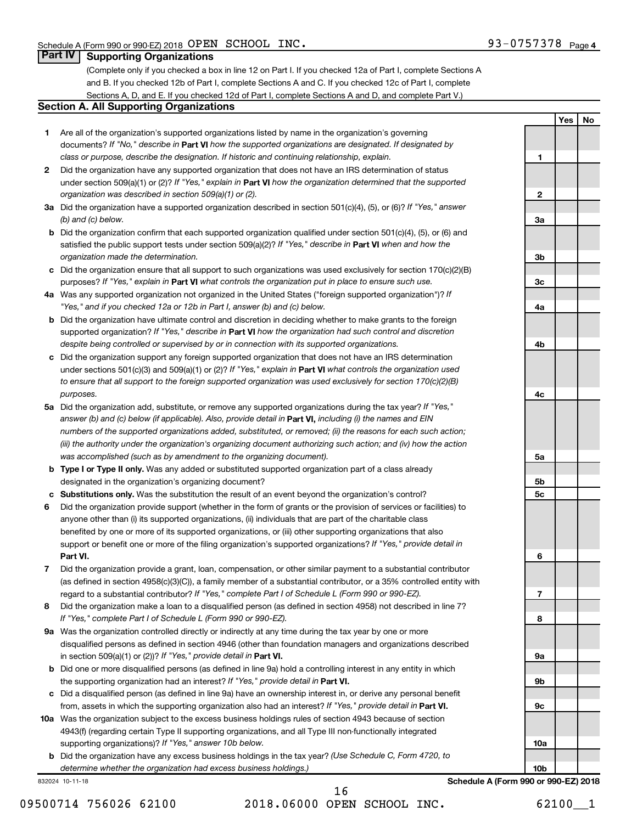**1**

**2**

**3a**

**3b**

**3c**

**4a**

**4b**

**4c**

**5a**

**5b 5c**

**6**

**7**

**8**

**9a**

**9b**

**9c**

**10a**

**Yes No**

## **Part IV Supporting Organizations**

(Complete only if you checked a box in line 12 on Part I. If you checked 12a of Part I, complete Sections A and B. If you checked 12b of Part I, complete Sections A and C. If you checked 12c of Part I, complete Sections A, D, and E. If you checked 12d of Part I, complete Sections A and D, and complete Part V.)

#### **Section A. All Supporting Organizations**

- **1** Are all of the organization's supported organizations listed by name in the organization's governing documents? If "No," describe in Part VI how the supported organizations are designated. If designated by *class or purpose, describe the designation. If historic and continuing relationship, explain.*
- **2** Did the organization have any supported organization that does not have an IRS determination of status under section 509(a)(1) or (2)? If "Yes," explain in Part **VI** how the organization determined that the supported *organization was described in section 509(a)(1) or (2).*
- **3a** Did the organization have a supported organization described in section 501(c)(4), (5), or (6)? If "Yes," answer *(b) and (c) below.*
- **b** Did the organization confirm that each supported organization qualified under section 501(c)(4), (5), or (6) and satisfied the public support tests under section 509(a)(2)? If "Yes," describe in Part VI when and how the *organization made the determination.*
- **c** Did the organization ensure that all support to such organizations was used exclusively for section 170(c)(2)(B) purposes? If "Yes," explain in Part VI what controls the organization put in place to ensure such use.
- **4 a** *If* Was any supported organization not organized in the United States ("foreign supported organization")? *"Yes," and if you checked 12a or 12b in Part I, answer (b) and (c) below.*
- **b** Did the organization have ultimate control and discretion in deciding whether to make grants to the foreign supported organization? If "Yes," describe in Part VI how the organization had such control and discretion *despite being controlled or supervised by or in connection with its supported organizations.*
- **c** Did the organization support any foreign supported organization that does not have an IRS determination under sections 501(c)(3) and 509(a)(1) or (2)? If "Yes," explain in Part VI what controls the organization used *to ensure that all support to the foreign supported organization was used exclusively for section 170(c)(2)(B) purposes.*
- **5a** Did the organization add, substitute, or remove any supported organizations during the tax year? If "Yes," answer (b) and (c) below (if applicable). Also, provide detail in **Part VI,** including (i) the names and EIN *numbers of the supported organizations added, substituted, or removed; (ii) the reasons for each such action; (iii) the authority under the organization's organizing document authorizing such action; and (iv) how the action was accomplished (such as by amendment to the organizing document).*
- **b Type I or Type II only.** Was any added or substituted supported organization part of a class already designated in the organization's organizing document?
- **c Substitutions only.**  Was the substitution the result of an event beyond the organization's control?
- **6** Did the organization provide support (whether in the form of grants or the provision of services or facilities) to **Part VI.** support or benefit one or more of the filing organization's supported organizations? If "Yes," provide detail in anyone other than (i) its supported organizations, (ii) individuals that are part of the charitable class benefited by one or more of its supported organizations, or (iii) other supporting organizations that also
- **7** Did the organization provide a grant, loan, compensation, or other similar payment to a substantial contributor regard to a substantial contributor? If "Yes," complete Part I of Schedule L (Form 990 or 990-EZ). (as defined in section 4958(c)(3)(C)), a family member of a substantial contributor, or a 35% controlled entity with
- **8** Did the organization make a loan to a disqualified person (as defined in section 4958) not described in line 7? *If "Yes," complete Part I of Schedule L (Form 990 or 990-EZ).*
- **9 a** Was the organization controlled directly or indirectly at any time during the tax year by one or more in section 509(a)(1) or (2))? If "Yes," provide detail in **Part VI.** disqualified persons as defined in section 4946 (other than foundation managers and organizations described
- **b** Did one or more disqualified persons (as defined in line 9a) hold a controlling interest in any entity in which the supporting organization had an interest? If "Yes," provide detail in Part VI.
- **c** Did a disqualified person (as defined in line 9a) have an ownership interest in, or derive any personal benefit from, assets in which the supporting organization also had an interest? If "Yes," provide detail in Part VI.
- **10 a** Was the organization subject to the excess business holdings rules of section 4943 because of section supporting organizations)? If "Yes," answer 10b below. 4943(f) (regarding certain Type II supporting organizations, and all Type III non-functionally integrated
	- **b** Did the organization have any excess business holdings in the tax year? (Use Schedule C, Form 4720, to *determine whether the organization had excess business holdings.)*

832024 10-11-18

09500714 756026 62100 2018.06000 OPEN SCHOOL INC. 62100 1 16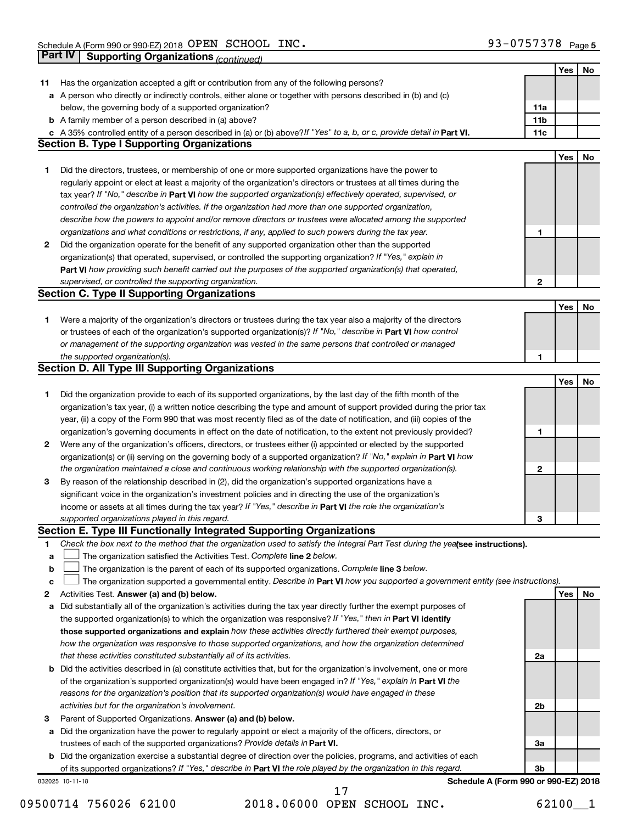|             | Part IV<br><b>Supporting Organizations (continued)</b>                                                                          |                 |     |    |
|-------------|---------------------------------------------------------------------------------------------------------------------------------|-----------------|-----|----|
|             |                                                                                                                                 |                 | Yes | No |
| 11          | Has the organization accepted a gift or contribution from any of the following persons?                                         |                 |     |    |
|             | a A person who directly or indirectly controls, either alone or together with persons described in (b) and (c)                  |                 |     |    |
|             | below, the governing body of a supported organization?                                                                          | 11a             |     |    |
|             | <b>b</b> A family member of a person described in (a) above?                                                                    | 11 <sub>b</sub> |     |    |
|             | c A 35% controlled entity of a person described in (a) or (b) above? If "Yes" to a, b, or c, provide detail in Part VI.         | 11c             |     |    |
|             | <b>Section B. Type I Supporting Organizations</b>                                                                               |                 |     |    |
|             |                                                                                                                                 |                 | Yes | No |
| 1           | Did the directors, trustees, or membership of one or more supported organizations have the power to                             |                 |     |    |
|             | regularly appoint or elect at least a majority of the organization's directors or trustees at all times during the              |                 |     |    |
|             | tax year? If "No," describe in Part VI how the supported organization(s) effectively operated, supervised, or                   |                 |     |    |
|             | controlled the organization's activities. If the organization had more than one supported organization,                         |                 |     |    |
|             | describe how the powers to appoint and/or remove directors or trustees were allocated among the supported                       |                 |     |    |
|             | organizations and what conditions or restrictions, if any, applied to such powers during the tax year.                          | 1               |     |    |
| 2           | Did the organization operate for the benefit of any supported organization other than the supported                             |                 |     |    |
|             | organization(s) that operated, supervised, or controlled the supporting organization? If "Yes," explain in                      |                 |     |    |
|             | Part VI how providing such benefit carried out the purposes of the supported organization(s) that operated,                     |                 |     |    |
|             | supervised, or controlled the supporting organization.                                                                          | 2               |     |    |
|             | <b>Section C. Type II Supporting Organizations</b>                                                                              |                 |     |    |
|             |                                                                                                                                 |                 | Yes | No |
| 1           | Were a majority of the organization's directors or trustees during the tax year also a majority of the directors                |                 |     |    |
|             | or trustees of each of the organization's supported organization(s)? If "No," describe in Part VI how control                   |                 |     |    |
|             | or management of the supporting organization was vested in the same persons that controlled or managed                          |                 |     |    |
|             | the supported organization(s).                                                                                                  | 1               |     |    |
|             | <b>Section D. All Type III Supporting Organizations</b>                                                                         |                 |     |    |
|             |                                                                                                                                 |                 | Yes | No |
| 1           | Did the organization provide to each of its supported organizations, by the last day of the fifth month of the                  |                 |     |    |
|             | organization's tax year, (i) a written notice describing the type and amount of support provided during the prior tax           |                 |     |    |
|             | year, (ii) a copy of the Form 990 that was most recently filed as of the date of notification, and (iii) copies of the          |                 |     |    |
|             | organization's governing documents in effect on the date of notification, to the extent not previously provided?                | 1               |     |    |
| 2           | Were any of the organization's officers, directors, or trustees either (i) appointed or elected by the supported                |                 |     |    |
|             | organization(s) or (ii) serving on the governing body of a supported organization? If "No," explain in Part VI how              |                 |     |    |
|             | the organization maintained a close and continuous working relationship with the supported organization(s).                     | $\mathbf{2}$    |     |    |
| 3           | By reason of the relationship described in (2), did the organization's supported organizations have a                           |                 |     |    |
|             | significant voice in the organization's investment policies and in directing the use of the organization's                      |                 |     |    |
|             | income or assets at all times during the tax year? If "Yes," describe in Part VI the role the organization's                    |                 |     |    |
|             | supported organizations played in this regard.                                                                                  | з               |     |    |
|             | Section E. Type III Functionally Integrated Supporting Organizations                                                            |                 |     |    |
| 1           | Check the box next to the method that the organization used to satisfy the Integral Part Test during the yealsee instructions). |                 |     |    |
| a           | The organization satisfied the Activities Test. Complete line 2 below.                                                          |                 |     |    |
| $\mathbf b$ | The organization is the parent of each of its supported organizations. Complete line 3 below.                                   |                 |     |    |
| c           | The organization supported a governmental entity. Describe in Part VI how you supported a government entity (see instructions). |                 |     |    |
| 2           | Activities Test. Answer (a) and (b) below.                                                                                      |                 | Yes | No |
| а           | Did substantially all of the organization's activities during the tax year directly further the exempt purposes of              |                 |     |    |
|             | the supported organization(s) to which the organization was responsive? If "Yes," then in Part VI identify                      |                 |     |    |
|             | those supported organizations and explain how these activities directly furthered their exempt purposes,                        |                 |     |    |
|             | how the organization was responsive to those supported organizations, and how the organization determined                       |                 |     |    |
|             | that these activities constituted substantially all of its activities.                                                          | 2a              |     |    |
|             | <b>b</b> Did the activities described in (a) constitute activities that, but for the organization's involvement, one or more    |                 |     |    |
|             | of the organization's supported organization(s) would have been engaged in? If "Yes," explain in Part VI the                    |                 |     |    |
|             | reasons for the organization's position that its supported organization(s) would have engaged in these                          |                 |     |    |
|             | activities but for the organization's involvement.                                                                              | 2b              |     |    |
| З           | Parent of Supported Organizations. Answer (a) and (b) below.                                                                    |                 |     |    |
|             | a Did the organization have the power to regularly appoint or elect a majority of the officers, directors, or                   |                 |     |    |
|             | trustees of each of the supported organizations? Provide details in Part VI.                                                    | За              |     |    |
|             | <b>b</b> Did the organization exercise a substantial degree of direction over the policies, programs, and activities of each    |                 |     |    |
|             | of its supported organizations? If "Yes," describe in Part VI the role played by the organization in this regard.               | 3b              |     |    |
|             | Schedule A (Form 990 or 990-EZ) 2018<br>832025 10-11-18                                                                         |                 |     |    |

<sup>09500714 756026 62100 2018.06000</sup> OPEN SCHOOL INC. 62100\_1 17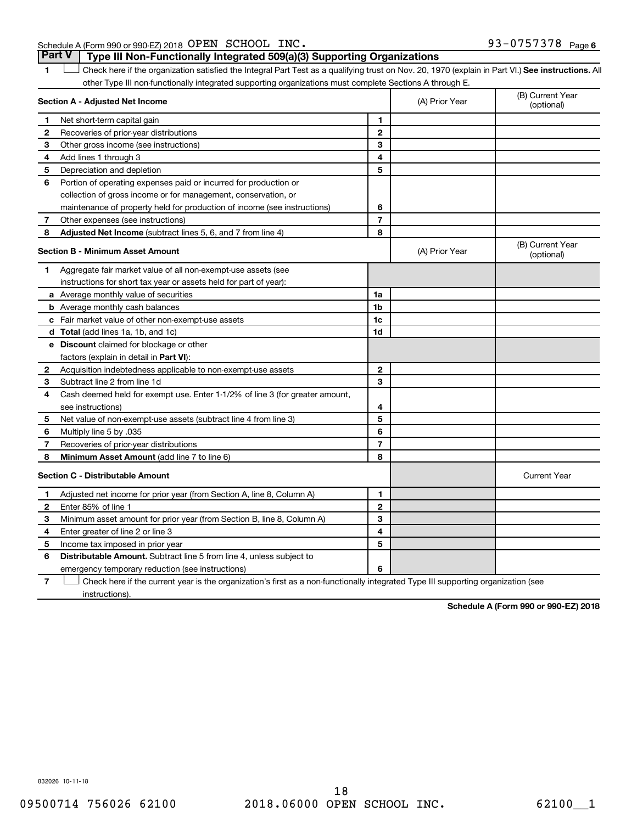Schedule A (Form 990 or 990-EZ) 2018 OPEN SCHOOL INC.  $93-0757378$  Page

1 **Letter See instructions.** All Check here if the organization satisfied the Integral Part Test as a qualifying trust on Nov. 20, 1970 (explain in Part VI.) See instructions. All other Type III non-functionally integrated supporting organizations must complete Sections A through E. **Part V Type III Non-Functionally Integrated 509(a)(3) Supporting Organizations** 

|   | Section A - Adjusted Net Income                                              |                | (A) Prior Year | (B) Current Year<br>(optional) |
|---|------------------------------------------------------------------------------|----------------|----------------|--------------------------------|
| 1 | Net short-term capital gain                                                  | 1              |                |                                |
| 2 | Recoveries of prior-year distributions                                       | $\mathbf{2}$   |                |                                |
| 3 | Other gross income (see instructions)                                        | 3              |                |                                |
| 4 | Add lines 1 through 3                                                        | 4              |                |                                |
| 5 | Depreciation and depletion                                                   | 5              |                |                                |
| 6 | Portion of operating expenses paid or incurred for production or             |                |                |                                |
|   | collection of gross income or for management, conservation, or               |                |                |                                |
|   | maintenance of property held for production of income (see instructions)     | 6              |                |                                |
| 7 | Other expenses (see instructions)                                            | $\overline{7}$ |                |                                |
| 8 | Adjusted Net Income (subtract lines 5, 6, and 7 from line 4)                 | 8              |                |                                |
|   | Section B - Minimum Asset Amount                                             |                | (A) Prior Year | (B) Current Year<br>(optional) |
| 1 | Aggregate fair market value of all non-exempt-use assets (see                |                |                |                                |
|   | instructions for short tax year or assets held for part of year):            |                |                |                                |
|   | a Average monthly value of securities                                        | 1a             |                |                                |
|   | <b>b</b> Average monthly cash balances                                       | 1b             |                |                                |
|   | c Fair market value of other non-exempt-use assets                           | 1c             |                |                                |
|   | d Total (add lines 1a, 1b, and 1c)                                           | 1 <sub>d</sub> |                |                                |
|   | <b>e</b> Discount claimed for blockage or other                              |                |                |                                |
|   | factors (explain in detail in Part VI):                                      |                |                |                                |
| 2 | Acquisition indebtedness applicable to non-exempt-use assets                 | $\mathbf{2}$   |                |                                |
| 3 | Subtract line 2 from line 1d                                                 | 3              |                |                                |
| 4 | Cash deemed held for exempt use. Enter 1-1/2% of line 3 (for greater amount, |                |                |                                |
|   | see instructions)                                                            | 4              |                |                                |
| 5 | Net value of non-exempt-use assets (subtract line 4 from line 3)             | 5              |                |                                |
| 6 | Multiply line 5 by .035                                                      | 6              |                |                                |
| 7 | Recoveries of prior-year distributions                                       | $\overline{7}$ |                |                                |
| 8 | Minimum Asset Amount (add line 7 to line 6)                                  | 8              |                |                                |
|   | <b>Section C - Distributable Amount</b>                                      |                |                | <b>Current Year</b>            |
| 1 | Adjusted net income for prior year (from Section A, line 8, Column A)        | 1              |                |                                |
| 2 | Enter 85% of line 1                                                          | $\mathbf{2}$   |                |                                |
| 3 | Minimum asset amount for prior year (from Section B, line 8, Column A)       | 3              |                |                                |
| 4 | Enter greater of line 2 or line 3                                            | 4              |                |                                |
| 5 | Income tax imposed in prior year                                             | 5              |                |                                |
| 6 | Distributable Amount. Subtract line 5 from line 4, unless subject to         |                |                |                                |
|   | emergency temporary reduction (see instructions)                             | 6              |                |                                |
|   |                                                                              |                |                |                                |

**7** Check here if the current year is the organization's first as a non-functionally integrated Type III supporting organization (see † instructions).

**Schedule A (Form 990 or 990-EZ) 2018**

832026 10-11-18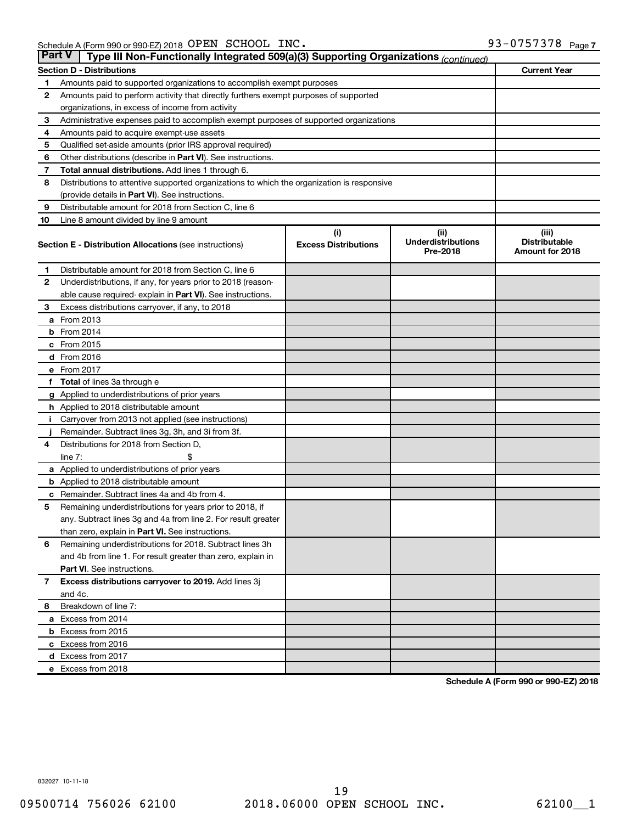| <b>Part V</b><br>Type III Non-Functionally Integrated 509(a)(3) Supporting Organizations (continued) |                                                                                            |                             |                                       |                                         |  |
|------------------------------------------------------------------------------------------------------|--------------------------------------------------------------------------------------------|-----------------------------|---------------------------------------|-----------------------------------------|--|
|                                                                                                      | <b>Current Year</b><br><b>Section D - Distributions</b>                                    |                             |                                       |                                         |  |
| 1                                                                                                    | Amounts paid to supported organizations to accomplish exempt purposes                      |                             |                                       |                                         |  |
| 2                                                                                                    | Amounts paid to perform activity that directly furthers exempt purposes of supported       |                             |                                       |                                         |  |
|                                                                                                      | organizations, in excess of income from activity                                           |                             |                                       |                                         |  |
| 3                                                                                                    | Administrative expenses paid to accomplish exempt purposes of supported organizations      |                             |                                       |                                         |  |
| 4                                                                                                    | Amounts paid to acquire exempt-use assets                                                  |                             |                                       |                                         |  |
| 5                                                                                                    | Qualified set-aside amounts (prior IRS approval required)                                  |                             |                                       |                                         |  |
| 6                                                                                                    | Other distributions (describe in Part VI). See instructions.                               |                             |                                       |                                         |  |
| 7                                                                                                    | Total annual distributions. Add lines 1 through 6.                                         |                             |                                       |                                         |  |
| 8                                                                                                    | Distributions to attentive supported organizations to which the organization is responsive |                             |                                       |                                         |  |
|                                                                                                      | (provide details in Part VI). See instructions.                                            |                             |                                       |                                         |  |
| 9                                                                                                    | Distributable amount for 2018 from Section C, line 6                                       |                             |                                       |                                         |  |
| 10                                                                                                   | Line 8 amount divided by line 9 amount                                                     |                             |                                       |                                         |  |
|                                                                                                      |                                                                                            | (i)                         | (ii)                                  | (iii)                                   |  |
|                                                                                                      | <b>Section E - Distribution Allocations (see instructions)</b>                             | <b>Excess Distributions</b> | <b>Underdistributions</b><br>Pre-2018 | <b>Distributable</b><br>Amount for 2018 |  |
| 1.                                                                                                   | Distributable amount for 2018 from Section C, line 6                                       |                             |                                       |                                         |  |
| $\mathbf{2}$                                                                                         | Underdistributions, if any, for years prior to 2018 (reason-                               |                             |                                       |                                         |  |
|                                                                                                      | able cause required- explain in Part VI). See instructions.                                |                             |                                       |                                         |  |
| 3                                                                                                    | Excess distributions carryover, if any, to 2018                                            |                             |                                       |                                         |  |
|                                                                                                      | a From 2013                                                                                |                             |                                       |                                         |  |
|                                                                                                      | <b>b</b> From 2014                                                                         |                             |                                       |                                         |  |
|                                                                                                      | c From 2015                                                                                |                             |                                       |                                         |  |
|                                                                                                      | d From 2016                                                                                |                             |                                       |                                         |  |
|                                                                                                      | e From 2017                                                                                |                             |                                       |                                         |  |
|                                                                                                      | <b>Total</b> of lines 3a through e                                                         |                             |                                       |                                         |  |
|                                                                                                      | <b>g</b> Applied to underdistributions of prior years                                      |                             |                                       |                                         |  |
|                                                                                                      | <b>h</b> Applied to 2018 distributable amount                                              |                             |                                       |                                         |  |
|                                                                                                      | Carryover from 2013 not applied (see instructions)                                         |                             |                                       |                                         |  |
|                                                                                                      | Remainder. Subtract lines 3g, 3h, and 3i from 3f.                                          |                             |                                       |                                         |  |
| 4                                                                                                    | Distributions for 2018 from Section D,                                                     |                             |                                       |                                         |  |
|                                                                                                      | line $7:$                                                                                  |                             |                                       |                                         |  |
|                                                                                                      | a Applied to underdistributions of prior years                                             |                             |                                       |                                         |  |
|                                                                                                      | <b>b</b> Applied to 2018 distributable amount                                              |                             |                                       |                                         |  |
| с                                                                                                    | Remainder. Subtract lines 4a and 4b from 4.                                                |                             |                                       |                                         |  |
| 5                                                                                                    | Remaining underdistributions for years prior to 2018, if                                   |                             |                                       |                                         |  |
|                                                                                                      | any. Subtract lines 3g and 4a from line 2. For result greater                              |                             |                                       |                                         |  |
|                                                                                                      | than zero, explain in Part VI. See instructions.                                           |                             |                                       |                                         |  |
| 6                                                                                                    | Remaining underdistributions for 2018. Subtract lines 3h                                   |                             |                                       |                                         |  |
|                                                                                                      | and 4b from line 1. For result greater than zero, explain in                               |                             |                                       |                                         |  |
|                                                                                                      | <b>Part VI.</b> See instructions.                                                          |                             |                                       |                                         |  |
| $\mathbf{7}$                                                                                         | Excess distributions carryover to 2019. Add lines 3j                                       |                             |                                       |                                         |  |
|                                                                                                      | and 4c.                                                                                    |                             |                                       |                                         |  |
| 8                                                                                                    | Breakdown of line 7:                                                                       |                             |                                       |                                         |  |
|                                                                                                      | a Excess from 2014                                                                         |                             |                                       |                                         |  |
|                                                                                                      | <b>b</b> Excess from 2015                                                                  |                             |                                       |                                         |  |
|                                                                                                      | c Excess from 2016                                                                         |                             |                                       |                                         |  |
|                                                                                                      | d Excess from 2017                                                                         |                             |                                       |                                         |  |
|                                                                                                      | e Excess from 2018                                                                         |                             |                                       |                                         |  |

**Schedule A (Form 990 or 990-EZ) 2018**

832027 10-11-18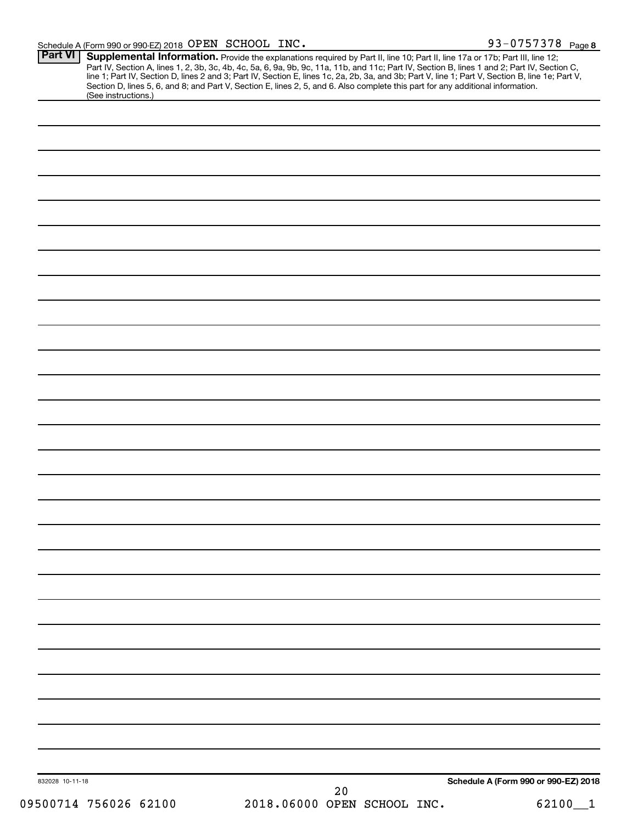| <b>Part VI</b><br>(See instructions.) | <b>Supplemental Information.</b> Provide the explanations required by Part II, line 10; Part II, line 17a or 17b; Part III, line 12; Part IV, Section A, lines 1, 2, 3b, 3c, 4b, 4c, 5a, 6, 9a, 9b, 9c, 11a, 11b, and 11c; Part IV, |
|---------------------------------------|-------------------------------------------------------------------------------------------------------------------------------------------------------------------------------------------------------------------------------------|
|                                       |                                                                                                                                                                                                                                     |
|                                       |                                                                                                                                                                                                                                     |
|                                       |                                                                                                                                                                                                                                     |
|                                       |                                                                                                                                                                                                                                     |
|                                       |                                                                                                                                                                                                                                     |
|                                       |                                                                                                                                                                                                                                     |
|                                       |                                                                                                                                                                                                                                     |
|                                       |                                                                                                                                                                                                                                     |
|                                       |                                                                                                                                                                                                                                     |
|                                       |                                                                                                                                                                                                                                     |
|                                       |                                                                                                                                                                                                                                     |
|                                       |                                                                                                                                                                                                                                     |
|                                       |                                                                                                                                                                                                                                     |
|                                       |                                                                                                                                                                                                                                     |
|                                       |                                                                                                                                                                                                                                     |
|                                       |                                                                                                                                                                                                                                     |
|                                       |                                                                                                                                                                                                                                     |
|                                       |                                                                                                                                                                                                                                     |
|                                       |                                                                                                                                                                                                                                     |
|                                       |                                                                                                                                                                                                                                     |
|                                       |                                                                                                                                                                                                                                     |
|                                       |                                                                                                                                                                                                                                     |
|                                       |                                                                                                                                                                                                                                     |
|                                       |                                                                                                                                                                                                                                     |
|                                       |                                                                                                                                                                                                                                     |
|                                       |                                                                                                                                                                                                                                     |
|                                       |                                                                                                                                                                                                                                     |
|                                       |                                                                                                                                                                                                                                     |
|                                       |                                                                                                                                                                                                                                     |
|                                       |                                                                                                                                                                                                                                     |
|                                       |                                                                                                                                                                                                                                     |
|                                       |                                                                                                                                                                                                                                     |
| 832028 10-11-18                       | Schedule A (Form 990 or 990-EZ) 2018                                                                                                                                                                                                |
|                                       | 20<br>2018.06000 OPEN SCHOOL INC.                                                                                                                                                                                                   |
| 09500714 756026 62100                 | $62100 - 1$                                                                                                                                                                                                                         |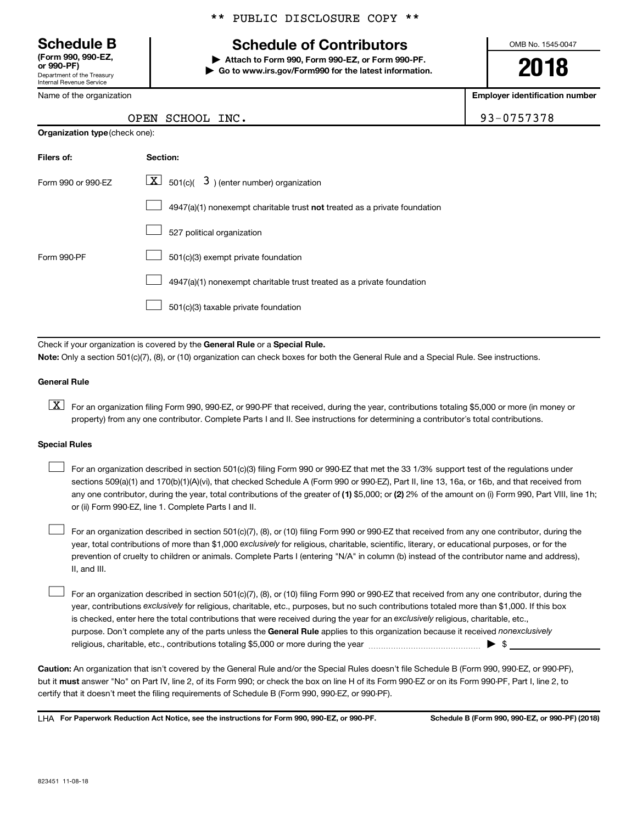Department of the Treasury Internal Revenue Service **(Form 990, 990-EZ,**

Name of the organization

**Organization type** (check one):

## \*\* PUBLIC DISCLOSURE COPY \*\*

## **Schedule B Schedule of Contributors**

**or 990-PF) | Attach to Form 990, Form 990-EZ, or Form 990-PF. | Go to www.irs.gov/Form990 for the latest information.** OMB No. 1545-0047

**2018**

**Employer identification number**

| OPEN SCHOOL INC. | 93-0757378 |
|------------------|------------|
|                  |            |

| Filers of:         | Section:                                                                  |
|--------------------|---------------------------------------------------------------------------|
| Form 990 or 990-EZ | $\lfloor x \rfloor$ 501(c)( 3) (enter number) organization                |
|                    | 4947(a)(1) nonexempt charitable trust not treated as a private foundation |
|                    | 527 political organization                                                |
| Form 990-PF        | 501(c)(3) exempt private foundation                                       |
|                    | 4947(a)(1) nonexempt charitable trust treated as a private foundation     |
|                    | 501(c)(3) taxable private foundation                                      |

Check if your organization is covered by the General Rule or a Special Rule. **Note:**  Only a section 501(c)(7), (8), or (10) organization can check boxes for both the General Rule and a Special Rule. See instructions.

#### **General Rule**

**K** For an organization filing Form 990, 990-EZ, or 990-PF that received, during the year, contributions totaling \$5,000 or more (in money or property) from any one contributor. Complete Parts I and II. See instructions for determining a contributor's total contributions.

#### **Special Rules**

any one contributor, during the year, total contributions of the greater of (1) \$5,000; or (2) 2% of the amount on (i) Form 990, Part VIII, line 1h; For an organization described in section 501(c)(3) filing Form 990 or 990-EZ that met the 33 1/3% support test of the regulations under sections 509(a)(1) and 170(b)(1)(A)(vi), that checked Schedule A (Form 990 or 990-EZ), Part II, line 13, 16a, or 16b, and that received from or (ii) Form 990-EZ, line 1. Complete Parts I and II.  $\Box$ 

year, total contributions of more than \$1,000 *exclusively* for religious, charitable, scientific, literary, or educational purposes, or for the For an organization described in section 501(c)(7), (8), or (10) filing Form 990 or 990-EZ that received from any one contributor, during the prevention of cruelty to children or animals. Complete Parts I (entering "N/A" in column (b) instead of the contributor name and address), II, and III.  $\Box$ 

purpose. Don't complete any of the parts unless the General Rule applies to this organization because it received nonexclusively year, contributions exclusively for religious, charitable, etc., purposes, but no such contributions totaled more than \$1,000. If this box is checked, enter here the total contributions that were received during the year for an exclusively religious, charitable, etc., For an organization described in section 501(c)(7), (8), or (10) filing Form 990 or 990-EZ that received from any one contributor, during the religious, charitable, etc., contributions totaling \$5,000 or more during the year  $\ldots$  $\ldots$  $\ldots$  $\ldots$  $\ldots$  $\ldots$  $\Box$ 

**Caution:**  An organization that isn't covered by the General Rule and/or the Special Rules doesn't file Schedule B (Form 990, 990-EZ, or 990-PF),  **must** but it answer "No" on Part IV, line 2, of its Form 990; or check the box on line H of its Form 990-EZ or on its Form 990-PF, Part I, line 2, to certify that it doesn't meet the filing requirements of Schedule B (Form 990, 990-EZ, or 990-PF).

**For Paperwork Reduction Act Notice, see the instructions for Form 990, 990-EZ, or 990-PF. Schedule B (Form 990, 990-EZ, or 990-PF) (2018)** LHA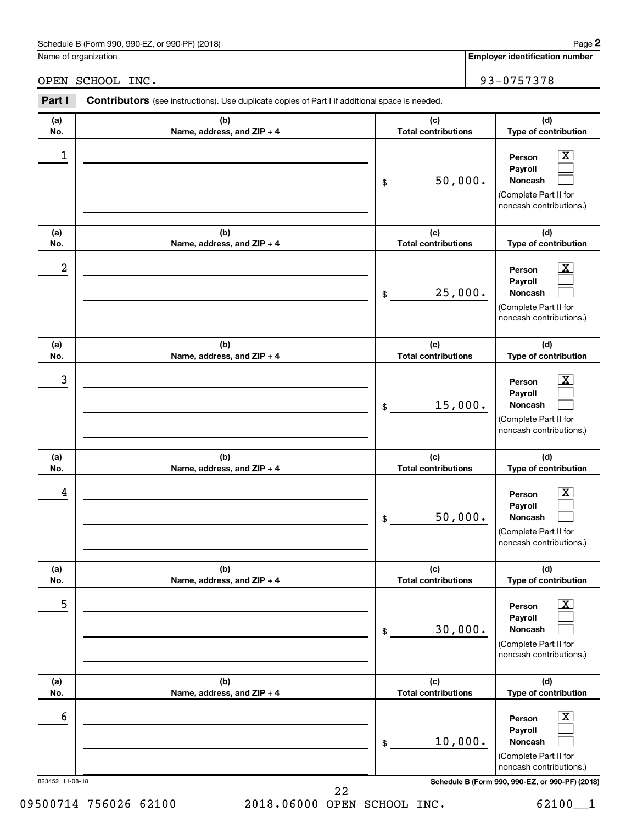**(b) Name, address, and ZIP + 4**

**Part I** Contributors (see instructions). Use duplicate copies of Part I if additional space is needed.

**(b) Name, address, and ZIP + 4**

**(b) Name, address, and ZIP + 4**

**(b) Name, address, and ZIP + 4**

**(b) Name, address, and ZIP + 4**

**(b) Name, address, and ZIP + 4**

Name of organization

**(a) No.**

**(a) No.**

**(a) No.**

**(a) No.**

**(a) No.**

**(a) No.** **Employer identification number**

**(d) Type of contribution**

> $\lfloor x \rfloor$  $\Box$  $\Box$

> $\boxed{\textbf{X}}$  $\Box$  $\Box$

> $\boxed{\textbf{X}}$  $\Box$  $\Box$

> $\boxed{\textbf{X}}$  $\Box$  $\Box$

> $\boxed{\text{X}}$  $\Box$  $\Box$

> $\boxed{\text{X}}$  $\Box$  $\Box$

**(d) Type of contribution**

(Complete Part II for noncash contributions.)

> **(d) Type of contribution**

(Complete Part II for noncash contributions.)

**(d) Type of contribution**

(Complete Part II for noncash contributions.)

> **(d) Type of contribution**

(Complete Part II for noncash contributions.)

**(d) Type of contribution**

(Complete Part II for noncash contributions.)

**Person Payroll Noncash**

**Person Payroll Noncash**

**Person Payroll Noncash**

**Person Payroll Noncash**

**Person Payroll Noncash**

**(c) Total contributions**

**(c) Total contributions**

50,000.

25,000.

15,000.

50,000.

30,000.

10,000.

\$

 $\begin{array}{|c|c|c|c|c|}\hline \ \text{1} & \text{Person} & \text{X} \ \hline \end{array}$ 

 $2$  Person  $\overline{\text{X}}$ 

 $\begin{array}{|c|c|c|c|c|c|}\hline \text{3} & \text{Person} & \text{X} \ \hline \end{array}$ 

 $\begin{array}{|c|c|c|c|c|}\hline \text{4} & \text{Person} & \text{\textbf{X}}\ \hline \end{array}$ 

5 X

 $\overline{6}$  Person  $\overline{X}$ 

\$

\$

\$

\$

\$

**(c) Total contributions**

**(c) Total contributions**

**(c) Total contributions**

**(c) Total contributions**

## OPEN SCHOOL INC. 2008 2009 12:00 12:00 13:00 13:00 13:00 13:00 14:00 14:00 14:00 14:00 14:00 14:00 14:00 14:00

**Noncash** (Complete Part II for noncash contributions.)

**Person Payroll**

| 10<br>52 11-08-1 |  |
|------------------|--|

| 22 |                      |  |
|----|----------------------|--|
|    | A6000 OPEN SCHOOL IN |  |

823452 11-08-18 **Schedule B (Form 990, 990-EZ, or 990-PF) (2018)**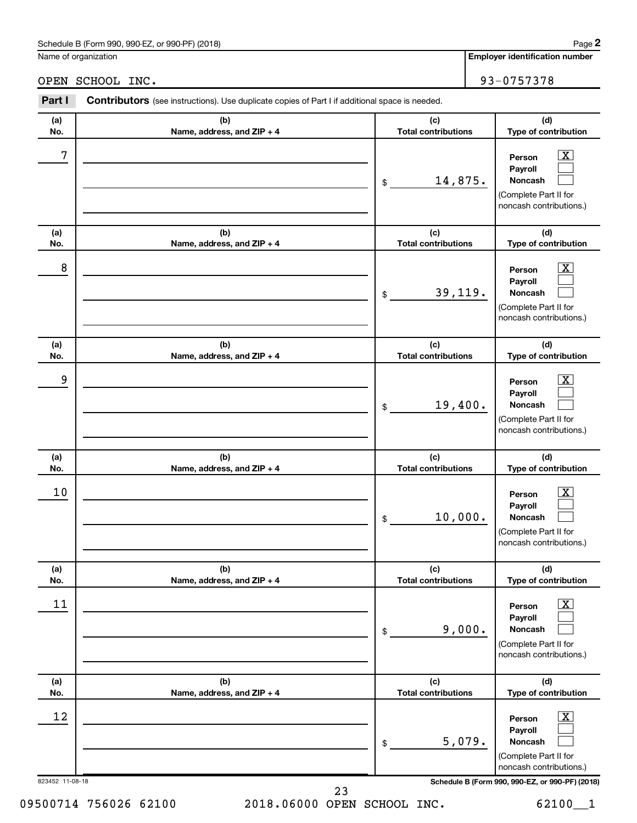**(b) Name, address, and ZIP + 4**

**Part I** Contributors (see instructions). Use duplicate copies of Part I if additional space is needed.

**(b) Name, address, and ZIP + 4**

**(b) Name, address, and ZIP + 4**

**(b)**

Name of organization

**(a) No.**

**(a) No.**

**(a) No.**

**(a)**

**(d) Type of contribution**

> $\boxed{\textbf{X}}$  $\Box$  $\Box$

> $\boxed{\text{X}}$  $\Box$  $\Box$

> $\boxed{\text{X}}$  $\Box$  $\Box$

**(d) Type of contribution**

(Complete Part II for noncash contributions.)

**(d) Type of contribution**

(Complete Part II for noncash contributions.)

**(d)**

(Complete Part II for noncash contributions.)

**Person Payroll Noncash**

**Person Payroll Noncash**

**Person Payroll Noncash**

## OPEN SCHOOL INC. 2008 2009 12:00 12:00 13:00 13:00 13:00 13:00 14:00 14:00 14:00 14:00 14:00 14:00 14:00 14:00

| No.             | Name, address, and ZIP + 4 | <b>Total contributions</b> | Type of contribution                                                                                               |
|-----------------|----------------------------|----------------------------|--------------------------------------------------------------------------------------------------------------------|
| $10$            |                            | 10,000.<br>\$              | $\overline{\mathbf{X}}$<br>Person<br>Payroll<br><b>Noncash</b><br>(Complete Part II for<br>noncash contributions.) |
| (a)             | (b)                        | (c)                        | (d)                                                                                                                |
| No.             | Name, address, and ZIP + 4 | <b>Total contributions</b> | Type of contribution                                                                                               |
| 11              |                            | 9,000.<br>\$               | $\overline{\textbf{X}}$<br>Person<br>Payroll<br><b>Noncash</b><br>(Complete Part II for<br>noncash contributions.) |
| (a)             | (b)                        | (c)                        | (d)                                                                                                                |
| No.             | Name, address, and ZIP + 4 | <b>Total contributions</b> | Type of contribution                                                                                               |
| 12              |                            | 5,079.<br>\$               | $\overline{\text{X}}$<br>Person<br>Payroll<br><b>Noncash</b><br>(Complete Part II for<br>noncash contributions.)   |
| 823452 11-08-18 |                            |                            | Schedule B (Form 990, 990-EZ, or 990-PF) (2018)                                                                    |

09500714 756026 62100 2018.06000 OPEN SCHOOL INC. 62100\_1 23

| -<br>$\sim$ |                         |  |
|-------------|-------------------------|--|
|             |                         |  |
|             |                         |  |
|             |                         |  |
|             |                         |  |
|             |                         |  |
|             |                         |  |
|             |                         |  |
| --          | the control of the con- |  |

 $7$   $|$  Person  $\overline{\text{X}}$ 

 $8$  Person  $\overline{\text{X}}$ 

9 X

\$

\$

\$

## **Employer identification number**

**(c) Total contributions**

**(c) Total contributions**

14,875.

39,119.

19,400.

**(c) Total contributions**

**(c)**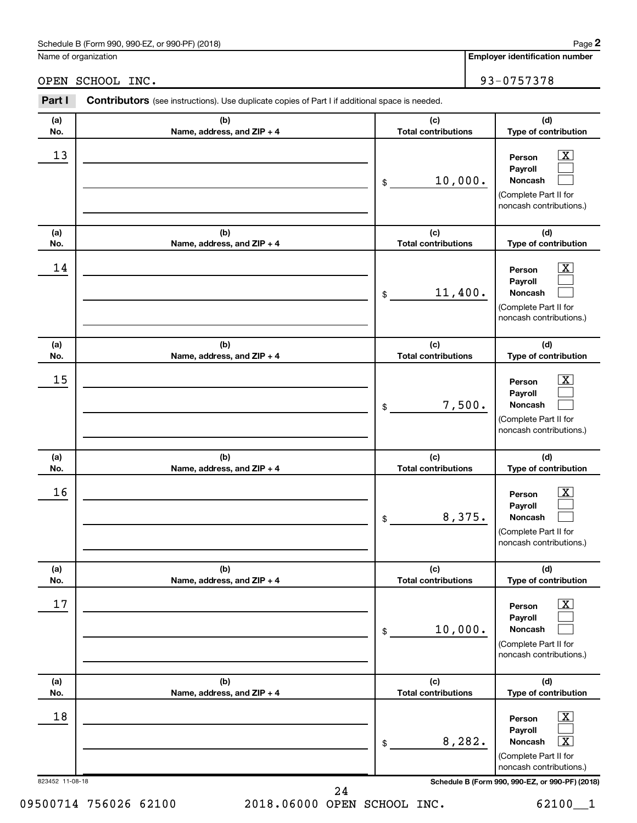Name of organization

## OPEN SCHOOL INC. 93-0757378

| Part I                | Contributors (see instructions). Use duplicate copies of Part I if additional space is needed. |                                                                                                                                                                                                 |
|-----------------------|------------------------------------------------------------------------------------------------|-------------------------------------------------------------------------------------------------------------------------------------------------------------------------------------------------|
| (a)<br>No.            | (b)<br>Name, address, and ZIP + 4                                                              | (c)<br>(d)<br><b>Total contributions</b><br>Type of contribution                                                                                                                                |
| 13                    |                                                                                                | $\overline{\mathbf{X}}$<br>Person<br>Payroll<br>10,000.<br>Noncash<br>\$<br>(Complete Part II for<br>noncash contributions.)                                                                    |
| (a)<br>No.            | (b)<br>Name, address, and ZIP + 4                                                              | (c)<br>(d)<br><b>Total contributions</b><br>Type of contribution                                                                                                                                |
| 14                    |                                                                                                | $\boxed{\text{X}}$<br>Person<br>Payroll<br>11,400.<br>Noncash<br>\$<br>(Complete Part II for<br>noncash contributions.)                                                                         |
| (a)<br>No.            | (b)<br>Name, address, and ZIP + 4                                                              | (c)<br>(d)<br><b>Total contributions</b><br>Type of contribution                                                                                                                                |
| 15                    |                                                                                                | $\mathbf{X}$<br>Person<br>Payroll<br>7,500.<br>Noncash<br>\$<br>(Complete Part II for<br>noncash contributions.)                                                                                |
| (a)<br>No.            | (b)<br>Name, address, and ZIP + 4                                                              | (c)<br>(d)<br><b>Total contributions</b><br>Type of contribution                                                                                                                                |
| 16                    |                                                                                                | $\mathbf{X}$<br>Person<br>Payroll<br>8,375.<br>Noncash<br>\$<br>(Complete Part II for<br>noncash contributions.)                                                                                |
| (a)<br>No.            | (b)<br>Name, address, and ZIP + 4                                                              | (d)<br>(c)<br>Type of contribution<br><b>Total contributions</b>                                                                                                                                |
| 17                    |                                                                                                | $\overline{\text{X}}$<br>Person<br>Payroll<br>10,000.<br><b>Noncash</b><br>\$<br>(Complete Part II for<br>noncash contributions.)                                                               |
| (a)<br>No.            | (b)<br>Name, address, and ZIP + 4                                                              | (c)<br>(d)<br><b>Total contributions</b><br>Type of contribution                                                                                                                                |
| 18<br>823452 11-08-18 |                                                                                                | <u>x</u><br>Person<br>Payroll<br>8,282.<br>$\overline{\text{X}}$<br><b>Noncash</b><br>\$<br>(Complete Part II for<br>noncash contributions.)<br>Schedule B (Form 990, 990-EZ, or 990-PF) (2018) |

09500714 756026 62100 2018.06000 OPEN SCHOOL INC. 62100\_1 24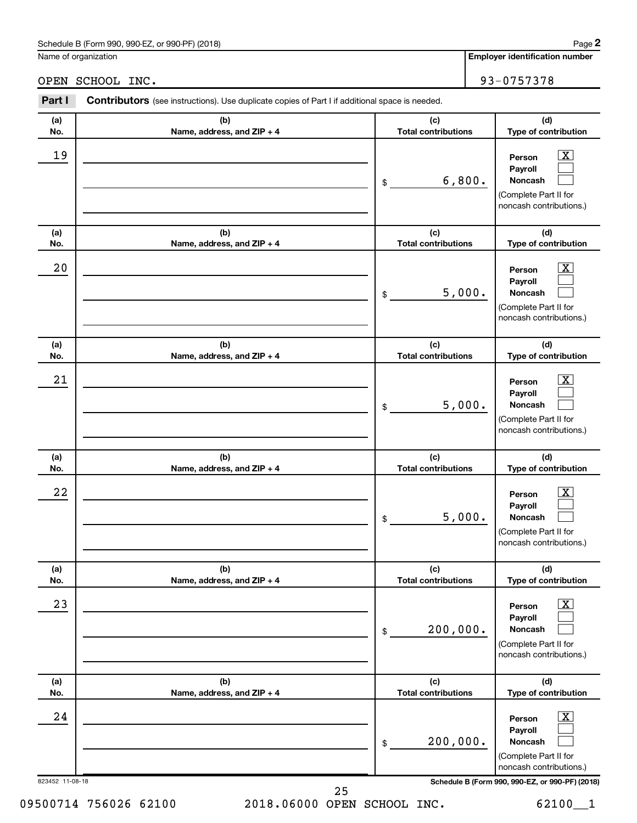Name of organization

## OPEN SCHOOL INC. 93-0757378

| Part I                | Contributors (see instructions). Use duplicate copies of Part I if additional space is needed. |                                   |                                                                                                                                                                |
|-----------------------|------------------------------------------------------------------------------------------------|-----------------------------------|----------------------------------------------------------------------------------------------------------------------------------------------------------------|
| (a)<br>No.            | (b)<br>Name, address, and ZIP + 4                                                              | (c)<br><b>Total contributions</b> | (d)<br>Type of contribution                                                                                                                                    |
| 19                    |                                                                                                | 6,800.<br>\$                      | $\mathbf{X}$<br>Person<br>Payroll<br>Noncash<br>(Complete Part II for<br>noncash contributions.)                                                               |
| (a)<br>No.            | (b)<br>Name, address, and ZIP + 4                                                              | (c)<br><b>Total contributions</b> | (d)<br>Type of contribution                                                                                                                                    |
| 20                    |                                                                                                | 5,000.<br>\$                      | $\mathbf{X}$<br>Person<br>Payroll<br>Noncash<br>(Complete Part II for<br>noncash contributions.)                                                               |
| (a)<br>No.            | (b)<br>Name, address, and ZIP + 4                                                              | (c)<br><b>Total contributions</b> | (d)<br>Type of contribution                                                                                                                                    |
| 21                    |                                                                                                | 5,000.<br>\$                      | $\mathbf{X}$<br>Person<br>Payroll<br>Noncash<br>(Complete Part II for<br>noncash contributions.)                                                               |
| (a)<br>No.            | (b)<br>Name, address, and ZIP + 4                                                              | (c)<br><b>Total contributions</b> | (d)<br>Type of contribution                                                                                                                                    |
| 22                    |                                                                                                | 5,000.<br>\$                      | $\mathbf{X}$<br>Person<br>Payroll<br>Noncash<br>(Complete Part II for<br>noncash contributions.)                                                               |
| (a)<br>No.            | (b)<br>Name, address, and ZIP + 4                                                              | (c)<br><b>Total contributions</b> | (d)<br>Type of contribution                                                                                                                                    |
| 23                    |                                                                                                | 200,000.<br>\$                    | $\mathbf{X}$<br>Person<br>Payroll<br>Noncash<br>(Complete Part II for<br>noncash contributions.)                                                               |
| (a)<br>No.            | (b)<br>Name, address, and ZIP + 4                                                              | (c)<br><b>Total contributions</b> | (d)<br>Type of contribution                                                                                                                                    |
| 24<br>823452 11-08-18 |                                                                                                | 200,000.<br>\$                    | $\overline{\mathbf{X}}$<br>Person<br>Payroll<br>Noncash<br>(Complete Part II for<br>noncash contributions.)<br>Schedule B (Form 990, 990-EZ, or 990-PF) (2018) |
|                       | 25                                                                                             |                                   |                                                                                                                                                                |

09500714 756026 62100 2018.06000 OPEN SCHOOL INC. 62100\_1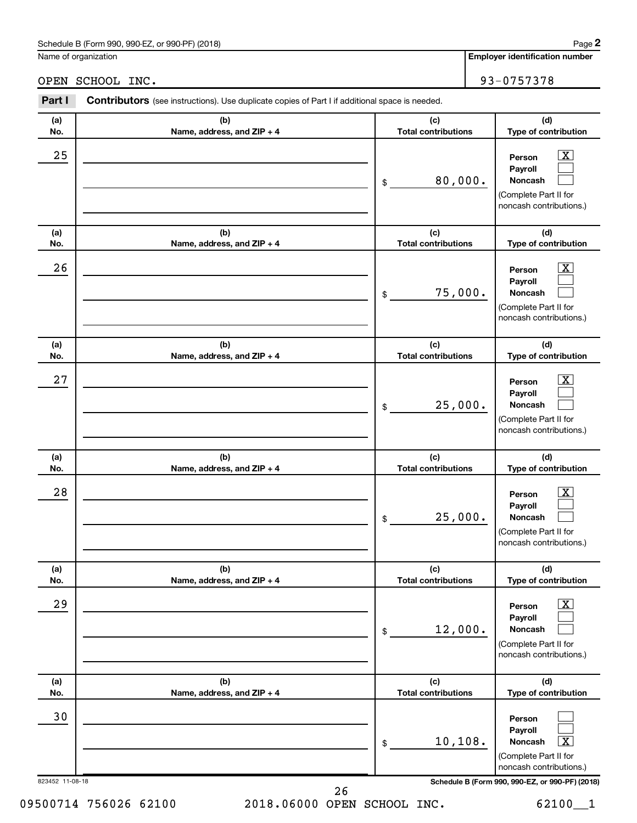Name of organization

## OPEN SCHOOL INC. 93-0757378

| Part I          | Contributors (see instructions). Use duplicate copies of Part I if additional space is needed. |                                   |                                                                                                             |
|-----------------|------------------------------------------------------------------------------------------------|-----------------------------------|-------------------------------------------------------------------------------------------------------------|
| (a)<br>No.      | (b)<br>Name, address, and ZIP + 4                                                              | (c)<br><b>Total contributions</b> | (d)<br>Type of contribution                                                                                 |
| 25              |                                                                                                | 80,000.<br>\$                     | $\overline{\textbf{X}}$<br>Person<br>Payroll<br>Noncash<br>(Complete Part II for<br>noncash contributions.) |
| (a)<br>No.      | (b)<br>Name, address, and ZIP + 4                                                              | (c)<br><b>Total contributions</b> | (d)<br>Type of contribution                                                                                 |
| 26              |                                                                                                | 75,000.<br>\$                     | x<br>Person<br>Payroll<br>Noncash<br>(Complete Part II for<br>noncash contributions.)                       |
| (a)<br>No.      | (b)<br>Name, address, and ZIP + 4                                                              | (c)<br><b>Total contributions</b> | (d)<br>Type of contribution                                                                                 |
| 27              |                                                                                                | 25,000.<br>\$                     | x<br>Person<br>Payroll<br>Noncash<br>(Complete Part II for<br>noncash contributions.)                       |
| (a)<br>No.      | (b)<br>Name, address, and ZIP + 4                                                              | (c)<br><b>Total contributions</b> | (d)<br>Type of contribution                                                                                 |
| 28              |                                                                                                | 25,000.<br>\$                     | x<br>Person<br>Payroll<br>Noncash<br>(Complete Part II for<br>noncash contributions.)                       |
| (a)<br>No.      | (b)<br>Name, address, and ZIP + 4                                                              | (c)<br><b>Total contributions</b> | (d)<br>Type of contribution                                                                                 |
| 29              |                                                                                                | 12,000.<br>\$                     | Person<br>Payroll<br>Noncash<br>(Complete Part II for<br>noncash contributions.)                            |
| (a)<br>No.      | (b)<br>Name, address, and ZIP + 4                                                              | (c)<br><b>Total contributions</b> | (d)<br>Type of contribution                                                                                 |
| 30              |                                                                                                | 10,108.<br>\$                     | Person<br>Payroll<br>Noncash<br>x<br>(Complete Part II for<br>noncash contributions.)                       |
| 823452 11-08-18 |                                                                                                |                                   | Schedule B (Form 990, 990-EZ, or 990-PF) (2018)                                                             |

09500714 756026 62100 2018.06000 OPEN SCHOOL INC. 62100\_1 26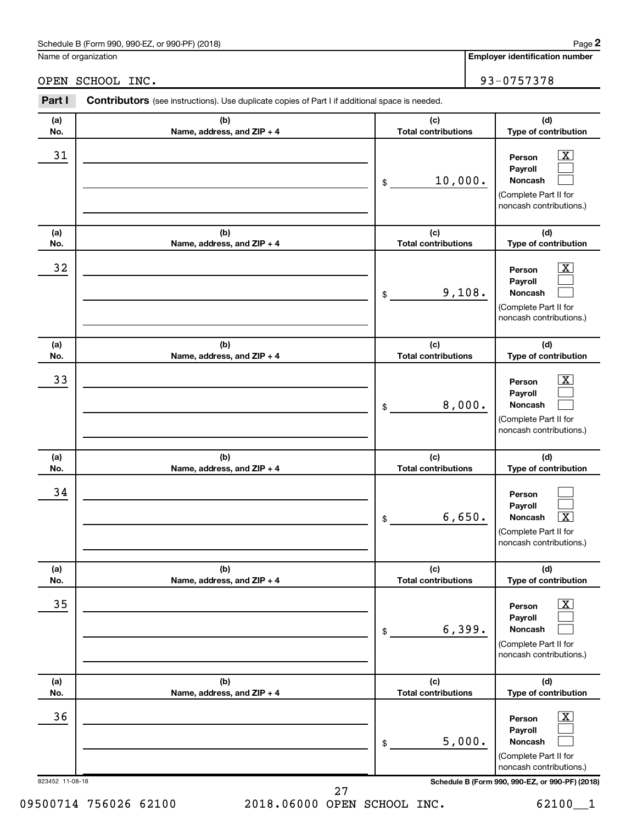**Part I** Contributors (see instructions). Use duplicate copies of Part I if additional space is needed.

Name of organization

**Employer identification number**

## OPEN SCHOOL INC. 93-0757378

| (a)<br>No.            | (b)<br>Name, address, and ZIP + 4 | (c)<br><b>Total contributions</b> | (d)<br>Type of contribution                                                                                                                               |
|-----------------------|-----------------------------------|-----------------------------------|-----------------------------------------------------------------------------------------------------------------------------------------------------------|
| 31                    |                                   | 10,000.<br>\$                     | $\overline{\mathbf{X}}$<br>Person<br>Payroll<br>Noncash<br>(Complete Part II for<br>noncash contributions.)                                               |
| (a)<br>No.            | (b)<br>Name, address, and ZIP + 4 | (c)<br><b>Total contributions</b> | (d)<br>Type of contribution                                                                                                                               |
| 32                    |                                   | 9,108.<br>\$                      | $\overline{\mathbf{X}}$<br>Person<br>Payroll<br>Noncash<br>(Complete Part II for<br>noncash contributions.)                                               |
| (a)<br>No.            | (b)<br>Name, address, and ZIP + 4 | (c)<br><b>Total contributions</b> | (d)<br>Type of contribution                                                                                                                               |
| 33                    |                                   | 8,000.<br>\$                      | $\overline{\mathbf{X}}$<br>Person<br>Payroll<br>Noncash<br>(Complete Part II for<br>noncash contributions.)                                               |
| (a)<br>No.            | (b)<br>Name, address, and ZIP + 4 | (c)<br><b>Total contributions</b> | (d)<br>Type of contribution                                                                                                                               |
| 34                    |                                   | 6,650.<br>\$                      | Person<br>Payroll<br>$\overline{\texttt{x}}$<br>Noncash<br>(Complete Part II for<br>noncash contributions.)                                               |
| (a)<br>No.            | (b)<br>Name, address, and ZIP + 4 | (c)<br><b>Total contributions</b> | (d)<br>Type of contribution                                                                                                                               |
| 35                    |                                   | 6,399.<br>\$                      | $\boxed{\text{X}}$<br>Person<br>Payroll<br>Noncash<br>(Complete Part II for<br>noncash contributions.)                                                    |
| (a)<br>No.            | (b)<br>Name, address, and ZIP + 4 | (c)<br><b>Total contributions</b> | (d)<br>Type of contribution                                                                                                                               |
| 36<br>823452 11-08-18 |                                   | 5,000.<br>$\$$                    | $\boxed{\text{X}}$<br>Person<br>Payroll<br>Noncash<br>(Complete Part II for<br>noncash contributions.)<br>Schedule B (Form 990, 990-EZ, or 990-PF) (2018) |

09500714 756026 62100 2018.06000 OPEN SCHOOL INC. 62100\_1 27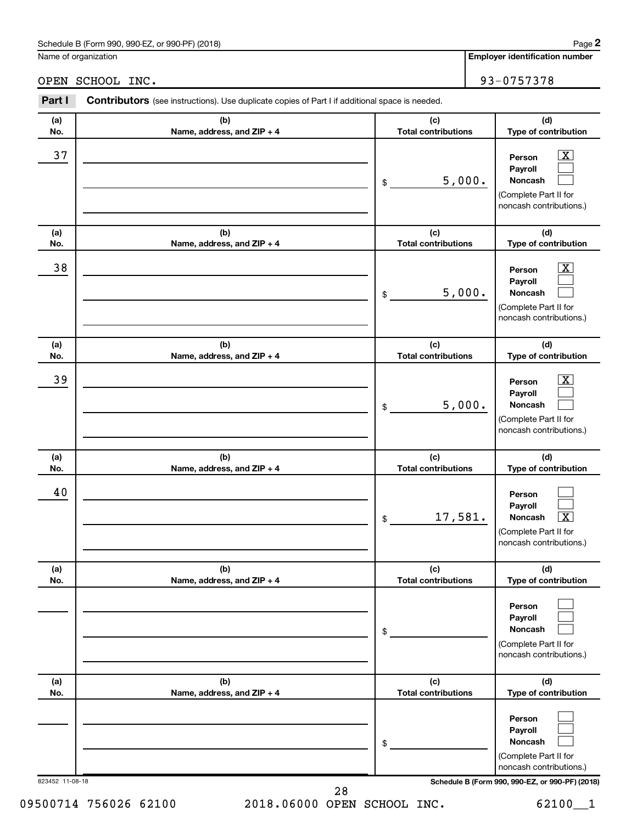**(b) Name, address, and ZIP + 4**

**Part I** Contributors (see instructions). Use duplicate copies of Part I if additional space is needed.

**(b) Name, address, and ZIP + 4**

**(b) Name, address, and ZIP + 4**

**(b) Name, address, and ZIP + 4**

**(b) Name, address, and ZIP + 4**

Name of organization

**(a) No.**

**(a) No.**

**(a) No.**

**(a) No.**

40

**(a) No.**

**(d) Type of contribution**

> $\boxed{\textbf{X}}$  $\Box$  $\Box$

> $\boxed{\textbf{X}}$  $\Box$  $\Box$

> $\boxed{\textbf{X}}$  $\Box$  $\Box$

> $\Box$  $\Box$  $\overline{X}$

> $\Box$  $\Box$  $\Box$

**(d) Type of contribution**

(Complete Part II for noncash contributions.)

> **(d) Type of contribution**

(Complete Part II for noncash contributions.)

**(d) Type of contribution**

(Complete Part II for noncash contributions.)

> **(d) Type of contribution**

(Complete Part II for noncash contributions.)

**Person Payroll Noncash**

**Person Payroll Noncash**

**Person Payroll Noncash**

**Person Payroll Noncash**

**Person Payroll Noncash**

**(c) Total contributions**

**(c) Total contributions**

5,000.

5,000.

5,000.

17,581. X

\$

 $\overline{37}$  Person  $\overline{\text{X}}$ 

 $\overline{38}$  Person  $\overline{\text{X}}$ 

 $\overline{39}$  Person  $\overline{\text{X}}$ 

\$

\$

\$

\$

**(c) Total contributions**

**(c) Total contributions**

**(c) Total contributions**

### OPEN SCHOOL INC. 2008 2009 12:00 12:00 13:00 13:00 13:00 13:00 14:00 14:00 14:00 14:00 14:00 14:00 14:00 14:00

(Complete Part II for

|            |                                   |                                   | noncash contributions.)                                                         |
|------------|-----------------------------------|-----------------------------------|---------------------------------------------------------------------------------|
| (a)<br>No. | (b)<br>Name, address, and ZIP + 4 | (c)<br><b>Total contributions</b> | (d)<br>Type of contribution                                                     |
|            |                                   | \$.                               | Person<br>Payroll<br>Noncash<br>Complete Part II for<br>noncash contributions.) |

823452 11-08-18 **Schedule B (Form 990, 990-EZ, or 990-PF) (2018)**

## 09500714 756026 62100 2018.06000 OPEN SCHOOL INC. 62100\_1 28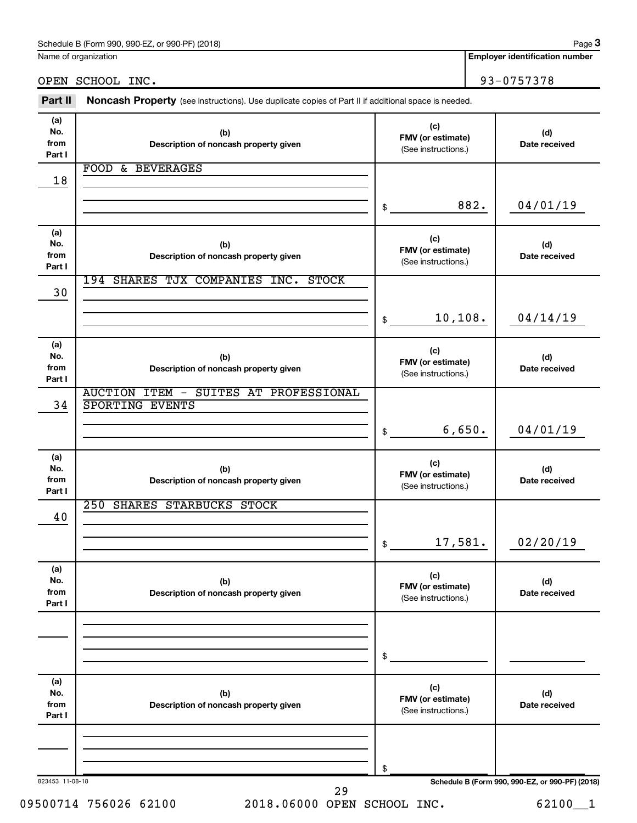|                              | Name of organization                                                                                |                                                 |          | <b>Employer identification number</b> |
|------------------------------|-----------------------------------------------------------------------------------------------------|-------------------------------------------------|----------|---------------------------------------|
|                              | OPEN SCHOOL INC.                                                                                    |                                                 |          | 93-0757378                            |
| Part II                      | Noncash Property (see instructions). Use duplicate copies of Part II if additional space is needed. |                                                 |          |                                       |
| (a)<br>No.<br>from<br>Part I | (b)<br>Description of noncash property given                                                        | (c)<br>FMV (or estimate)<br>(See instructions.) |          | (d)<br>Date received                  |
| 18                           | FOOD & BEVERAGES                                                                                    |                                                 |          |                                       |
|                              |                                                                                                     | \$                                              | 882.     | 04/01/19                              |
| (a)<br>No.<br>from<br>Part I | (b)<br>Description of noncash property given                                                        | (c)<br>FMV (or estimate)<br>(See instructions.) |          | (d)<br>Date received                  |
| 30                           | 194 SHARES TJX COMPANIES INC. STOCK                                                                 |                                                 |          |                                       |
|                              |                                                                                                     | $\$\$                                           | 10, 108. | 04/14/19                              |
| (a)<br>No.<br>from<br>Part I | (b)<br>Description of noncash property given                                                        | (c)<br>FMV (or estimate)<br>(See instructions.) |          | (d)<br>Date received                  |
| 34                           | <b>AUCTION ITEM - SUITES AT PROFESSIONAL</b><br><b>SPORTING EVENTS</b>                              |                                                 |          |                                       |
|                              |                                                                                                     | \$                                              | 6,650.   | 04/01/19                              |
| (a)<br>No.<br>from<br>Part I | (b)<br>Description of noncash property given                                                        | (c)<br>FMV (or estimate)<br>(See instructions.) |          | (d)<br>Date received                  |
| 40                           | SHARES STARBUCKS STOCK<br>250                                                                       |                                                 |          |                                       |
|                              |                                                                                                     | \$                                              | 17,581.  | 02/20/19                              |
| (a)<br>No.<br>from<br>Part I | (b)<br>Description of noncash property given                                                        | (c)<br>FMV (or estimate)<br>(See instructions.) |          | (d)<br>Date received                  |
|                              |                                                                                                     |                                                 |          |                                       |
|                              |                                                                                                     | \$                                              |          |                                       |
| (a)<br>No.<br>from<br>Part I | (b)<br>Description of noncash property given                                                        | (c)<br>FMV (or estimate)<br>(See instructions.) |          | (d)<br>Date received                  |
|                              |                                                                                                     |                                                 |          |                                       |
|                              |                                                                                                     | \$                                              |          |                                       |

09500714 756026 62100 2018.06000 OPEN SCHOOL INC. 62100 1

Schedule B (Form 990, 990-EZ, or 990-PF) (2018)

**3**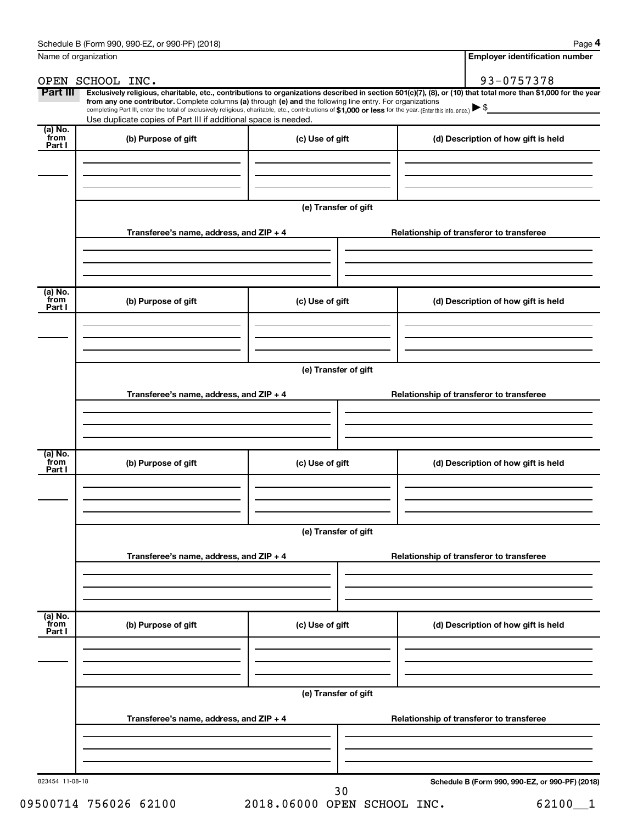|                                        | Name of organization                                                                                                                                                                                                                                                                                                                      |                      | <b>Employer identification number</b>                                                                                                                          |  |
|----------------------------------------|-------------------------------------------------------------------------------------------------------------------------------------------------------------------------------------------------------------------------------------------------------------------------------------------------------------------------------------------|----------------------|----------------------------------------------------------------------------------------------------------------------------------------------------------------|--|
|                                        | OPEN SCHOOL INC.                                                                                                                                                                                                                                                                                                                          |                      | 93-0757378                                                                                                                                                     |  |
| Part III                               | from any one contributor. Complete columns (a) through (e) and the following line entry. For organizations<br>completing Part III, enter the total of exclusively religious, charitable, etc., contributions of \$1,000 or less for the year. (Enter this info. once.)<br>Use duplicate copies of Part III if additional space is needed. |                      | Exclusively religious, charitable, etc., contributions to organizations described in section 501(c)(7), (8), or (10) that total more than \$1,000 for the year |  |
| $\overline{a}$ ) No.<br>from<br>Part I | (b) Purpose of gift                                                                                                                                                                                                                                                                                                                       | (c) Use of gift      | (d) Description of how gift is held                                                                                                                            |  |
|                                        |                                                                                                                                                                                                                                                                                                                                           |                      |                                                                                                                                                                |  |
|                                        |                                                                                                                                                                                                                                                                                                                                           | (e) Transfer of gift |                                                                                                                                                                |  |
|                                        | Transferee's name, address, and $ZIP + 4$                                                                                                                                                                                                                                                                                                 |                      | Relationship of transferor to transferee                                                                                                                       |  |
|                                        |                                                                                                                                                                                                                                                                                                                                           |                      |                                                                                                                                                                |  |
| (a) No.<br>from<br>Part I              | (b) Purpose of gift                                                                                                                                                                                                                                                                                                                       | (c) Use of gift      | (d) Description of how gift is held                                                                                                                            |  |
|                                        |                                                                                                                                                                                                                                                                                                                                           |                      |                                                                                                                                                                |  |
|                                        |                                                                                                                                                                                                                                                                                                                                           | (e) Transfer of gift |                                                                                                                                                                |  |
|                                        | Transferee's name, address, and $ZIP + 4$                                                                                                                                                                                                                                                                                                 |                      | Relationship of transferor to transferee                                                                                                                       |  |
|                                        |                                                                                                                                                                                                                                                                                                                                           |                      |                                                                                                                                                                |  |
| (a) No.<br>from<br>Part I              | (b) Purpose of gift                                                                                                                                                                                                                                                                                                                       | (c) Use of gift      | (d) Description of how gift is held                                                                                                                            |  |
|                                        |                                                                                                                                                                                                                                                                                                                                           |                      |                                                                                                                                                                |  |
|                                        |                                                                                                                                                                                                                                                                                                                                           | (e) Transfer of gift |                                                                                                                                                                |  |
|                                        | Transferee's name, address, and ZIP + 4                                                                                                                                                                                                                                                                                                   |                      | Relationship of transferor to transferee                                                                                                                       |  |
|                                        |                                                                                                                                                                                                                                                                                                                                           |                      |                                                                                                                                                                |  |
| (a) No.<br>from<br>Part I              | (b) Purpose of gift                                                                                                                                                                                                                                                                                                                       | (c) Use of gift      | (d) Description of how gift is held                                                                                                                            |  |
|                                        |                                                                                                                                                                                                                                                                                                                                           |                      |                                                                                                                                                                |  |
|                                        |                                                                                                                                                                                                                                                                                                                                           | (e) Transfer of gift |                                                                                                                                                                |  |
|                                        | Transferee's name, address, and ZIP + 4                                                                                                                                                                                                                                                                                                   |                      | Relationship of transferor to transferee                                                                                                                       |  |
|                                        |                                                                                                                                                                                                                                                                                                                                           |                      |                                                                                                                                                                |  |
| 823454 11-08-18                        |                                                                                                                                                                                                                                                                                                                                           | 30                   | Schedule B (Form 990, 990-EZ, or 990-PF) (2018)                                                                                                                |  |

09500714 756026 62100 2018.06000 OPEN SCHOOL INC. 62100 1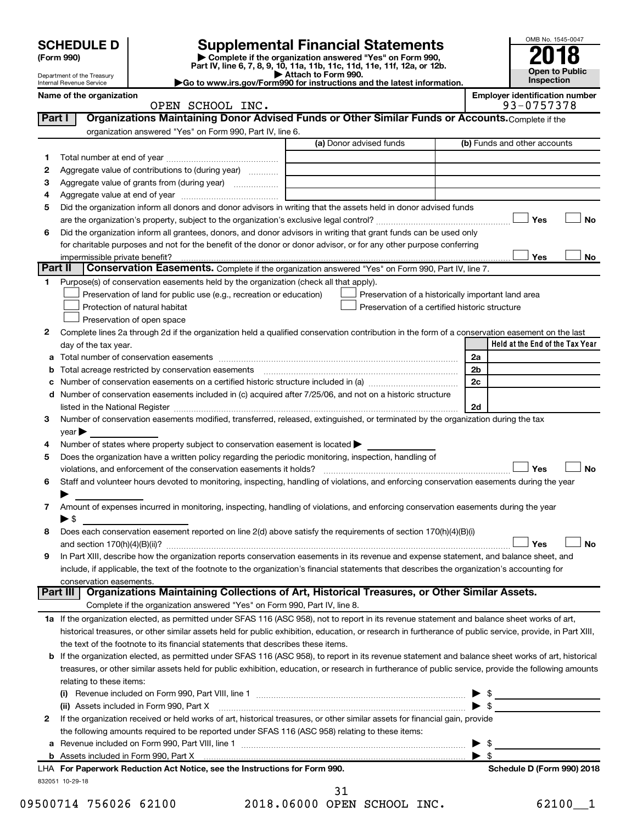| <b>SCHEDULE D</b> |  |
|-------------------|--|
|-------------------|--|

| (Form 990) |
|------------|
|            |

# **SCHEDULE D Supplemental Financial Statements**<br> **Form 990 2018**<br> **Part IV** line 6.7.8.9.10, 11a, 11b, 11d, 11d, 11d, 11d, 11d, 12a, 0r, 12b

**(Form 990) | Complete if the organization answered "Yes" on Form 990, Part IV, line 6, 7, 8, 9, 10, 11a, 11b, 11c, 11d, 11e, 11f, 12a, or 12b.**

**| Attach to Form 990. |Go to www.irs.gov/Form990 for instructions and the latest information.**



Department of the Treasury Internal Revenue Service

| Name of the organization |             |      | <b>Emplover identification number</b> |
|--------------------------|-------------|------|---------------------------------------|
|                          | OPEN SCHOOL | ΤΝΤΟ | $03 - 0757378$                        |

|         | OPEN SCHOOL INC.                                                                                                                                                                                                                                                                                                    | 93-0757378                      |
|---------|---------------------------------------------------------------------------------------------------------------------------------------------------------------------------------------------------------------------------------------------------------------------------------------------------------------------|---------------------------------|
| Part I  | Organizations Maintaining Donor Advised Funds or Other Similar Funds or Accounts. Complete if the                                                                                                                                                                                                                   |                                 |
|         | organization answered "Yes" on Form 990, Part IV, line 6.                                                                                                                                                                                                                                                           |                                 |
|         | (a) Donor advised funds                                                                                                                                                                                                                                                                                             | (b) Funds and other accounts    |
| 1       |                                                                                                                                                                                                                                                                                                                     |                                 |
| 2       | Aggregate value of contributions to (during year)                                                                                                                                                                                                                                                                   |                                 |
| з       | Aggregate value of grants from (during year)                                                                                                                                                                                                                                                                        |                                 |
| 4       |                                                                                                                                                                                                                                                                                                                     |                                 |
| 5       | Did the organization inform all donors and donor advisors in writing that the assets held in donor advised funds                                                                                                                                                                                                    |                                 |
|         |                                                                                                                                                                                                                                                                                                                     | Yes<br>No                       |
| 6       | Did the organization inform all grantees, donors, and donor advisors in writing that grant funds can be used only                                                                                                                                                                                                   |                                 |
|         | for charitable purposes and not for the benefit of the donor or donor advisor, or for any other purpose conferring                                                                                                                                                                                                  |                                 |
|         | impermissible private benefit?                                                                                                                                                                                                                                                                                      | Yes<br>No                       |
| Part II | Conservation Easements. Complete if the organization answered "Yes" on Form 990, Part IV, line 7.                                                                                                                                                                                                                   |                                 |
| 1.      | Purpose(s) of conservation easements held by the organization (check all that apply).                                                                                                                                                                                                                               |                                 |
|         | Preservation of land for public use (e.g., recreation or education)<br>Preservation of a historically important land area                                                                                                                                                                                           |                                 |
|         | Protection of natural habitat<br>Preservation of a certified historic structure                                                                                                                                                                                                                                     |                                 |
|         | Preservation of open space                                                                                                                                                                                                                                                                                          |                                 |
| 2       |                                                                                                                                                                                                                                                                                                                     |                                 |
|         | Complete lines 2a through 2d if the organization held a qualified conservation contribution in the form of a conservation easement on the last                                                                                                                                                                      | Held at the End of the Tax Year |
|         | day of the tax year.                                                                                                                                                                                                                                                                                                |                                 |
| а       |                                                                                                                                                                                                                                                                                                                     | 2a                              |
| b       | Total acreage restricted by conservation easements                                                                                                                                                                                                                                                                  | 2b                              |
|         |                                                                                                                                                                                                                                                                                                                     | 2c                              |
| d       | Number of conservation easements included in (c) acquired after 7/25/06, and not on a historic structure                                                                                                                                                                                                            |                                 |
|         |                                                                                                                                                                                                                                                                                                                     | 2d                              |
| 3       | Number of conservation easements modified, transferred, released, extinguished, or terminated by the organization during the tax                                                                                                                                                                                    |                                 |
|         | year                                                                                                                                                                                                                                                                                                                |                                 |
| 4       | Number of states where property subject to conservation easement is located >                                                                                                                                                                                                                                       |                                 |
| 5       | Does the organization have a written policy regarding the periodic monitoring, inspection, handling of                                                                                                                                                                                                              | Yes<br><b>No</b>                |
|         | violations, and enforcement of the conservation easements it holds?<br>Staff and volunteer hours devoted to monitoring, inspecting, handling of violations, and enforcing conservation easements during the year                                                                                                    |                                 |
| 6       |                                                                                                                                                                                                                                                                                                                     |                                 |
|         | Amount of expenses incurred in monitoring, inspecting, handling of violations, and enforcing conservation easements during the year                                                                                                                                                                                 |                                 |
| 7       |                                                                                                                                                                                                                                                                                                                     |                                 |
|         | ► \$<br>Does each conservation easement reported on line 2(d) above satisfy the requirements of section 170(h)(4)(B)(i)                                                                                                                                                                                             |                                 |
| 8       |                                                                                                                                                                                                                                                                                                                     | Yes<br>No                       |
|         |                                                                                                                                                                                                                                                                                                                     |                                 |
| 9       | In Part XIII, describe how the organization reports conservation easements in its revenue and expense statement, and balance sheet, and<br>include, if applicable, the text of the footnote to the organization's financial statements that describes the organization's accounting for                             |                                 |
|         |                                                                                                                                                                                                                                                                                                                     |                                 |
|         | conservation easements.<br>Organizations Maintaining Collections of Art, Historical Treasures, or Other Similar Assets.<br>Part III                                                                                                                                                                                 |                                 |
|         | Complete if the organization answered "Yes" on Form 990, Part IV, line 8.                                                                                                                                                                                                                                           |                                 |
|         | 1a If the organization elected, as permitted under SFAS 116 (ASC 958), not to report in its revenue statement and balance sheet works of art,                                                                                                                                                                       |                                 |
|         | historical treasures, or other similar assets held for public exhibition, education, or research in furtherance of public service, provide, in Part XIII,                                                                                                                                                           |                                 |
|         | the text of the footnote to its financial statements that describes these items.                                                                                                                                                                                                                                    |                                 |
|         |                                                                                                                                                                                                                                                                                                                     |                                 |
|         | <b>b</b> If the organization elected, as permitted under SFAS 116 (ASC 958), to report in its revenue statement and balance sheet works of art, historical<br>treasures, or other similar assets held for public exhibition, education, or research in furtherance of public service, provide the following amounts |                                 |
|         | relating to these items:                                                                                                                                                                                                                                                                                            |                                 |
|         |                                                                                                                                                                                                                                                                                                                     |                                 |
|         |                                                                                                                                                                                                                                                                                                                     | \$                              |
|         | (ii) Assets included in Form 990, Part X                                                                                                                                                                                                                                                                            | $\blacktriangleright$ \$        |
| 2       | If the organization received or held works of art, historical treasures, or other similar assets for financial gain, provide                                                                                                                                                                                        |                                 |
|         | the following amounts required to be reported under SFAS 116 (ASC 958) relating to these items:                                                                                                                                                                                                                     |                                 |
| а       |                                                                                                                                                                                                                                                                                                                     | \$                              |
|         |                                                                                                                                                                                                                                                                                                                     | $\blacktriangleright$ s         |
|         | LHA For Paperwork Reduction Act Notice, see the Instructions for Form 990.                                                                                                                                                                                                                                          | Schedule D (Form 990) 2018      |

832051 10-29-18

09500714 756026 62100 2018.06000 OPEN SCHOOL INC. 62100\_1 31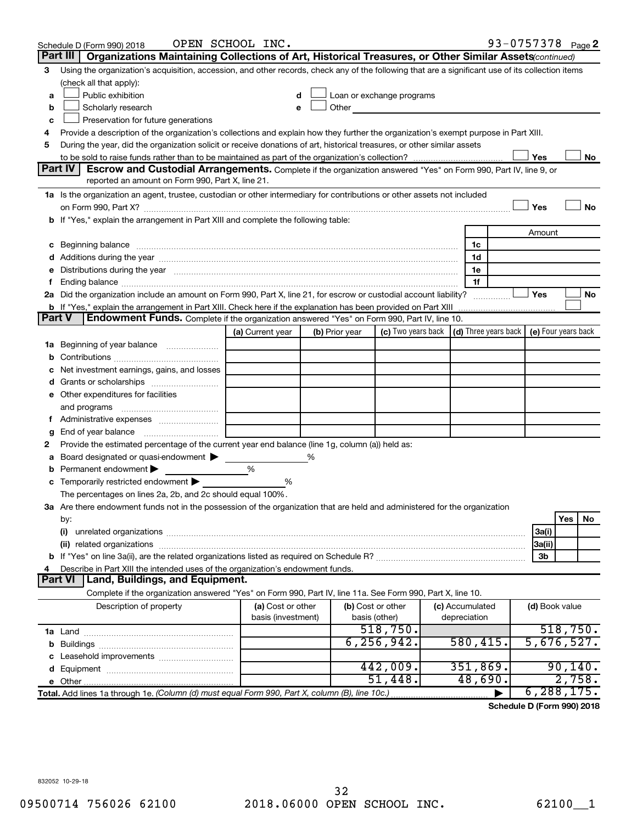|        | Schedule D (Form 990) 2018                                                                                                                                                                                                     | OPEN SCHOOL INC.   |   |                |                           |                                            | 93-0757378 Page 2 |                |          |     |
|--------|--------------------------------------------------------------------------------------------------------------------------------------------------------------------------------------------------------------------------------|--------------------|---|----------------|---------------------------|--------------------------------------------|-------------------|----------------|----------|-----|
|        | Part III<br>Organizations Maintaining Collections of Art, Historical Treasures, or Other Similar Assets (continued)                                                                                                            |                    |   |                |                           |                                            |                   |                |          |     |
| З      | Using the organization's acquisition, accession, and other records, check any of the following that are a significant use of its collection items                                                                              |                    |   |                |                           |                                            |                   |                |          |     |
|        | (check all that apply):                                                                                                                                                                                                        |                    |   |                |                           |                                            |                   |                |          |     |
| a      | Public exhibition                                                                                                                                                                                                              |                    |   |                | Loan or exchange programs |                                            |                   |                |          |     |
| b      | Scholarly research                                                                                                                                                                                                             |                    |   | Other          |                           |                                            |                   |                |          |     |
| c      | Preservation for future generations                                                                                                                                                                                            |                    |   |                |                           |                                            |                   |                |          |     |
| 4      | Provide a description of the organization's collections and explain how they further the organization's exempt purpose in Part XIII.                                                                                           |                    |   |                |                           |                                            |                   |                |          |     |
| 5      | During the year, did the organization solicit or receive donations of art, historical treasures, or other similar assets                                                                                                       |                    |   |                |                           |                                            |                   |                |          |     |
|        |                                                                                                                                                                                                                                |                    |   |                |                           |                                            |                   | Yes            |          | No  |
|        | <b>Part IV</b><br><b>Escrow and Custodial Arrangements.</b> Complete if the organization answered "Yes" on Form 990, Part IV, line 9, or                                                                                       |                    |   |                |                           |                                            |                   |                |          |     |
|        | reported an amount on Form 990, Part X, line 21.                                                                                                                                                                               |                    |   |                |                           |                                            |                   |                |          |     |
|        | 1a Is the organization an agent, trustee, custodian or other intermediary for contributions or other assets not included                                                                                                       |                    |   |                |                           |                                            |                   |                |          |     |
|        | on Form 990, Part X? [11] matter continuum matter contract and contract and contract and contract and contract and contract and contract and contract and contract and contract and contract and contract and contract and con |                    |   |                |                           |                                            |                   | Yes            |          | No  |
|        | b If "Yes," explain the arrangement in Part XIII and complete the following table:                                                                                                                                             |                    |   |                |                           |                                            |                   |                |          |     |
|        |                                                                                                                                                                                                                                |                    |   |                |                           |                                            |                   | Amount         |          |     |
| c      | Beginning balance measurements and the contract of the contract of the contract of the contract of the contract of the contract of the contract of the contract of the contract of the contract of the contract of the contrac |                    |   |                |                           | 1c<br>1d                                   |                   |                |          |     |
|        |                                                                                                                                                                                                                                |                    |   |                |                           | 1e                                         |                   |                |          |     |
|        | Distributions during the year measurement contains and all the year measurement of the state of the state of t                                                                                                                 |                    |   |                |                           | 1f                                         |                   |                |          |     |
|        | 2a Did the organization include an amount on Form 990, Part X, line 21, for escrow or custodial account liability?                                                                                                             |                    |   |                |                           |                                            |                   | Yes            |          | No  |
|        | <b>b</b> If "Yes," explain the arrangement in Part XIII. Check here if the explanation has been provided on Part XIII                                                                                                          |                    |   |                |                           |                                            |                   |                |          |     |
| Part V | Endowment Funds. Complete if the organization answered "Yes" on Form 990, Part IV, line 10.                                                                                                                                    |                    |   |                |                           |                                            |                   |                |          |     |
|        |                                                                                                                                                                                                                                | (a) Current year   |   | (b) Prior year | (c) Two years back        | (d) Three years back   (e) Four years back |                   |                |          |     |
| ٦а     | Beginning of year balance                                                                                                                                                                                                      |                    |   |                |                           |                                            |                   |                |          |     |
| b      |                                                                                                                                                                                                                                |                    |   |                |                           |                                            |                   |                |          |     |
|        | Net investment earnings, gains, and losses                                                                                                                                                                                     |                    |   |                |                           |                                            |                   |                |          |     |
| d      |                                                                                                                                                                                                                                |                    |   |                |                           |                                            |                   |                |          |     |
|        | e Other expenditures for facilities                                                                                                                                                                                            |                    |   |                |                           |                                            |                   |                |          |     |
|        | and programs                                                                                                                                                                                                                   |                    |   |                |                           |                                            |                   |                |          |     |
|        |                                                                                                                                                                                                                                |                    |   |                |                           |                                            |                   |                |          |     |
| g      |                                                                                                                                                                                                                                |                    |   |                |                           |                                            |                   |                |          |     |
| 2      | Provide the estimated percentage of the current year end balance (line 1g, column (a)) held as:                                                                                                                                |                    |   |                |                           |                                            |                   |                |          |     |
| а      | Board designated or quasi-endowment                                                                                                                                                                                            |                    | % |                |                           |                                            |                   |                |          |     |
| b      | Permanent endowment                                                                                                                                                                                                            | %                  |   |                |                           |                                            |                   |                |          |     |
|        | Temporarily restricted endowment                                                                                                                                                                                               | %                  |   |                |                           |                                            |                   |                |          |     |
|        | The percentages on lines 2a, 2b, and 2c should equal 100%.                                                                                                                                                                     |                    |   |                |                           |                                            |                   |                |          |     |
|        | 3a Are there endowment funds not in the possession of the organization that are held and administered for the organization                                                                                                     |                    |   |                |                           |                                            |                   |                |          |     |
|        | by:                                                                                                                                                                                                                            |                    |   |                |                           |                                            |                   |                | Yes      | No. |
|        | (i)                                                                                                                                                                                                                            |                    |   |                |                           |                                            |                   | 3a(i)          |          |     |
|        |                                                                                                                                                                                                                                |                    |   |                |                           |                                            |                   | 3a(ii)         |          |     |
|        |                                                                                                                                                                                                                                |                    |   |                |                           |                                            |                   | Зb             |          |     |
|        | Describe in Part XIII the intended uses of the organization's endowment funds.<br><b>Land, Buildings, and Equipment.</b><br><b>Part VI</b>                                                                                     |                    |   |                |                           |                                            |                   |                |          |     |
|        | Complete if the organization answered "Yes" on Form 990, Part IV, line 11a. See Form 990, Part X, line 10.                                                                                                                     |                    |   |                |                           |                                            |                   |                |          |     |
|        | Description of property                                                                                                                                                                                                        | (a) Cost or other  |   |                | (b) Cost or other         |                                            |                   |                |          |     |
|        |                                                                                                                                                                                                                                | basis (investment) |   |                | basis (other)             | (c) Accumulated<br>depreciation            |                   | (d) Book value |          |     |
|        |                                                                                                                                                                                                                                |                    |   |                | 518,750.                  |                                            |                   |                | 518,750. |     |
| b      |                                                                                                                                                                                                                                |                    |   |                | 6, 256, 942.              | 580, 415.                                  |                   | 5,676,527.     |          |     |
|        | c Leasehold improvements                                                                                                                                                                                                       |                    |   |                |                           |                                            |                   |                |          |     |
|        |                                                                                                                                                                                                                                |                    |   |                | 442,009.                  | 351,869.                                   |                   |                | 90, 140. |     |
|        |                                                                                                                                                                                                                                |                    |   |                | 51,448.                   | 48,690.                                    |                   |                | 2,758.   |     |
|        | Total. Add lines 1a through 1e. (Column (d) must equal Form 990, Part X, column (B), line 10c.)                                                                                                                                |                    |   |                |                           |                                            |                   | 6, 288, 175.   |          |     |
|        |                                                                                                                                                                                                                                |                    |   |                |                           |                                            |                   |                |          |     |

**Schedule D (Form 990) 2018**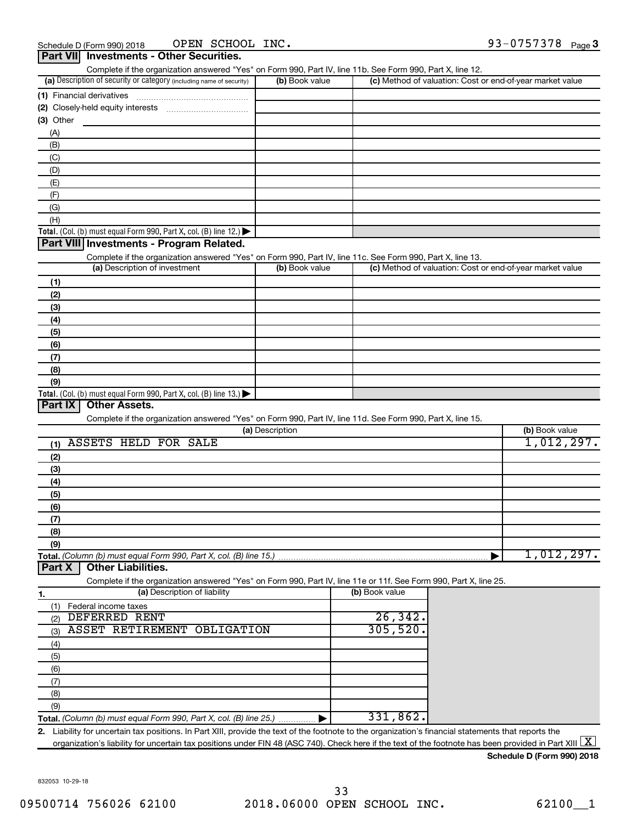| Complete if the organization answered "Yes" on Form 990, Part IV, line 11b. See Form 990, Part X, line 12.                                                                                                                                                                                                    |                 |                |                                                           |                |
|---------------------------------------------------------------------------------------------------------------------------------------------------------------------------------------------------------------------------------------------------------------------------------------------------------------|-----------------|----------------|-----------------------------------------------------------|----------------|
| (a) Description of security or category (including name of security)                                                                                                                                                                                                                                          | (b) Book value  |                | (c) Method of valuation: Cost or end-of-year market value |                |
| (1) Financial derivatives                                                                                                                                                                                                                                                                                     |                 |                |                                                           |                |
|                                                                                                                                                                                                                                                                                                               |                 |                |                                                           |                |
|                                                                                                                                                                                                                                                                                                               |                 |                |                                                           |                |
| $(3)$ Other                                                                                                                                                                                                                                                                                                   |                 |                |                                                           |                |
| (A)                                                                                                                                                                                                                                                                                                           |                 |                |                                                           |                |
| (B)                                                                                                                                                                                                                                                                                                           |                 |                |                                                           |                |
| (C)                                                                                                                                                                                                                                                                                                           |                 |                |                                                           |                |
| (D)                                                                                                                                                                                                                                                                                                           |                 |                |                                                           |                |
| (E)                                                                                                                                                                                                                                                                                                           |                 |                |                                                           |                |
|                                                                                                                                                                                                                                                                                                               |                 |                |                                                           |                |
| (F)                                                                                                                                                                                                                                                                                                           |                 |                |                                                           |                |
| (G)                                                                                                                                                                                                                                                                                                           |                 |                |                                                           |                |
| (H)                                                                                                                                                                                                                                                                                                           |                 |                |                                                           |                |
| Total. (Col. (b) must equal Form 990, Part X, col. (B) line 12.) $\blacktriangleright$                                                                                                                                                                                                                        |                 |                |                                                           |                |
| Part VIII Investments - Program Related.                                                                                                                                                                                                                                                                      |                 |                |                                                           |                |
| Complete if the organization answered "Yes" on Form 990, Part IV, line 11c. See Form 990, Part X, line 13.                                                                                                                                                                                                    |                 |                |                                                           |                |
| (a) Description of investment                                                                                                                                                                                                                                                                                 | (b) Book value  |                | (c) Method of valuation: Cost or end-of-year market value |                |
| (1)                                                                                                                                                                                                                                                                                                           |                 |                |                                                           |                |
| (2)                                                                                                                                                                                                                                                                                                           |                 |                |                                                           |                |
|                                                                                                                                                                                                                                                                                                               |                 |                |                                                           |                |
| (3)                                                                                                                                                                                                                                                                                                           |                 |                |                                                           |                |
| (4)                                                                                                                                                                                                                                                                                                           |                 |                |                                                           |                |
| (5)                                                                                                                                                                                                                                                                                                           |                 |                |                                                           |                |
| (6)                                                                                                                                                                                                                                                                                                           |                 |                |                                                           |                |
| (7)                                                                                                                                                                                                                                                                                                           |                 |                |                                                           |                |
| (8)                                                                                                                                                                                                                                                                                                           |                 |                |                                                           |                |
| (9)                                                                                                                                                                                                                                                                                                           |                 |                |                                                           |                |
|                                                                                                                                                                                                                                                                                                               |                 |                |                                                           |                |
| Total. (Col. (b) must equal Form 990, Part X, col. (B) line 13.) $\blacktriangleright$<br>Part IX                                                                                                                                                                                                             |                 |                |                                                           |                |
| <b>Other Assets.</b>                                                                                                                                                                                                                                                                                          |                 |                |                                                           |                |
| Complete if the organization answered "Yes" on Form 990, Part IV, line 11d. See Form 990, Part X, line 15.                                                                                                                                                                                                    |                 |                |                                                           |                |
|                                                                                                                                                                                                                                                                                                               | (a) Description |                |                                                           | (b) Book value |
| ASSETS HELD FOR SALE<br>(1)                                                                                                                                                                                                                                                                                   |                 |                |                                                           | 1,012,297.     |
| (2)                                                                                                                                                                                                                                                                                                           |                 |                |                                                           |                |
| (3)                                                                                                                                                                                                                                                                                                           |                 |                |                                                           |                |
|                                                                                                                                                                                                                                                                                                               |                 |                |                                                           |                |
| (4)                                                                                                                                                                                                                                                                                                           |                 |                |                                                           |                |
| (5)                                                                                                                                                                                                                                                                                                           |                 |                |                                                           |                |
| (6)                                                                                                                                                                                                                                                                                                           |                 |                |                                                           |                |
| (7)                                                                                                                                                                                                                                                                                                           |                 |                |                                                           |                |
| (8)                                                                                                                                                                                                                                                                                                           |                 |                |                                                           |                |
| (9)                                                                                                                                                                                                                                                                                                           |                 |                |                                                           |                |
| Total. (Column (b) must equal Form 990, Part X, col. (B) line 15.)                                                                                                                                                                                                                                            |                 |                |                                                           | 1,012,297.     |
| <b>Other Liabilities.</b>                                                                                                                                                                                                                                                                                     |                 |                |                                                           |                |
| Part X                                                                                                                                                                                                                                                                                                        |                 |                |                                                           |                |
| Complete if the organization answered "Yes" on Form 990, Part IV, line 11e or 11f. See Form 990, Part X, line 25.                                                                                                                                                                                             |                 |                |                                                           |                |
| (a) Description of liability<br>1.                                                                                                                                                                                                                                                                            |                 | (b) Book value |                                                           |                |
| Federal income taxes<br>(1)                                                                                                                                                                                                                                                                                   |                 |                |                                                           |                |
| <b>DEFERRED RENT</b><br>(2)                                                                                                                                                                                                                                                                                   |                 | 26, 342.       |                                                           |                |
| ASSET RETIREMENT OBLIGATION<br>(3)                                                                                                                                                                                                                                                                            |                 | 305, 520.      |                                                           |                |
|                                                                                                                                                                                                                                                                                                               |                 |                |                                                           |                |
| (4)                                                                                                                                                                                                                                                                                                           |                 |                |                                                           |                |
| (5)                                                                                                                                                                                                                                                                                                           |                 |                |                                                           |                |
| (6)                                                                                                                                                                                                                                                                                                           |                 |                |                                                           |                |
| (7)                                                                                                                                                                                                                                                                                                           |                 |                |                                                           |                |
| (8)                                                                                                                                                                                                                                                                                                           |                 |                |                                                           |                |
| (9)                                                                                                                                                                                                                                                                                                           |                 |                |                                                           |                |
|                                                                                                                                                                                                                                                                                                               |                 | 331,862.       |                                                           |                |
| Total. (Column (b) must equal Form 990, Part X, col. (B) line 25.)                                                                                                                                                                                                                                            |                 |                |                                                           |                |
| 2.                                                                                                                                                                                                                                                                                                            |                 |                |                                                           |                |
| Liability for uncertain tax positions. In Part XIII, provide the text of the footnote to the organization's financial statements that reports the<br>organization's liability for uncertain tax positions under FIN 48 (ASC 740). Check here if the text of the footnote has been provided in Part XIII $ X $ |                 |                |                                                           |                |

**Schedule D (Form 990) 2018**

832053 10-29-18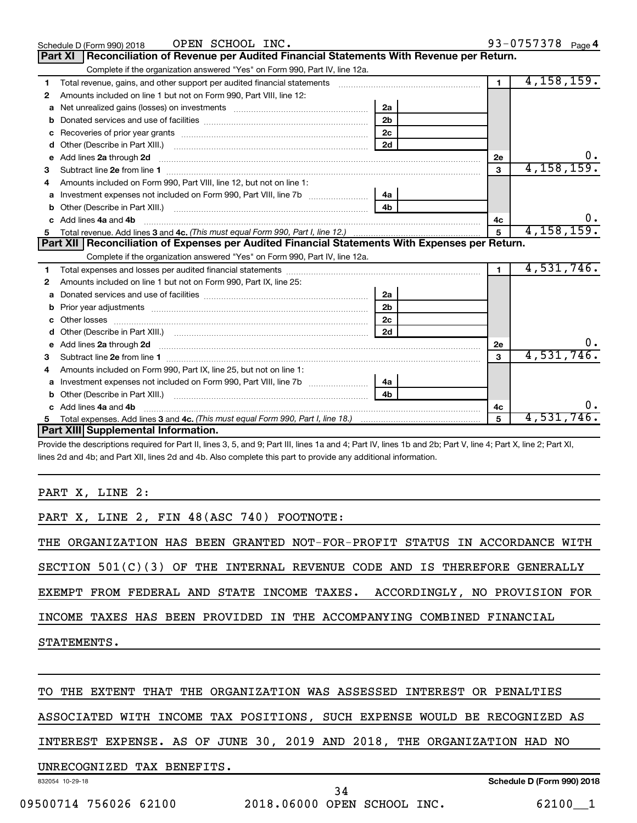| OPEN SCHOOL INC.<br>Schedule D (Form 990) 2018                                                                                                                 |                                                                                     |                | 93-0757378 Page 4 |
|----------------------------------------------------------------------------------------------------------------------------------------------------------------|-------------------------------------------------------------------------------------|----------------|-------------------|
| <b>Part XI</b>                                                                                                                                                 | Reconciliation of Revenue per Audited Financial Statements With Revenue per Return. |                |                   |
| Complete if the organization answered "Yes" on Form 990, Part IV, line 12a.                                                                                    |                                                                                     |                |                   |
| Total revenue, gains, and other support per audited financial statements<br>1                                                                                  |                                                                                     | $\mathbf{1}$   | 4, 158, 159.      |
| Amounts included on line 1 but not on Form 990, Part VIII, line 12:<br>2                                                                                       |                                                                                     |                |                   |
| a                                                                                                                                                              | 2a                                                                                  |                |                   |
| b                                                                                                                                                              | 2 <sub>b</sub>                                                                      |                |                   |
| с                                                                                                                                                              | 2c                                                                                  |                |                   |
| d                                                                                                                                                              | 2d                                                                                  |                |                   |
| Add lines 2a through 2d<br>е                                                                                                                                   |                                                                                     | 2e             | 0.                |
| 3                                                                                                                                                              |                                                                                     | 3              | 4, 158, 159.      |
| Amounts included on Form 990, Part VIII, line 12, but not on line 1:<br>4                                                                                      |                                                                                     |                |                   |
| Investment expenses not included on Form 990, Part VIII, line 7b<br>a                                                                                          | 4a                                                                                  |                |                   |
| b                                                                                                                                                              | 4 <sub>b</sub>                                                                      |                |                   |
| c Add lines 4a and 4b                                                                                                                                          |                                                                                     | 4c             | υ.                |
| 5                                                                                                                                                              |                                                                                     | 5              | 4, 158, 159.      |
| Part XII   Reconciliation of Expenses per Audited Financial Statements With Expenses per Return.                                                               |                                                                                     |                |                   |
| Complete if the organization answered "Yes" on Form 990, Part IV, line 12a.                                                                                    |                                                                                     |                |                   |
| 1                                                                                                                                                              |                                                                                     | $\blacksquare$ | 4,531,746.        |
| Amounts included on line 1 but not on Form 990, Part IX, line 25:<br>2                                                                                         |                                                                                     |                |                   |
| a                                                                                                                                                              | 2a                                                                                  |                |                   |
| b                                                                                                                                                              | 2 <sub>b</sub>                                                                      |                |                   |
| Other losses<br>c.                                                                                                                                             | 2c                                                                                  |                |                   |
| d                                                                                                                                                              | 2d                                                                                  |                |                   |
|                                                                                                                                                                |                                                                                     | <b>2e</b>      | υ.                |
| 3                                                                                                                                                              |                                                                                     | 3              | 4,531,746.        |
| Amounts included on Form 990, Part IX, line 25, but not on line 1:<br>4                                                                                        |                                                                                     |                |                   |
| a                                                                                                                                                              | 4a                                                                                  |                |                   |
| b                                                                                                                                                              | 4 <sub>h</sub>                                                                      |                |                   |
| c Add lines 4a and 4b                                                                                                                                          |                                                                                     | 4c             | 0.                |
| 5.                                                                                                                                                             |                                                                                     |                | 4,531,746.        |
| Part XIII Supplemental Information.                                                                                                                            |                                                                                     |                |                   |
| Provide the descriptions required for Part II, lines 3, 5, and 9; Part III, lines 1a and 4; Part IV, lines 1b and 2b; Part V, line 4; Part X, line 2; Part XI, |                                                                                     |                |                   |
| lines 2d and 4b; and Part XII, lines 2d and 4b. Also complete this part to provide any additional information.                                                 |                                                                                     |                |                   |

#### PART X, LINE 2:

|  |  |  | PART X, LINE 2, FIN 48(ASC 740) FOOTNOTE: |
|--|--|--|-------------------------------------------|
|  |  |  |                                           |

THE ORGANIZATION HAS BEEN GRANTED NOT-FOR-PROFIT STATUS IN ACCORDANCE WITH

SECTION 501(C)(3) OF THE INTERNAL REVENUE CODE AND IS THEREFORE GENERALLY

EXEMPT FROM FEDERAL AND STATE INCOME TAXES. ACCORDINGLY, NO PROVISION FOR

INCOME TAXES HAS BEEN PROVIDED IN THE ACCOMPANYING COMBINED FINANCIAL

STATEMENTS.

## TO THE EXTENT THAT THE ORGANIZATION WAS ASSESSED INTEREST OR PENALTIES

ASSOCIATED WITH INCOME TAX POSITIONS, SUCH EXPENSE WOULD BE RECOGNIZED AS

INTEREST EXPENSE. AS OF JUNE 30, 2019 AND 2018, THE ORGANIZATION HAD NO

## UNRECOGNIZED TAX BENEFITS.

832054 10-29-18

**Schedule D (Form 990) 2018**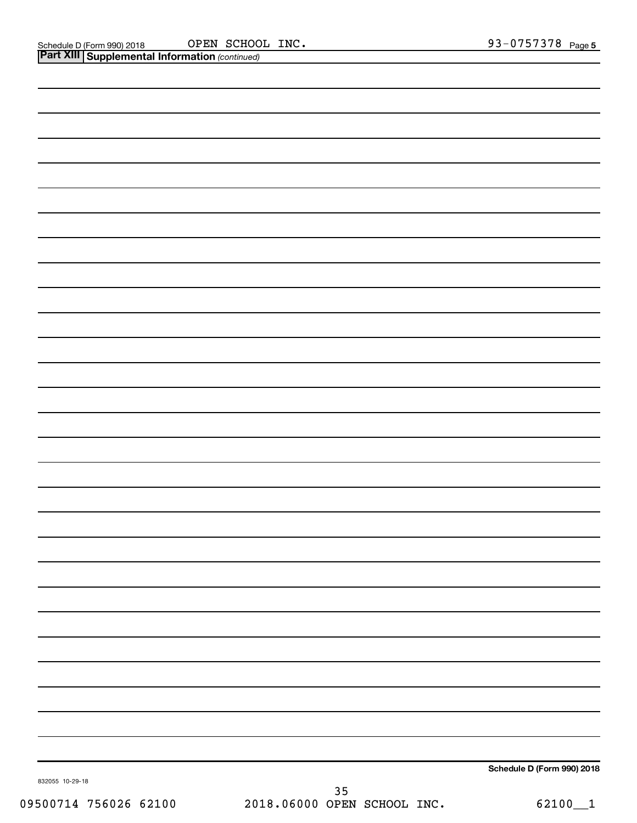| Schedule D (Form 990) 2018 |  |
|----------------------------|--|
|                            |  |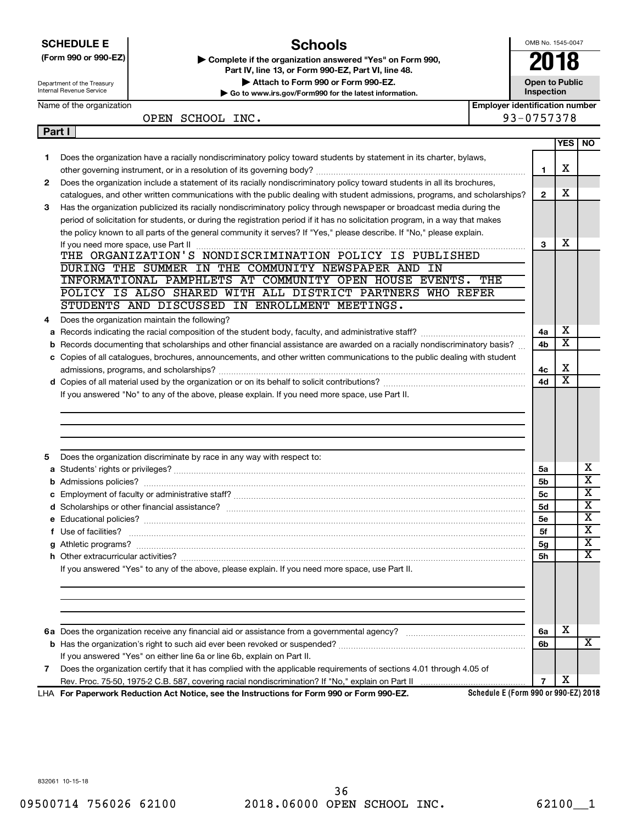|        | <b>Schools</b><br><b>SCHEDULE E</b><br>(Form 990 or 990-EZ)<br>Complete if the organization answered "Yes" on Form 990,                                                                                                            |                                       | OMB No. 1545-0047                   |                         |                         |
|--------|------------------------------------------------------------------------------------------------------------------------------------------------------------------------------------------------------------------------------------|---------------------------------------|-------------------------------------|-------------------------|-------------------------|
|        | Part IV, line 13, or Form 990-EZ, Part VI, line 48.<br>Attach to Form 990 or Form 990-EZ.<br>Department of the Treasury<br>Internal Revenue Service<br>Go to www.irs.gov/Form990 for the latest information.                       |                                       | <b>Open to Public</b><br>Inspection |                         |                         |
|        | Name of the organization                                                                                                                                                                                                           | <b>Employer identification number</b> |                                     |                         |                         |
|        | OPEN SCHOOL INC.                                                                                                                                                                                                                   | 93-0757378                            |                                     |                         |                         |
| Part I |                                                                                                                                                                                                                                    |                                       |                                     | <b>YES</b>              |                         |
|        |                                                                                                                                                                                                                                    |                                       |                                     |                         | NO.                     |
| 1.     | Does the organization have a racially nondiscriminatory policy toward students by statement in its charter, bylaws,                                                                                                                |                                       | 1                                   | х                       |                         |
| 2      | Does the organization include a statement of its racially nondiscriminatory policy toward students in all its brochures,                                                                                                           |                                       |                                     |                         |                         |
|        | catalogues, and other written communications with the public dealing with student admissions, programs, and scholarships?                                                                                                          |                                       | $\mathbf{2}$                        | х                       |                         |
| 3      | Has the organization publicized its racially nondiscriminatory policy through newspaper or broadcast media during the                                                                                                              |                                       |                                     |                         |                         |
|        | period of solicitation for students, or during the registration period if it has no solicitation program, in a way that makes                                                                                                      |                                       |                                     |                         |                         |
|        | the policy known to all parts of the general community it serves? If "Yes," please describe. If "No," please explain.                                                                                                              |                                       |                                     |                         |                         |
|        | If you need more space, use Part II                                                                                                                                                                                                |                                       | 3                                   | x                       |                         |
|        | THE ORGANIZATION'S NONDISCRIMINATION POLICY IS PUBLISHED                                                                                                                                                                           |                                       |                                     |                         |                         |
|        | DURING THE SUMMER IN THE COMMUNITY NEWSPAPER AND IN                                                                                                                                                                                |                                       |                                     |                         |                         |
|        | INFORMATIONAL PAMPHLETS AT COMMUNITY OPEN HOUSE EVENTS. THE                                                                                                                                                                        |                                       |                                     |                         |                         |
|        | POLICY IS ALSO SHARED WITH ALL DISTRICT PARTNERS WHO REFER                                                                                                                                                                         |                                       |                                     |                         |                         |
|        | STUDENTS AND DISCUSSED IN ENROLLMENT MEETINGS.                                                                                                                                                                                     |                                       |                                     |                         |                         |
| 4      | Does the organization maintain the following?                                                                                                                                                                                      |                                       |                                     |                         |                         |
|        |                                                                                                                                                                                                                                    |                                       | 4a                                  | х                       |                         |
| b      | Records documenting that scholarships and other financial assistance are awarded on a racially nondiscriminatory basis?                                                                                                            |                                       | 4b                                  | $\overline{\textbf{x}}$ |                         |
|        | c Copies of all catalogues, brochures, announcements, and other written communications to the public dealing with student                                                                                                          |                                       |                                     |                         |                         |
|        |                                                                                                                                                                                                                                    |                                       | 4с                                  | х                       |                         |
|        |                                                                                                                                                                                                                                    |                                       | 4d                                  | $\overline{\textbf{x}}$ |                         |
|        | If you answered "No" to any of the above, please explain. If you need more space, use Part II.                                                                                                                                     |                                       |                                     |                         |                         |
|        |                                                                                                                                                                                                                                    |                                       |                                     |                         |                         |
|        |                                                                                                                                                                                                                                    |                                       |                                     |                         |                         |
| 5      | Does the organization discriminate by race in any way with respect to:                                                                                                                                                             |                                       |                                     |                         |                         |
|        |                                                                                                                                                                                                                                    |                                       | 5a                                  |                         | х                       |
|        |                                                                                                                                                                                                                                    |                                       | 5b                                  |                         | $\overline{\mathtt{x}}$ |
|        |                                                                                                                                                                                                                                    |                                       |                                     |                         | x                       |
|        |                                                                                                                                                                                                                                    |                                       | 5с                                  |                         |                         |
|        |                                                                                                                                                                                                                                    |                                       | 5d                                  |                         | $\overline{\text{x}}$   |
|        |                                                                                                                                                                                                                                    |                                       | 5e                                  |                         | $\overline{\textbf{X}}$ |
|        | f Use of facilities? <b>www.communities.</b> We can be a series of the contract of the contract of the contract of the contract of the contract of the contract of the contract of the contract of the contract of the contract of |                                       | 5f                                  |                         | $\overline{\text{X}}$   |
|        |                                                                                                                                                                                                                                    |                                       | 5g                                  |                         | $\overline{\textbf{X}}$ |
|        |                                                                                                                                                                                                                                    |                                       | <b>5h</b>                           |                         | $\overline{\mathtt{x}}$ |
|        | If you answered "Yes" to any of the above, please explain. If you need more space, use Part II.                                                                                                                                    |                                       |                                     |                         |                         |
|        |                                                                                                                                                                                                                                    |                                       |                                     |                         |                         |
|        |                                                                                                                                                                                                                                    |                                       | 6a                                  | х                       |                         |
|        |                                                                                                                                                                                                                                    |                                       | 6b                                  |                         | X                       |
|        | If you answered "Yes" on either line 6a or line 6b, explain on Part II.                                                                                                                                                            |                                       |                                     |                         |                         |
| 7      | Does the organization certify that it has complied with the applicable requirements of sections 4.01 through 4.05 of                                                                                                               |                                       |                                     |                         |                         |

832061 10-15-18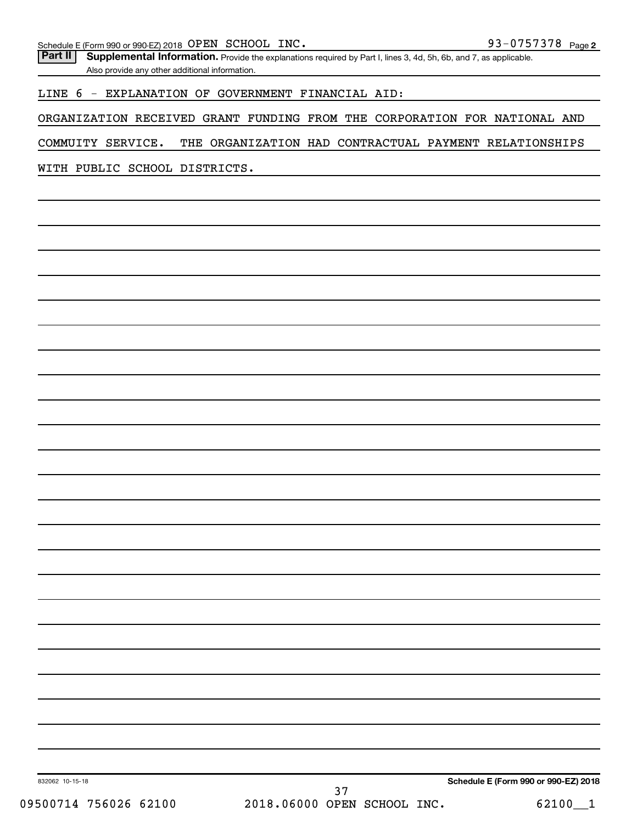Part II | Supplemental Information. Provide the explanations required by Part I, lines 3, 4d, 5h, 6b, and 7, as applicable. Also provide any other additional information.

LINE 6 - EXPLANATION OF GOVERNMENT FINANCIAL AID:

ORGANIZATION RECEIVED GRANT FUNDING FROM THE CORPORATION FOR NATIONAL AND

COMMUITY SERVICE. THE ORGANIZATION HAD CONTRACTUAL PAYMENT RELATIONSHIPS

WITH PUBLIC SCHOOL DISTRICTS.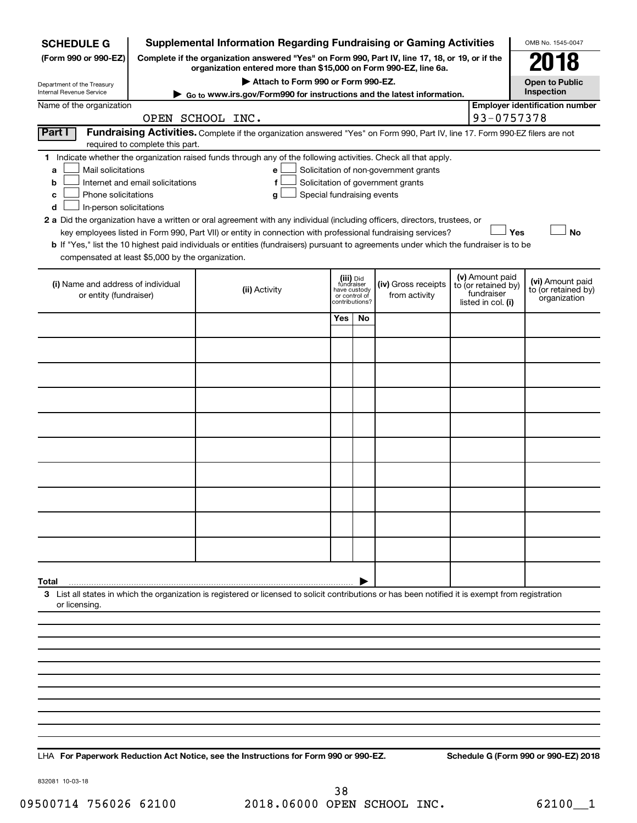| <b>SCHEDULE G</b>                                                                                                                                                                                                                                                                                                                                                                                                                                                                                        |  | <b>Supplemental Information Regarding Fundraising or Gaming Activities</b>                                                                                                                                                                           |                                         |                                 |                                      |  |                                                                            | OMB No. 1545-0047                                       |  |
|----------------------------------------------------------------------------------------------------------------------------------------------------------------------------------------------------------------------------------------------------------------------------------------------------------------------------------------------------------------------------------------------------------------------------------------------------------------------------------------------------------|--|------------------------------------------------------------------------------------------------------------------------------------------------------------------------------------------------------------------------------------------------------|-----------------------------------------|---------------------------------|--------------------------------------|--|----------------------------------------------------------------------------|---------------------------------------------------------|--|
| (Form 990 or 990-EZ)                                                                                                                                                                                                                                                                                                                                                                                                                                                                                     |  | Complete if the organization answered "Yes" on Form 990, Part IV, line 17, 18, or 19, or if the<br>organization entered more than \$15,000 on Form 990-EZ, line 6a.                                                                                  |                                         |                                 |                                      |  |                                                                            |                                                         |  |
| Department of the Treasury                                                                                                                                                                                                                                                                                                                                                                                                                                                                               |  | Attach to Form 990 or Form 990-EZ.                                                                                                                                                                                                                   |                                         |                                 |                                      |  |                                                                            | 2018<br><b>Open to Public</b>                           |  |
| Internal Revenue Service                                                                                                                                                                                                                                                                                                                                                                                                                                                                                 |  | Go to www.irs.gov/Form990 for instructions and the latest information.                                                                                                                                                                               |                                         |                                 |                                      |  |                                                                            | Inspection                                              |  |
| Name of the organization                                                                                                                                                                                                                                                                                                                                                                                                                                                                                 |  | OPEN SCHOOL INC.                                                                                                                                                                                                                                     |                                         |                                 |                                      |  | 93-0757378                                                                 | <b>Employer identification number</b>                   |  |
| Part I                                                                                                                                                                                                                                                                                                                                                                                                                                                                                                   |  | Fundraising Activities. Complete if the organization answered "Yes" on Form 990, Part IV, line 17. Form 990-EZ filers are not                                                                                                                        |                                         |                                 |                                      |  |                                                                            |                                                         |  |
| required to complete this part.                                                                                                                                                                                                                                                                                                                                                                                                                                                                          |  |                                                                                                                                                                                                                                                      |                                         |                                 |                                      |  |                                                                            |                                                         |  |
| 1 Indicate whether the organization raised funds through any of the following activities. Check all that apply.<br>Mail solicitations<br>Solicitation of non-government grants<br>a<br>е<br>Internet and email solicitations<br>Solicitation of government grants<br>f<br>b<br>Phone solicitations<br>Special fundraising events<br>с<br>g<br>In-person solicitations<br>d<br>2 a Did the organization have a written or oral agreement with any individual (including officers, directors, trustees, or |  |                                                                                                                                                                                                                                                      |                                         |                                 |                                      |  |                                                                            |                                                         |  |
| compensated at least \$5,000 by the organization.                                                                                                                                                                                                                                                                                                                                                                                                                                                        |  | key employees listed in Form 990, Part VII) or entity in connection with professional fundraising services?<br>b If "Yes," list the 10 highest paid individuals or entities (fundraisers) pursuant to agreements under which the fundraiser is to be |                                         |                                 |                                      |  | Yes                                                                        | <b>No</b>                                               |  |
| (i) Name and address of individual<br>or entity (fundraiser)                                                                                                                                                                                                                                                                                                                                                                                                                                             |  | (ii) Activity                                                                                                                                                                                                                                        | (iii) Did<br>fundraiser<br>have custody | or control of<br>contributions? | (iv) Gross receipts<br>from activity |  | (v) Amount paid<br>to (or retained by)<br>fundraiser<br>listed in col. (i) | (vi) Amount paid<br>to (or retained by)<br>organization |  |
|                                                                                                                                                                                                                                                                                                                                                                                                                                                                                                          |  |                                                                                                                                                                                                                                                      | Yes                                     | No                              |                                      |  |                                                                            |                                                         |  |
|                                                                                                                                                                                                                                                                                                                                                                                                                                                                                                          |  |                                                                                                                                                                                                                                                      |                                         |                                 |                                      |  |                                                                            |                                                         |  |
|                                                                                                                                                                                                                                                                                                                                                                                                                                                                                                          |  |                                                                                                                                                                                                                                                      |                                         |                                 |                                      |  |                                                                            |                                                         |  |
|                                                                                                                                                                                                                                                                                                                                                                                                                                                                                                          |  |                                                                                                                                                                                                                                                      |                                         |                                 |                                      |  |                                                                            |                                                         |  |
|                                                                                                                                                                                                                                                                                                                                                                                                                                                                                                          |  |                                                                                                                                                                                                                                                      |                                         |                                 |                                      |  |                                                                            |                                                         |  |
|                                                                                                                                                                                                                                                                                                                                                                                                                                                                                                          |  |                                                                                                                                                                                                                                                      |                                         |                                 |                                      |  |                                                                            |                                                         |  |
|                                                                                                                                                                                                                                                                                                                                                                                                                                                                                                          |  |                                                                                                                                                                                                                                                      |                                         |                                 |                                      |  |                                                                            |                                                         |  |
|                                                                                                                                                                                                                                                                                                                                                                                                                                                                                                          |  |                                                                                                                                                                                                                                                      |                                         |                                 |                                      |  |                                                                            |                                                         |  |
|                                                                                                                                                                                                                                                                                                                                                                                                                                                                                                          |  |                                                                                                                                                                                                                                                      |                                         |                                 |                                      |  |                                                                            |                                                         |  |
|                                                                                                                                                                                                                                                                                                                                                                                                                                                                                                          |  |                                                                                                                                                                                                                                                      |                                         |                                 |                                      |  |                                                                            |                                                         |  |
| Total                                                                                                                                                                                                                                                                                                                                                                                                                                                                                                    |  |                                                                                                                                                                                                                                                      |                                         |                                 |                                      |  |                                                                            |                                                         |  |
| or licensing.                                                                                                                                                                                                                                                                                                                                                                                                                                                                                            |  | 3 List all states in which the organization is registered or licensed to solicit contributions or has been notified it is exempt from registration                                                                                                   |                                         |                                 |                                      |  |                                                                            |                                                         |  |
|                                                                                                                                                                                                                                                                                                                                                                                                                                                                                                          |  |                                                                                                                                                                                                                                                      |                                         |                                 |                                      |  |                                                                            |                                                         |  |
|                                                                                                                                                                                                                                                                                                                                                                                                                                                                                                          |  |                                                                                                                                                                                                                                                      |                                         |                                 |                                      |  |                                                                            |                                                         |  |
|                                                                                                                                                                                                                                                                                                                                                                                                                                                                                                          |  |                                                                                                                                                                                                                                                      |                                         |                                 |                                      |  |                                                                            |                                                         |  |
|                                                                                                                                                                                                                                                                                                                                                                                                                                                                                                          |  |                                                                                                                                                                                                                                                      |                                         |                                 |                                      |  |                                                                            |                                                         |  |
|                                                                                                                                                                                                                                                                                                                                                                                                                                                                                                          |  |                                                                                                                                                                                                                                                      |                                         |                                 |                                      |  |                                                                            |                                                         |  |
|                                                                                                                                                                                                                                                                                                                                                                                                                                                                                                          |  |                                                                                                                                                                                                                                                      |                                         |                                 |                                      |  |                                                                            |                                                         |  |
|                                                                                                                                                                                                                                                                                                                                                                                                                                                                                                          |  |                                                                                                                                                                                                                                                      |                                         |                                 |                                      |  |                                                                            |                                                         |  |
|                                                                                                                                                                                                                                                                                                                                                                                                                                                                                                          |  |                                                                                                                                                                                                                                                      |                                         |                                 |                                      |  |                                                                            |                                                         |  |

**For Paperwork Reduction Act Notice, see the Instructions for Form 990 or 990-EZ. Schedule G (Form 990 or 990-EZ) 2018** LHA

832081 10-03-18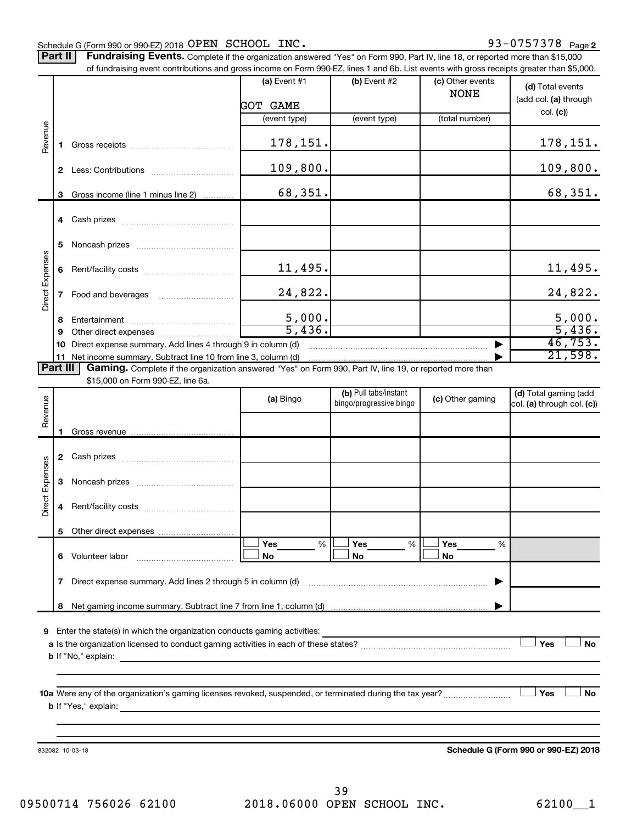Part II | Fundraising Events. Complete if the organization answered "Yes" on Form 990, Part IV, line 18, or reported more than \$15,000

|                 |    | of fundraising event contributions and gross income on Form 990-EZ, lines 1 and 6b. List events with gross receipts greater than \$5,000.           | $(a)$ Event #1  | (b) Event #2            | (c) Other events |                                      |
|-----------------|----|-----------------------------------------------------------------------------------------------------------------------------------------------------|-----------------|-------------------------|------------------|--------------------------------------|
|                 |    |                                                                                                                                                     |                 |                         | <b>NONE</b>      | (d) Total events                     |
|                 |    |                                                                                                                                                     | <b>GOT GAME</b> |                         |                  | (add col. (a) through<br>col. (c)    |
|                 |    |                                                                                                                                                     | (event type)    | (event type)            | (total number)   |                                      |
| Revenue         | 1. |                                                                                                                                                     | 178,151.        |                         |                  | 178,151.                             |
|                 |    |                                                                                                                                                     | 109,800.        |                         |                  | 109,800.                             |
|                 | 3  | Gross income (line 1 minus line 2)                                                                                                                  | 68,351.         |                         |                  | 68,351.                              |
|                 |    |                                                                                                                                                     |                 |                         |                  |                                      |
|                 |    |                                                                                                                                                     |                 |                         |                  |                                      |
|                 | 5  |                                                                                                                                                     |                 |                         |                  |                                      |
| Direct Expenses | 6  |                                                                                                                                                     | 11,495.         |                         |                  | <u>11,495.</u>                       |
|                 | 7  |                                                                                                                                                     | 24,822.         |                         |                  | 24,822.                              |
|                 | 8  |                                                                                                                                                     | 5,000.          |                         |                  |                                      |
|                 | 9  |                                                                                                                                                     | 5,436.          |                         |                  | $\frac{5,000}{5,436}$ .              |
|                 | 10 | Direct expense summary. Add lines 4 through 9 in column (d)                                                                                         |                 |                         |                  | 46,753.                              |
| <b>Part III</b> |    | 11 Net income summary. Subtract line 10 from line 3, column (d)                                                                                     |                 |                         |                  | 21,598.                              |
|                 |    | Gaming. Complete if the organization answered "Yes" on Form 990, Part IV, line 19, or reported more than<br>\$15,000 on Form 990-EZ, line 6a.       |                 |                         |                  |                                      |
|                 |    |                                                                                                                                                     | (a) Bingo       | (b) Pull tabs/instant   | (c) Other gaming | (d) Total gaming (add                |
| Revenue         |    |                                                                                                                                                     |                 | bingo/progressive bingo |                  | col. (a) through col. (c))           |
|                 |    |                                                                                                                                                     |                 |                         |                  |                                      |
|                 | 1. |                                                                                                                                                     |                 |                         |                  |                                      |
|                 |    |                                                                                                                                                     |                 |                         |                  |                                      |
|                 | 3  |                                                                                                                                                     |                 |                         |                  |                                      |
| Direct Expenses | 4  |                                                                                                                                                     |                 |                         |                  |                                      |
|                 |    |                                                                                                                                                     |                 |                         |                  |                                      |
|                 |    |                                                                                                                                                     | %<br>Yes        | %<br>Yes                | Yes<br>%         |                                      |
|                 | 6. | Volunteer labor                                                                                                                                     | No              | No                      | No               |                                      |
|                 | 7  | Direct expense summary. Add lines 2 through 5 in column (d)                                                                                         |                 |                         |                  |                                      |
|                 | 8  |                                                                                                                                                     |                 |                         |                  |                                      |
|                 |    |                                                                                                                                                     |                 |                         |                  |                                      |
| 9               |    | Enter the state(s) in which the organization conducts gaming activities:                                                                            |                 |                         |                  |                                      |
|                 |    |                                                                                                                                                     |                 |                         |                  | Yes<br><b>No</b>                     |
|                 |    | <b>b</b> If "No," explain:<br><u> 1989 - Johann Stoff, deutscher Stoff, der Stoff, der Stoff, der Stoff, der Stoff, der Stoff, der Stoff, der S</u> |                 |                         |                  |                                      |
|                 |    |                                                                                                                                                     |                 |                         |                  |                                      |
|                 |    |                                                                                                                                                     |                 |                         |                  | Yes<br>No                            |
|                 |    |                                                                                                                                                     |                 |                         |                  |                                      |
|                 |    |                                                                                                                                                     |                 |                         |                  |                                      |
|                 |    | 832082 10-03-18                                                                                                                                     |                 |                         |                  | Schedule G (Form 990 or 990-EZ) 2018 |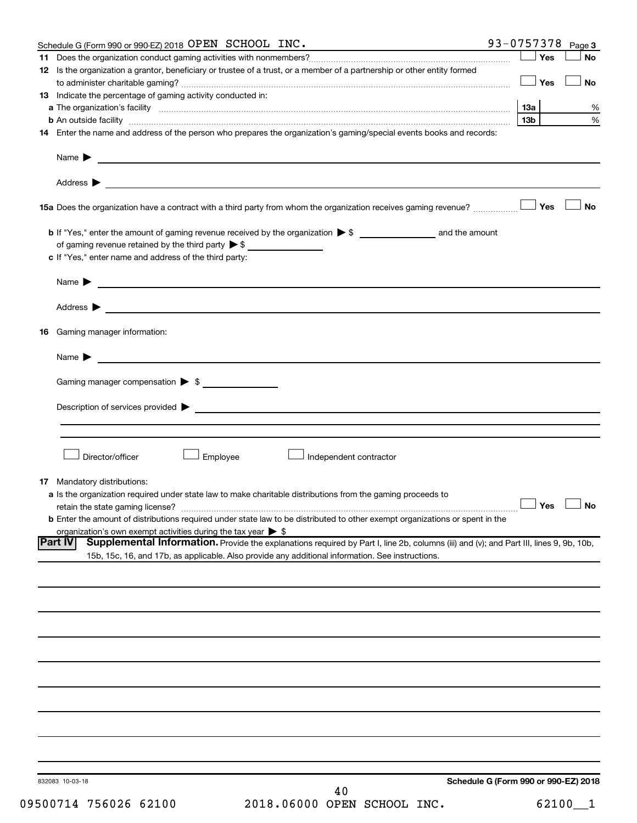|    | Schedule G (Form 990 or 990-EZ) 2018 OPEN SCHOOL INC.                                                                                                                                                                                                              | 93-0757378 Page 3                            |           |
|----|--------------------------------------------------------------------------------------------------------------------------------------------------------------------------------------------------------------------------------------------------------------------|----------------------------------------------|-----------|
|    |                                                                                                                                                                                                                                                                    | Yes                                          | <b>No</b> |
|    | 12 Is the organization a grantor, beneficiary or trustee of a trust, or a member of a partnership or other entity formed                                                                                                                                           | ⊥ Yes                                        | No        |
|    | 13 Indicate the percentage of gaming activity conducted in:                                                                                                                                                                                                        |                                              |           |
|    |                                                                                                                                                                                                                                                                    | 1За                                          | %         |
|    | <b>b</b> An outside facility <i>www.communicality www.communicality.communicality www.communicality www.communicality.communicality www.communicality.com</i>                                                                                                      | 13 <sub>b</sub>                              | %         |
|    | 14 Enter the name and address of the person who prepares the organization's gaming/special events books and records:                                                                                                                                               |                                              |           |
|    | Name $\blacktriangleright$<br><u>and the state of the state of the state of the state of the state of the state of the state of the state of the state of the state of the state of the state of the state of the state of the state of the state of the state</u> |                                              |           |
|    |                                                                                                                                                                                                                                                                    |                                              |           |
|    |                                                                                                                                                                                                                                                                    |                                              | <b>No</b> |
|    |                                                                                                                                                                                                                                                                    |                                              |           |
|    | of gaming revenue retained by the third party $\triangleright$ \$                                                                                                                                                                                                  |                                              |           |
|    | c If "Yes," enter name and address of the third party:                                                                                                                                                                                                             |                                              |           |
|    | <u> 1989 - Johann Barbara, martin amerikan basal dan berasal dan berasal dalam basal dan berasal dan berasal dan</u><br>Name $\blacktriangleright$                                                                                                                 |                                              |           |
|    |                                                                                                                                                                                                                                                                    |                                              |           |
| 16 | Gaming manager information:                                                                                                                                                                                                                                        |                                              |           |
|    | Name $\blacktriangleright$                                                                                                                                                                                                                                         |                                              |           |
|    |                                                                                                                                                                                                                                                                    |                                              |           |
|    | Gaming manager compensation > \$                                                                                                                                                                                                                                   |                                              |           |
|    | Description of services provided <b>by the contract of the contract of the contract of services provided by the contract of the contract of the contract of the contract of the contract of the contract of the contract of th</b>                                 |                                              |           |
|    |                                                                                                                                                                                                                                                                    |                                              |           |
|    | Director/officer<br>Employee<br>Independent contractor                                                                                                                                                                                                             |                                              |           |
|    |                                                                                                                                                                                                                                                                    |                                              |           |
|    | <b>17</b> Mandatory distributions:<br>a Is the organization required under state law to make charitable distributions from the gaming proceeds to                                                                                                                  |                                              |           |
|    | retain the state gaming license?                                                                                                                                                                                                                                   | $\mathbin{\sqcup}$ Yes $\mathbin{\sqcup}$ No |           |
|    | <b>b</b> Enter the amount of distributions required under state law to be distributed to other exempt organizations or spent in the                                                                                                                                |                                              |           |
|    | organization's own exempt activities during the tax year $\triangleright$ \$                                                                                                                                                                                       |                                              |           |
|    | Supplemental Information. Provide the explanations required by Part I, line 2b, columns (iii) and (v); and Part III, lines 9, 9b, 10b,<br><b>Part IV</b><br>15b, 15c, 16, and 17b, as applicable. Also provide any additional information. See instructions.       |                                              |           |
|    |                                                                                                                                                                                                                                                                    |                                              |           |
|    |                                                                                                                                                                                                                                                                    |                                              |           |
|    |                                                                                                                                                                                                                                                                    |                                              |           |
|    |                                                                                                                                                                                                                                                                    |                                              |           |
|    |                                                                                                                                                                                                                                                                    |                                              |           |
|    |                                                                                                                                                                                                                                                                    |                                              |           |
|    |                                                                                                                                                                                                                                                                    |                                              |           |
|    |                                                                                                                                                                                                                                                                    |                                              |           |
|    |                                                                                                                                                                                                                                                                    |                                              |           |
|    |                                                                                                                                                                                                                                                                    |                                              |           |
|    | 832083 10-03-18                                                                                                                                                                                                                                                    | Schedule G (Form 990 or 990-EZ) 2018         |           |
|    | 40                                                                                                                                                                                                                                                                 |                                              |           |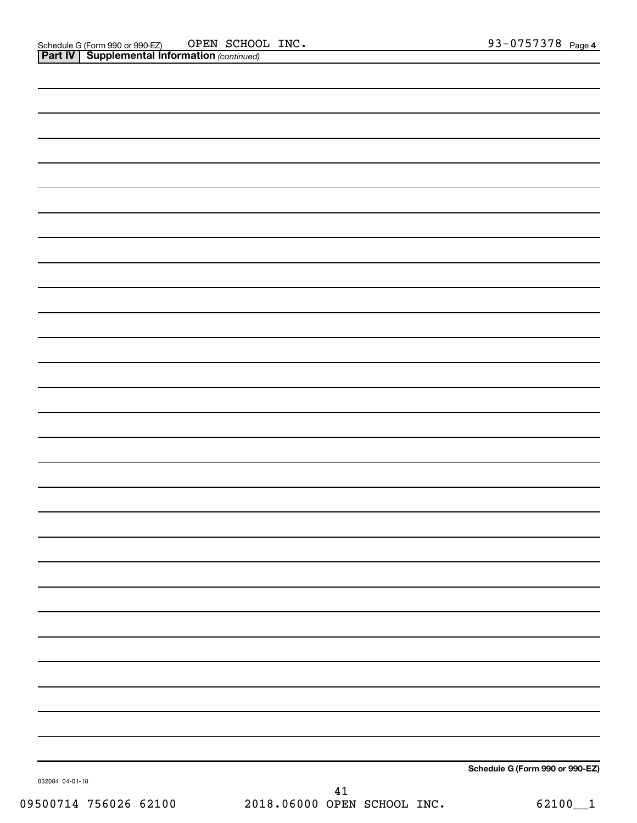| <b>Part IV   Supplemental Information (continued)</b> |                                 |
|-------------------------------------------------------|---------------------------------|
|                                                       |                                 |
|                                                       |                                 |
|                                                       |                                 |
|                                                       |                                 |
|                                                       |                                 |
|                                                       |                                 |
|                                                       |                                 |
|                                                       |                                 |
|                                                       |                                 |
|                                                       |                                 |
|                                                       |                                 |
|                                                       |                                 |
|                                                       |                                 |
|                                                       |                                 |
|                                                       |                                 |
|                                                       |                                 |
|                                                       |                                 |
|                                                       |                                 |
|                                                       |                                 |
|                                                       |                                 |
|                                                       |                                 |
|                                                       |                                 |
|                                                       |                                 |
|                                                       |                                 |
|                                                       |                                 |
|                                                       |                                 |
|                                                       |                                 |
|                                                       |                                 |
|                                                       | Schedule G (Form 990 or 990-EZ) |
| 832084 04-01-18                                       |                                 |

09500714 756026 62100 2018.06000 OPEN SCHOOL INC. 62100\_1 41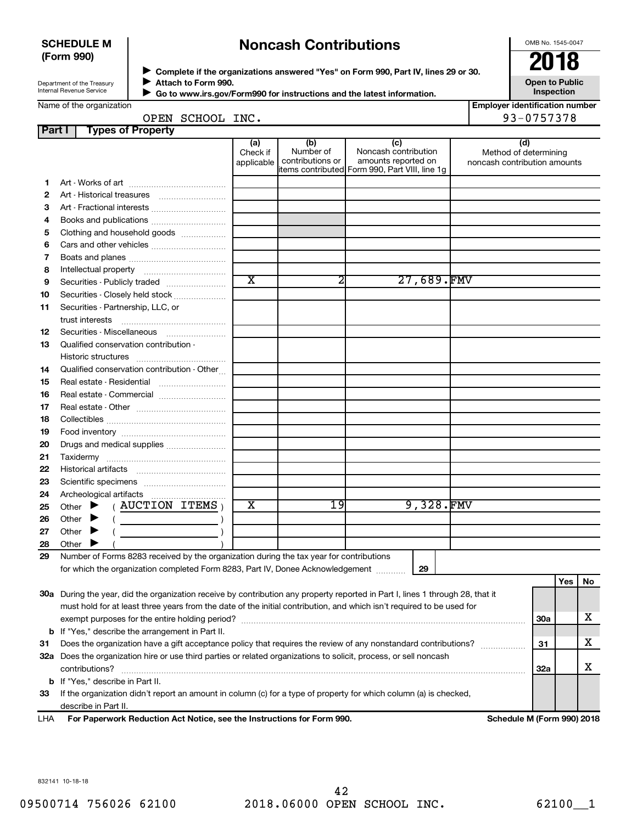## **SCHEDULE M (Form 990)**

## **Noncash Contributions**

OMB No. 1545-0047

Department of the Treasury Internal Revenue Service

◆ Complete if the organizations answered "Yes" on Form 990, Part IV, lines 29 or 30.<br>▶ Complete if the organizations answered "Yes" on Form 990, Part IV, lines 29 or 30. **Attach to Form 990.** J

**Open to Public Inspection**

|  | Name of the organization |
|--|--------------------------|
|  |                          |

| Go to www.irs.gov/Form990 for instructions and the latest information. |
|------------------------------------------------------------------------|
|                                                                        |

**Employer identification number** 93-0757378

| OPEN SCHOOL INC. |  |
|------------------|--|
|                  |  |
|                  |  |

| Part I | <b>Types of Property</b>                                                                                                       |                               |                                      |                                                    |                                                              |     |     |     |
|--------|--------------------------------------------------------------------------------------------------------------------------------|-------------------------------|--------------------------------------|----------------------------------------------------|--------------------------------------------------------------|-----|-----|-----|
|        |                                                                                                                                | (a)<br>Check if<br>applicable | (b)<br>Number of<br>contributions or | (c)<br>Noncash contribution<br>amounts reported on | (d)<br>Method of determining<br>noncash contribution amounts |     |     |     |
|        |                                                                                                                                |                               |                                      | items contributed Form 990, Part VIII, line 1g     |                                                              |     |     |     |
| 1.     |                                                                                                                                |                               |                                      |                                                    |                                                              |     |     |     |
| 2      |                                                                                                                                |                               |                                      |                                                    |                                                              |     |     |     |
| З      | Art - Fractional interests                                                                                                     |                               |                                      |                                                    |                                                              |     |     |     |
| 4      | Books and publications                                                                                                         |                               |                                      |                                                    |                                                              |     |     |     |
| 5      | Clothing and household goods                                                                                                   |                               |                                      |                                                    |                                                              |     |     |     |
| 6      |                                                                                                                                |                               |                                      |                                                    |                                                              |     |     |     |
| 7      |                                                                                                                                |                               |                                      |                                                    |                                                              |     |     |     |
| 8      |                                                                                                                                |                               |                                      |                                                    |                                                              |     |     |     |
| 9      | Securities - Publicly traded                                                                                                   | $\overline{\text{x}}$         | 2                                    | 27,689.FMV                                         |                                                              |     |     |     |
| 10     | Securities - Closely held stock                                                                                                |                               |                                      |                                                    |                                                              |     |     |     |
| 11     | Securities - Partnership, LLC, or                                                                                              |                               |                                      |                                                    |                                                              |     |     |     |
|        | trust interests                                                                                                                |                               |                                      |                                                    |                                                              |     |     |     |
| 12     | Securities - Miscellaneous                                                                                                     |                               |                                      |                                                    |                                                              |     |     |     |
| 13     | Qualified conservation contribution -                                                                                          |                               |                                      |                                                    |                                                              |     |     |     |
| 14     | Qualified conservation contribution - Other                                                                                    |                               |                                      |                                                    |                                                              |     |     |     |
| 15     |                                                                                                                                |                               |                                      |                                                    |                                                              |     |     |     |
| 16     | Real estate - Commercial                                                                                                       |                               |                                      |                                                    |                                                              |     |     |     |
| 17     |                                                                                                                                |                               |                                      |                                                    |                                                              |     |     |     |
| 18     |                                                                                                                                |                               |                                      |                                                    |                                                              |     |     |     |
| 19     |                                                                                                                                |                               |                                      |                                                    |                                                              |     |     |     |
| 20     | Drugs and medical supplies                                                                                                     |                               |                                      |                                                    |                                                              |     |     |     |
| 21     |                                                                                                                                |                               |                                      |                                                    |                                                              |     |     |     |
| 22     |                                                                                                                                |                               |                                      |                                                    |                                                              |     |     |     |
| 23     |                                                                                                                                |                               |                                      |                                                    |                                                              |     |     |     |
| 24     |                                                                                                                                |                               |                                      |                                                    |                                                              |     |     |     |
| 25     | $($ AUCTION ITEMS $)$<br>Other $\blacktriangleright$                                                                           | X                             | 19                                   | 9,328.FMV                                          |                                                              |     |     |     |
| 26     | Other                                                                                                                          |                               |                                      |                                                    |                                                              |     |     |     |
| 27     | Other<br>▸                                                                                                                     |                               |                                      |                                                    |                                                              |     |     |     |
| 28     | Other                                                                                                                          |                               |                                      |                                                    |                                                              |     |     |     |
| 29     | Number of Forms 8283 received by the organization during the tax year for contributions                                        |                               |                                      |                                                    |                                                              |     |     |     |
|        | for which the organization completed Form 8283, Part IV, Donee Acknowledgement                                                 |                               |                                      | 29                                                 |                                                              |     |     |     |
|        |                                                                                                                                |                               |                                      |                                                    |                                                              |     | Yes | No. |
|        | 30a During the year, did the organization receive by contribution any property reported in Part I, lines 1 through 28, that it |                               |                                      |                                                    |                                                              |     |     |     |
|        | must hold for at least three years from the date of the initial contribution, and which isn't required to be used for          |                               |                                      |                                                    |                                                              |     |     |     |
|        |                                                                                                                                |                               |                                      |                                                    |                                                              | 30a |     | x   |
|        | <b>b</b> If "Yes," describe the arrangement in Part II.                                                                        |                               |                                      |                                                    |                                                              |     |     |     |
| 31     | Does the organization have a gift acceptance policy that requires the review of any nonstandard contributions?                 |                               |                                      |                                                    |                                                              | 31  |     | x   |
|        | 32a Does the organization hire or use third parties or related organizations to solicit, process, or sell noncash              |                               |                                      |                                                    |                                                              |     |     |     |
|        | contributions?                                                                                                                 |                               |                                      |                                                    |                                                              | 32a |     | x   |
|        | <b>b</b> If "Yes," describe in Part II.                                                                                        |                               |                                      |                                                    |                                                              |     |     |     |
| 33     | If the organization didn't report an amount in column (c) for a type of property for which column (a) is checked,              |                               |                                      |                                                    |                                                              |     |     |     |
|        | describe in Part II.                                                                                                           |                               |                                      |                                                    |                                                              |     |     |     |

**For Paperwork Reduction Act Notice, see the Instructions for Form 990. Schedule M (Form 990) 2018** LHA

832141 10-18-18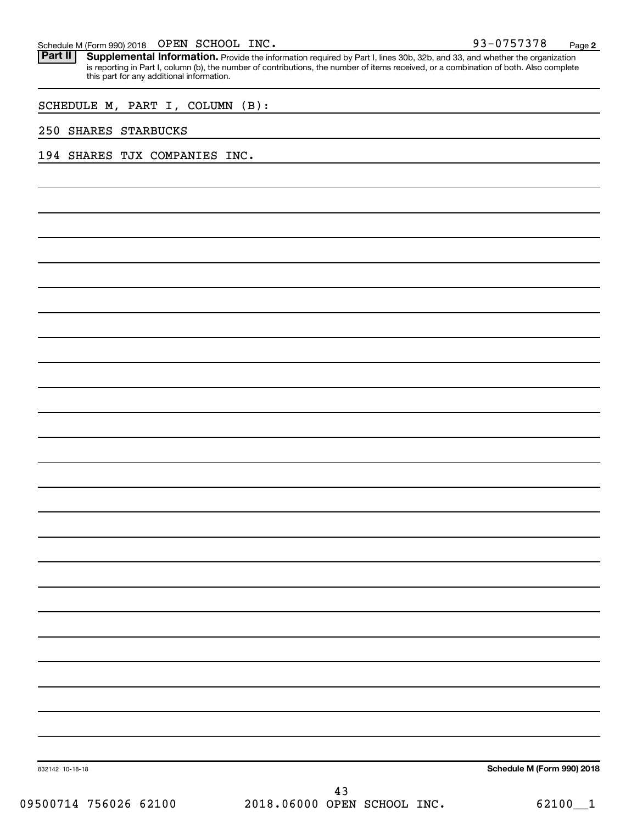Part II | Supplemental Information. Provide the information required by Part I, lines 30b, 32b, and 33, and whether the organization is reporting in Part I, column (b), the number of contributions, the number of items received, or a combination of both. Also complete this part for any additional information.

## SCHEDULE M, PART I, COLUMN (B):

#### 250 SHARES STARBUCKS

## 194 SHARES TJX COMPANIES INC.

**Schedule M (Form 990) 2018**

832142 10-18-18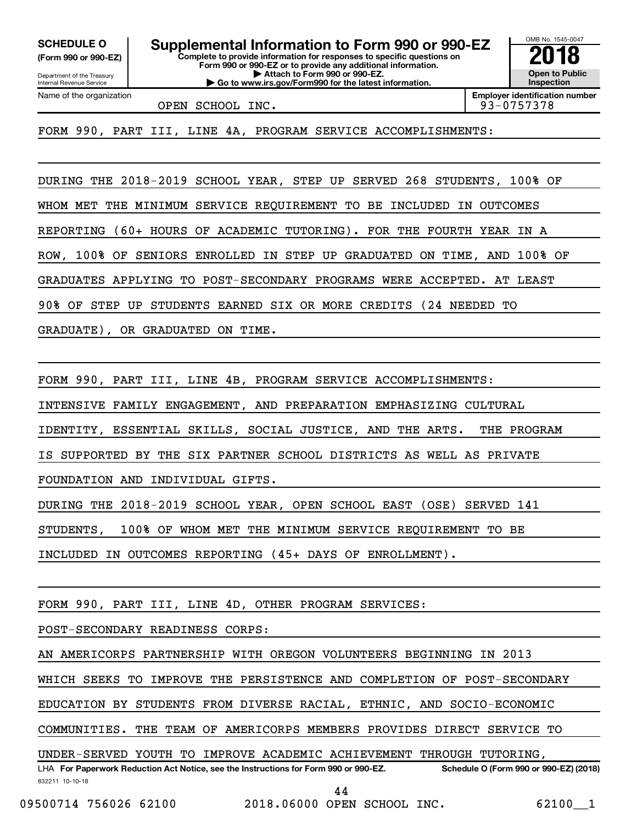**(Form 990 or 990-EZ)**

Department of the Treasury Internal Revenue Service Name of the organization

**Complete to provide information for responses to specific questions on Form 990 or 990-EZ or to provide any additional information. | Attach to Form 990 or 990-EZ. | Go to www.irs.gov/Form990 for the latest information.** SCHEDULE O **Supplemental Information to Form 990 or 990-EZ 2018**<br>(Form 990 or 990-EZ) Complete to provide information for responses to specific questions on

OMB No. 1545-0047 **Open to Public Inspection**

OPEN SCHOOL INC. 2008 2012 12:378

**Employer identification number**

FORM 990, PART III, LINE 4A, PROGRAM SERVICE ACCOMPLISHMENTS:

DURING THE 2018-2019 SCHOOL YEAR, STEP UP SERVED 268 STUDENTS, 100% OF WHOM MET THE MINIMUM SERVICE REQUIREMENT TO BE INCLUDED IN OUTCOMES REPORTING (60+ HOURS OF ACADEMIC TUTORING). FOR THE FOURTH YEAR IN A ROW, 100% OF SENIORS ENROLLED IN STEP UP GRADUATED ON TIME, AND 100% OF GRADUATES APPLYING TO POST-SECONDARY PROGRAMS WERE ACCEPTED. AT LEAST 90% OF STEP UP STUDENTS EARNED SIX OR MORE CREDITS (24 NEEDED TO GRADUATE), OR GRADUATED ON TIME.

FORM 990, PART III, LINE 4B, PROGRAM SERVICE ACCOMPLISHMENTS:

INTENSIVE FAMILY ENGAGEMENT, AND PREPARATION EMPHASIZING CULTURAL

IDENTITY, ESSENTIAL SKILLS, SOCIAL JUSTICE, AND THE ARTS. THE PROGRAM

IS SUPPORTED BY THE SIX PARTNER SCHOOL DISTRICTS AS WELL AS PRIVATE

FOUNDATION AND INDIVIDUAL GIFTS.

DURING THE 2018-2019 SCHOOL YEAR, OPEN SCHOOL EAST (OSE) SERVED 141

STUDENTS, 100% OF WHOM MET THE MINIMUM SERVICE REQUIREMENT TO BE

INCLUDED IN OUTCOMES REPORTING (45+ DAYS OF ENROLLMENT).

FORM 990, PART III, LINE 4D, OTHER PROGRAM SERVICES:

POST-SECONDARY READINESS CORPS:

AN AMERICORPS PARTNERSHIP WITH OREGON VOLUNTEERS BEGINNING IN 2013

WHICH SEEKS TO IMPROVE THE PERSISTENCE AND COMPLETION OF POST-SECONDARY

EDUCATION BY STUDENTS FROM DIVERSE RACIAL, ETHNIC, AND SOCIO-ECONOMIC

COMMUNITIES. THE TEAM OF AMERICORPS MEMBERS PROVIDES DIRECT SERVICE TO

UNDER-SERVED YOUTH TO IMPROVE ACADEMIC ACHIEVEMENT THROUGH TUTORING,

832211 10-10-18 LHA For Paperwork Reduction Act Notice, see the Instructions for Form 990 or 990-EZ. Schedule O (Form 990 or 990-EZ) (2018) 44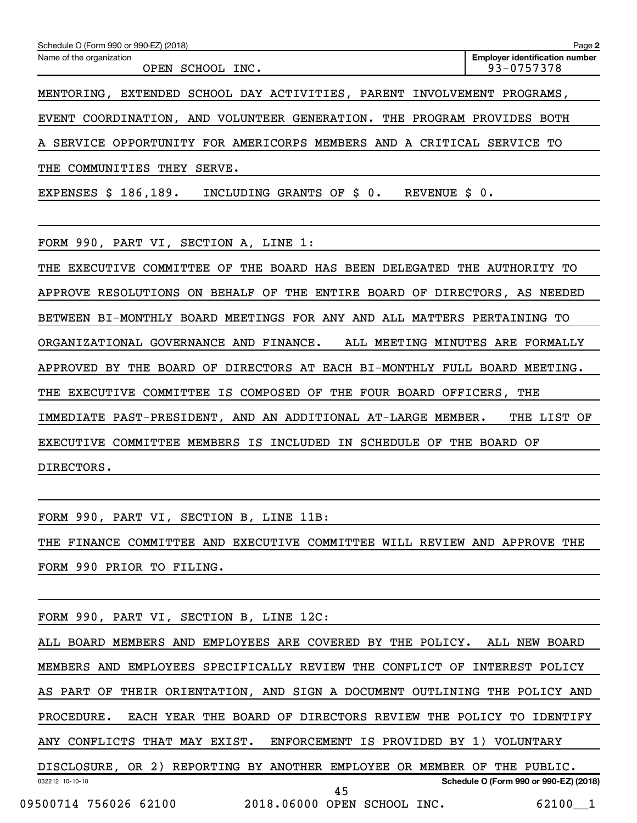| Schedule O (Form 990 or 990-EZ) (2018)                                     | Page 2                                              |
|----------------------------------------------------------------------------|-----------------------------------------------------|
| Name of the organization<br>OPEN SCHOOL INC.                               | <b>Employer identification number</b><br>93-0757378 |
| MENTORING, EXTENDED SCHOOL DAY ACTIVITIES, PARENT INVOLVEMENT PROGRAMS,    |                                                     |
| EVENT COORDINATION, AND VOLUNTEER GENERATION. THE PROGRAM PROVIDES BOTH    |                                                     |
| A SERVICE OPPORTUNITY FOR AMERICORPS MEMBERS AND A CRITICAL SERVICE TO     |                                                     |
| THE COMMUNITIES THEY SERVE.                                                |                                                     |
| EXPENSES \$ 186,189.<br>INCLUDING GRANTS OF \$ 0. REVENUE \$ 0.            |                                                     |
|                                                                            |                                                     |
| FORM 990, PART VI, SECTION A, LINE 1:                                      |                                                     |
| THE EXECUTIVE COMMITTEE OF THE BOARD HAS BEEN DELEGATED THE AUTHORITY TO   |                                                     |
| APPROVE RESOLUTIONS ON BEHALF OF THE ENTIRE BOARD OF DIRECTORS, AS NEEDED  |                                                     |
| BETWEEN BI-MONTHLY BOARD MEETINGS FOR ANY AND ALL MATTERS PERTAINING TO    |                                                     |
| ORGANIZATIONAL GOVERNANCE AND FINANCE.<br>ALL MEETING MINUTES ARE FORMALLY |                                                     |
| APPROVED BY THE BOARD OF DIRECTORS AT EACH BI-MONTHLY FULL BOARD MEETING.  |                                                     |
| THE EXECUTIVE COMMITTEE IS COMPOSED OF THE FOUR BOARD OFFICERS, THE        |                                                     |
| IMMEDIATE PAST-PRESIDENT, AND AN ADDITIONAL AT-LARGE MEMBER.               | THE LIST OF                                         |
| EXECUTIVE COMMITTEE MEMBERS IS INCLUDED IN SCHEDULE OF THE BOARD OF        |                                                     |
| DIRECTORS.                                                                 |                                                     |
|                                                                            |                                                     |

FORM 990, PART VI, SECTION B, LINE 11B:

THE FINANCE COMMITTEE AND EXECUTIVE COMMITTEE WILL REVIEW AND APPROVE THE FORM 990 PRIOR TO FILING.

FORM 990, PART VI, SECTION B, LINE 12C:

832212 10-10-18 **Schedule O (Form 990 or 990-EZ) (2018)** ALL BOARD MEMBERS AND EMPLOYEES ARE COVERED BY THE POLICY. ALL NEW BOARD MEMBERS AND EMPLOYEES SPECIFICALLY REVIEW THE CONFLICT OF INTEREST POLICY AS PART OF THEIR ORIENTATION, AND SIGN A DOCUMENT OUTLINING THE POLICY AND PROCEDURE. EACH YEAR THE BOARD OF DIRECTORS REVIEW THE POLICY TO IDENTIFY ANY CONFLICTS THAT MAY EXIST. ENFORCEMENT IS PROVIDED BY 1) VOLUNTARY DISCLOSURE, OR 2) REPORTING BY ANOTHER EMPLOYEE OR MEMBER OF THE PUBLIC. 45

09500714 756026 62100 2018.06000 OPEN SCHOOL INC. 62100\_1